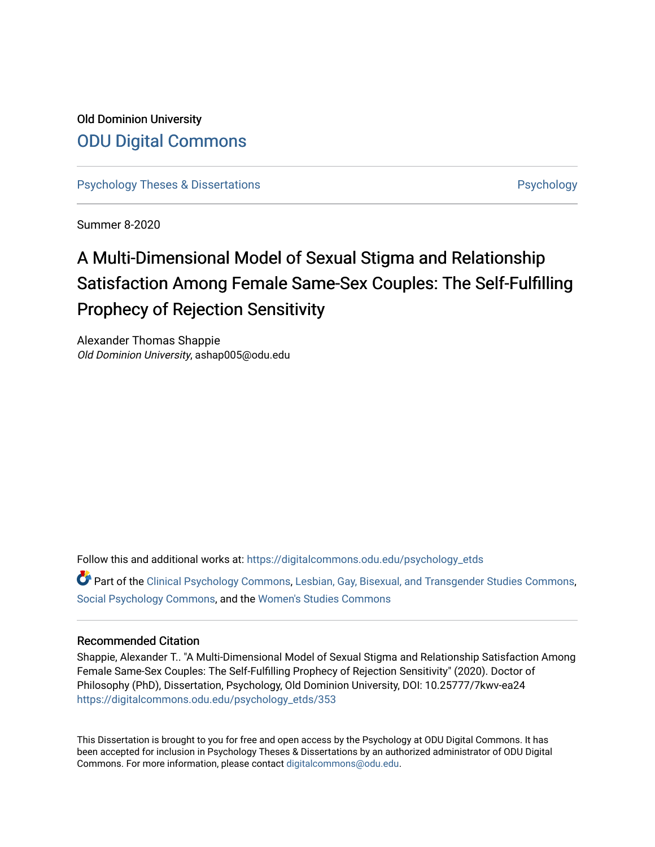## Old Dominion University [ODU Digital Commons](https://digitalcommons.odu.edu/)

[Psychology Theses & Dissertations](https://digitalcommons.odu.edu/psychology_etds) **Psychology** [Psychology](https://digitalcommons.odu.edu/psychology) **Psychology** 

Summer 8-2020

# A Multi-Dimensional Model of Sexual Stigma and Relationship Satisfaction Among Female Same-Sex Couples: The Self-Fulfilling Prophecy of Rejection Sensitivity

Alexander Thomas Shappie Old Dominion University, ashap005@odu.edu

Follow this and additional works at: [https://digitalcommons.odu.edu/psychology\\_etds](https://digitalcommons.odu.edu/psychology_etds?utm_source=digitalcommons.odu.edu%2Fpsychology_etds%2F353&utm_medium=PDF&utm_campaign=PDFCoverPages)

Part of the [Clinical Psychology Commons,](http://network.bepress.com/hgg/discipline/406?utm_source=digitalcommons.odu.edu%2Fpsychology_etds%2F353&utm_medium=PDF&utm_campaign=PDFCoverPages) [Lesbian, Gay, Bisexual, and Transgender Studies Commons](http://network.bepress.com/hgg/discipline/560?utm_source=digitalcommons.odu.edu%2Fpsychology_etds%2F353&utm_medium=PDF&utm_campaign=PDFCoverPages), [Social Psychology Commons](http://network.bepress.com/hgg/discipline/414?utm_source=digitalcommons.odu.edu%2Fpsychology_etds%2F353&utm_medium=PDF&utm_campaign=PDFCoverPages), and the [Women's Studies Commons](http://network.bepress.com/hgg/discipline/561?utm_source=digitalcommons.odu.edu%2Fpsychology_etds%2F353&utm_medium=PDF&utm_campaign=PDFCoverPages) 

## Recommended Citation

Shappie, Alexander T.. "A Multi-Dimensional Model of Sexual Stigma and Relationship Satisfaction Among Female Same-Sex Couples: The Self-Fulfilling Prophecy of Rejection Sensitivity" (2020). Doctor of Philosophy (PhD), Dissertation, Psychology, Old Dominion University, DOI: 10.25777/7kwv-ea24 [https://digitalcommons.odu.edu/psychology\\_etds/353](https://digitalcommons.odu.edu/psychology_etds/353?utm_source=digitalcommons.odu.edu%2Fpsychology_etds%2F353&utm_medium=PDF&utm_campaign=PDFCoverPages)

This Dissertation is brought to you for free and open access by the Psychology at ODU Digital Commons. It has been accepted for inclusion in Psychology Theses & Dissertations by an authorized administrator of ODU Digital Commons. For more information, please contact [digitalcommons@odu.edu](mailto:digitalcommons@odu.edu).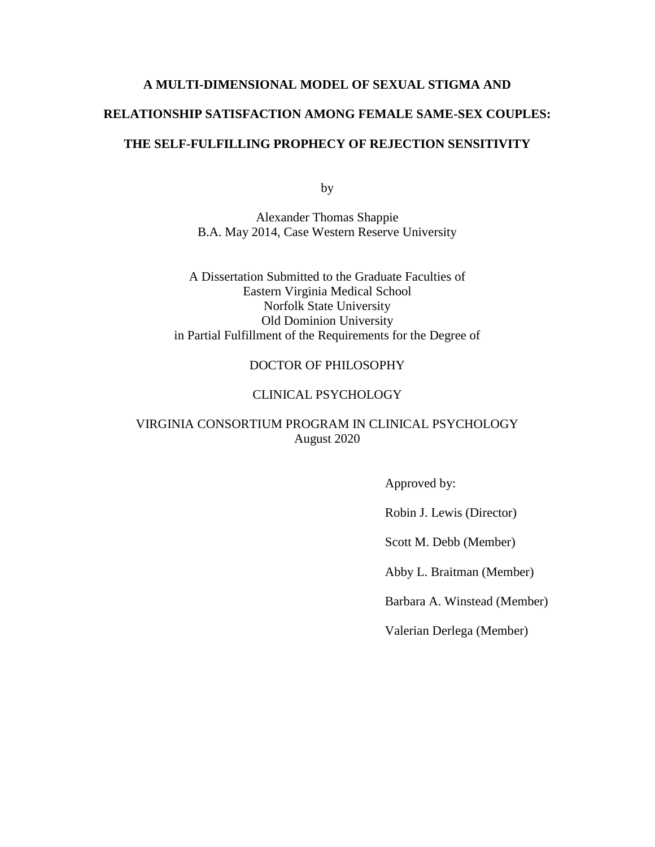# **A MULTI-DIMENSIONAL MODEL OF SEXUAL STIGMA AND RELATIONSHIP SATISFACTION AMONG FEMALE SAME-SEX COUPLES: THE SELF-FULFILLING PROPHECY OF REJECTION SENSITIVITY**

by

Alexander Thomas Shappie B.A. May 2014, Case Western Reserve University

A Dissertation Submitted to the Graduate Faculties of Eastern Virginia Medical School Norfolk State University Old Dominion University in Partial Fulfillment of the Requirements for the Degree of

## DOCTOR OF PHILOSOPHY

## CLINICAL PSYCHOLOGY

## VIRGINIA CONSORTIUM PROGRAM IN CLINICAL PSYCHOLOGY August 2020

Approved by:

Robin J. Lewis (Director)

Scott M. Debb (Member)

Abby L. Braitman (Member)

Barbara A. Winstead (Member)

Valerian Derlega (Member)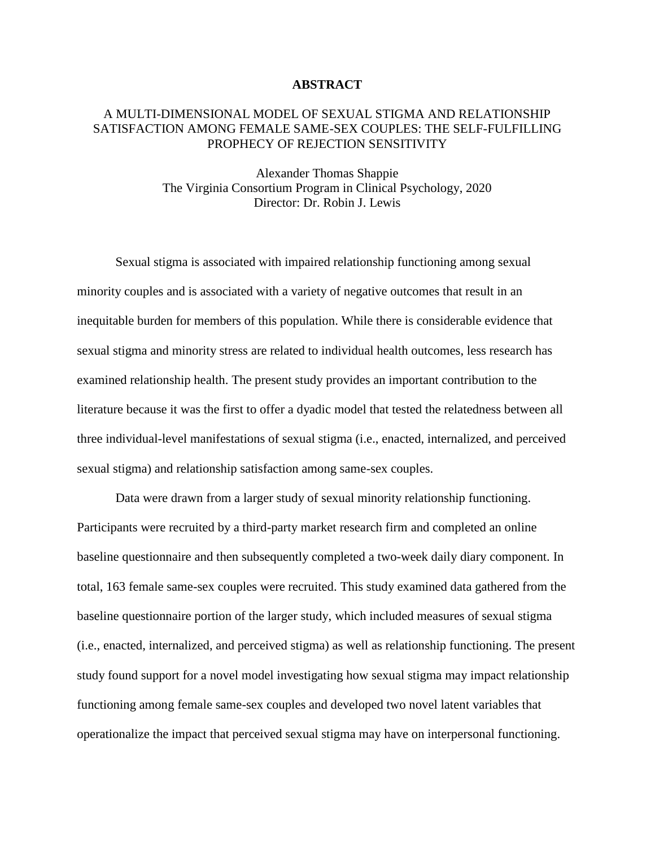### **ABSTRACT**

## A MULTI-DIMENSIONAL MODEL OF SEXUAL STIGMA AND RELATIONSHIP SATISFACTION AMONG FEMALE SAME-SEX COUPLES: THE SELF-FULFILLING PROPHECY OF REJECTION SENSITIVITY

Alexander Thomas Shappie The Virginia Consortium Program in Clinical Psychology, 2020 Director: Dr. Robin J. Lewis

Sexual stigma is associated with impaired relationship functioning among sexual minority couples and is associated with a variety of negative outcomes that result in an inequitable burden for members of this population. While there is considerable evidence that sexual stigma and minority stress are related to individual health outcomes, less research has examined relationship health. The present study provides an important contribution to the literature because it was the first to offer a dyadic model that tested the relatedness between all three individual-level manifestations of sexual stigma (i.e., enacted, internalized, and perceived sexual stigma) and relationship satisfaction among same-sex couples.

Data were drawn from a larger study of sexual minority relationship functioning. Participants were recruited by a third-party market research firm and completed an online baseline questionnaire and then subsequently completed a two-week daily diary component. In total, 163 female same-sex couples were recruited. This study examined data gathered from the baseline questionnaire portion of the larger study, which included measures of sexual stigma (i.e., enacted, internalized, and perceived stigma) as well as relationship functioning. The present study found support for a novel model investigating how sexual stigma may impact relationship functioning among female same-sex couples and developed two novel latent variables that operationalize the impact that perceived sexual stigma may have on interpersonal functioning.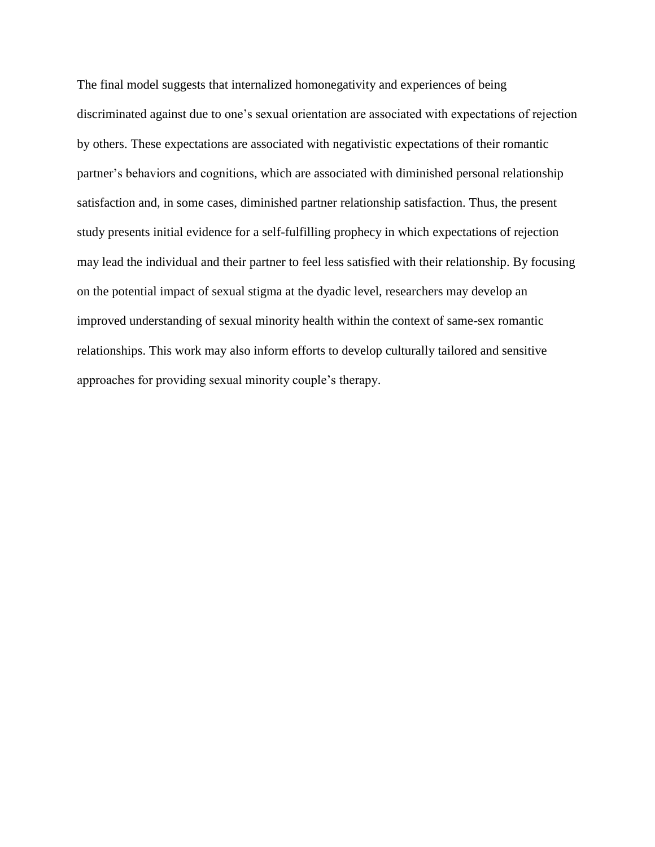The final model suggests that internalized homonegativity and experiences of being discriminated against due to one's sexual orientation are associated with expectations of rejection by others. These expectations are associated with negativistic expectations of their romantic partner's behaviors and cognitions, which are associated with diminished personal relationship satisfaction and, in some cases, diminished partner relationship satisfaction. Thus, the present study presents initial evidence for a self-fulfilling prophecy in which expectations of rejection may lead the individual and their partner to feel less satisfied with their relationship. By focusing on the potential impact of sexual stigma at the dyadic level, researchers may develop an improved understanding of sexual minority health within the context of same-sex romantic relationships. This work may also inform efforts to develop culturally tailored and sensitive approaches for providing sexual minority couple's therapy.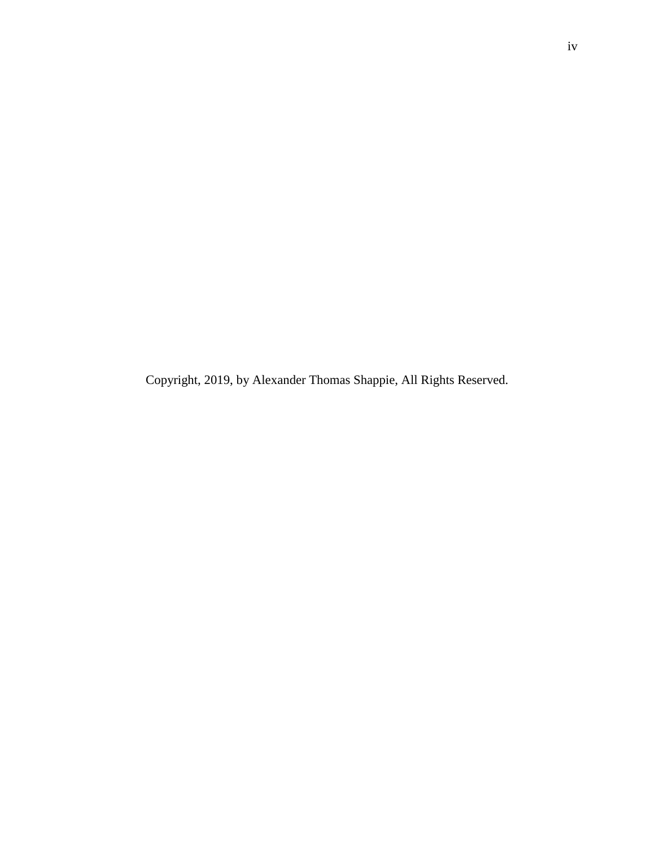Copyright, 2019, by Alexander Thomas Shappie, All Rights Reserved.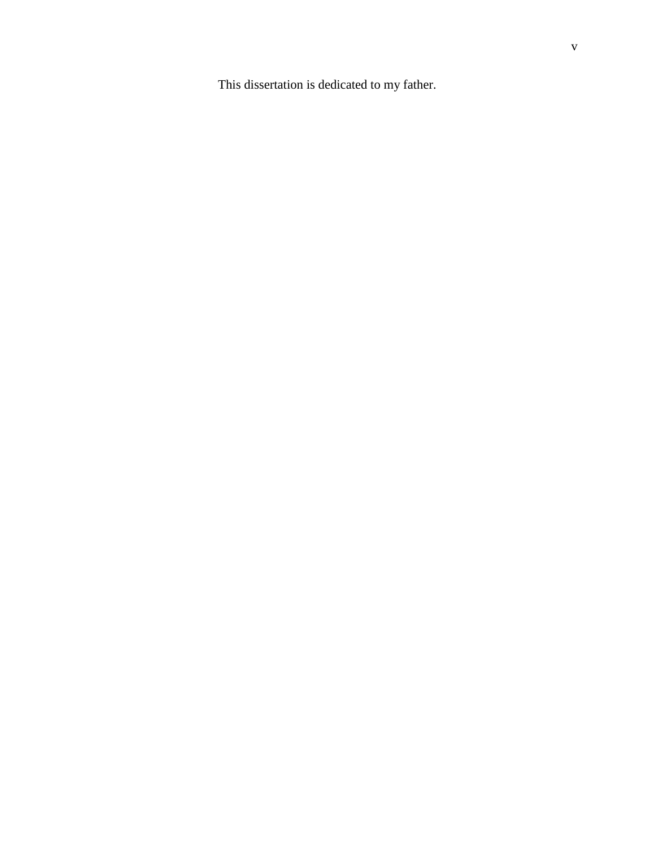This dissertation is dedicated to my father.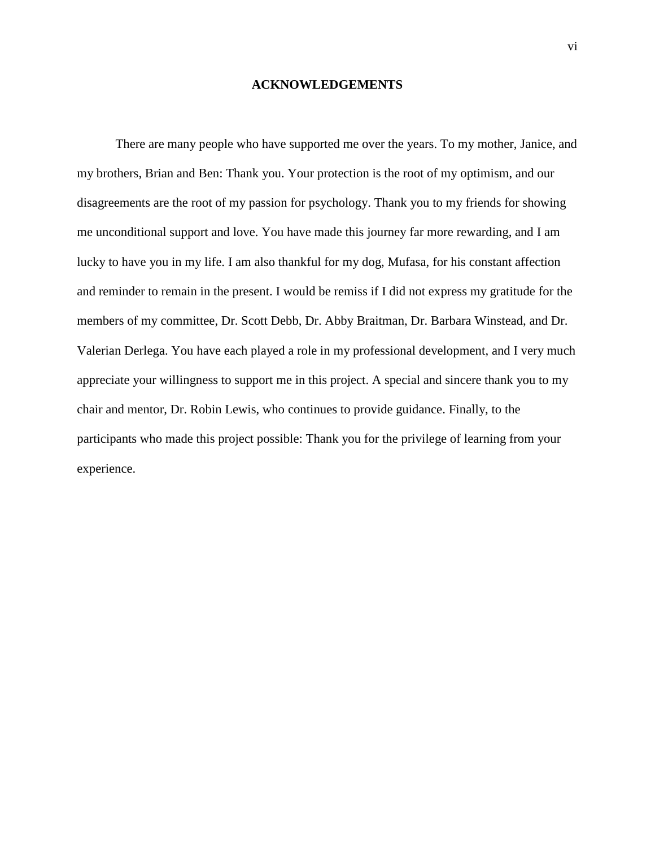## **ACKNOWLEDGEMENTS**

There are many people who have supported me over the years. To my mother, Janice, and my brothers, Brian and Ben: Thank you. Your protection is the root of my optimism, and our disagreements are the root of my passion for psychology. Thank you to my friends for showing me unconditional support and love. You have made this journey far more rewarding, and I am lucky to have you in my life. I am also thankful for my dog, Mufasa, for his constant affection and reminder to remain in the present. I would be remiss if I did not express my gratitude for the members of my committee, Dr. Scott Debb, Dr. Abby Braitman, Dr. Barbara Winstead, and Dr. Valerian Derlega. You have each played a role in my professional development, and I very much appreciate your willingness to support me in this project. A special and sincere thank you to my chair and mentor, Dr. Robin Lewis, who continues to provide guidance. Finally, to the participants who made this project possible: Thank you for the privilege of learning from your experience.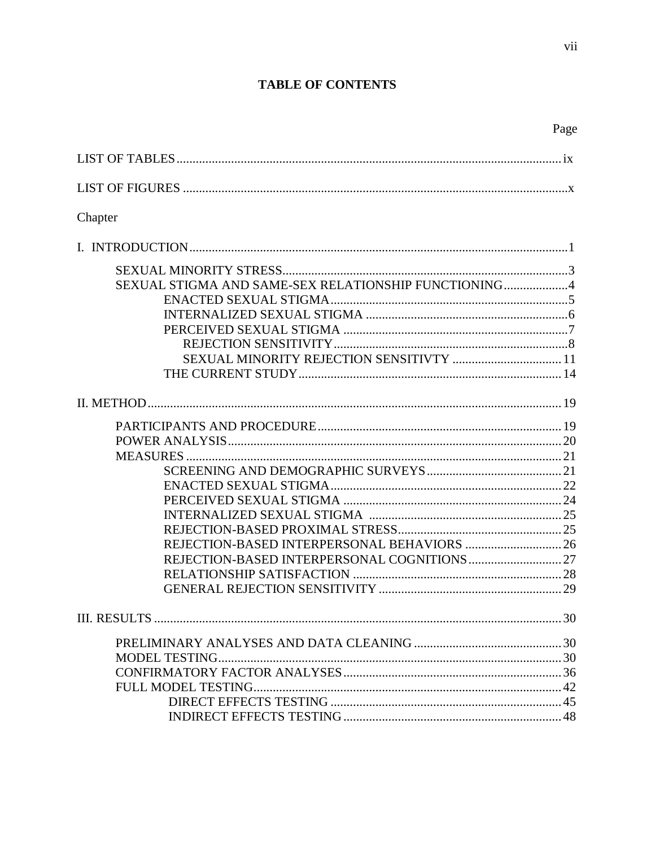## **TABLE OF CONTENTS**

| ×<br>I |
|--------|
|--------|

| Chapter                                              |  |
|------------------------------------------------------|--|
|                                                      |  |
| SEXUAL STIGMA AND SAME-SEX RELATIONSHIP FUNCTIONING4 |  |
|                                                      |  |
|                                                      |  |
|                                                      |  |
| SEXUAL MINORITY REJECTION SENSITIVTY  11             |  |
|                                                      |  |
|                                                      |  |
|                                                      |  |
|                                                      |  |
|                                                      |  |
|                                                      |  |
|                                                      |  |
|                                                      |  |
|                                                      |  |
|                                                      |  |
|                                                      |  |
|                                                      |  |
|                                                      |  |
|                                                      |  |
|                                                      |  |
|                                                      |  |
|                                                      |  |
|                                                      |  |
|                                                      |  |
|                                                      |  |
|                                                      |  |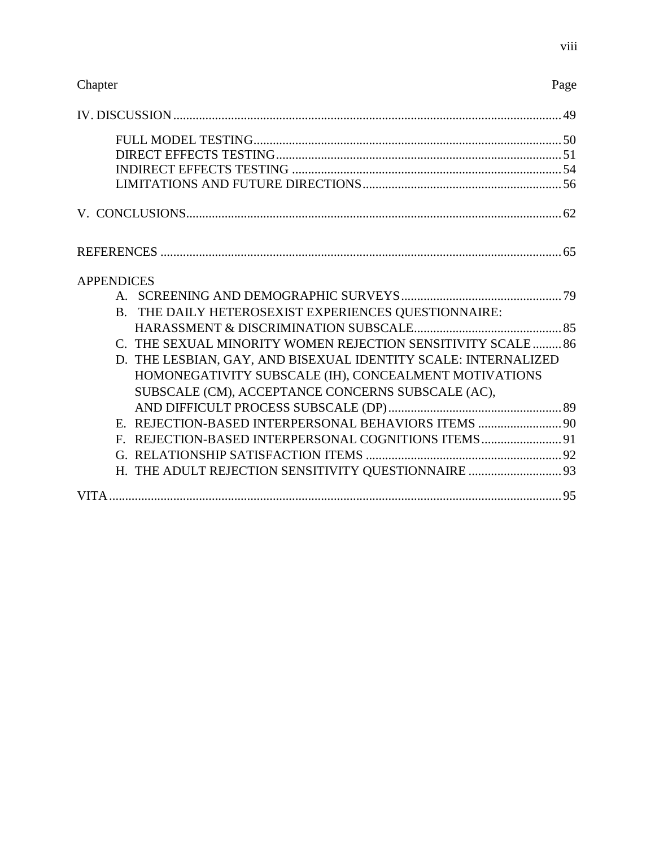## Chapter Page

| <b>APPENDICES</b>                                              |  |
|----------------------------------------------------------------|--|
|                                                                |  |
| B. THE DAILY HETEROSEXIST EXPERIENCES QUESTIONNAIRE:           |  |
|                                                                |  |
| C. THE SEXUAL MINORITY WOMEN REJECTION SENSITIVITY SCALE  86   |  |
| D. THE LESBIAN, GAY, AND BISEXUAL IDENTITY SCALE: INTERNALIZED |  |
| HOMONEGATIVITY SUBSCALE (IH), CONCEALMENT MOTIVATIONS          |  |
| SUBSCALE (CM), ACCEPTANCE CONCERNS SUBSCALE (AC),              |  |
|                                                                |  |
| E. REJECTION-BASED INTERPERSONAL BEHAVIORS ITEMS  90           |  |
| F. REJECTION-BASED INTERPERSONAL COGNITIONS ITEMS 91           |  |
|                                                                |  |
| H. THE ADULT REJECTION SENSITIVITY QUESTIONNAIRE  93           |  |
|                                                                |  |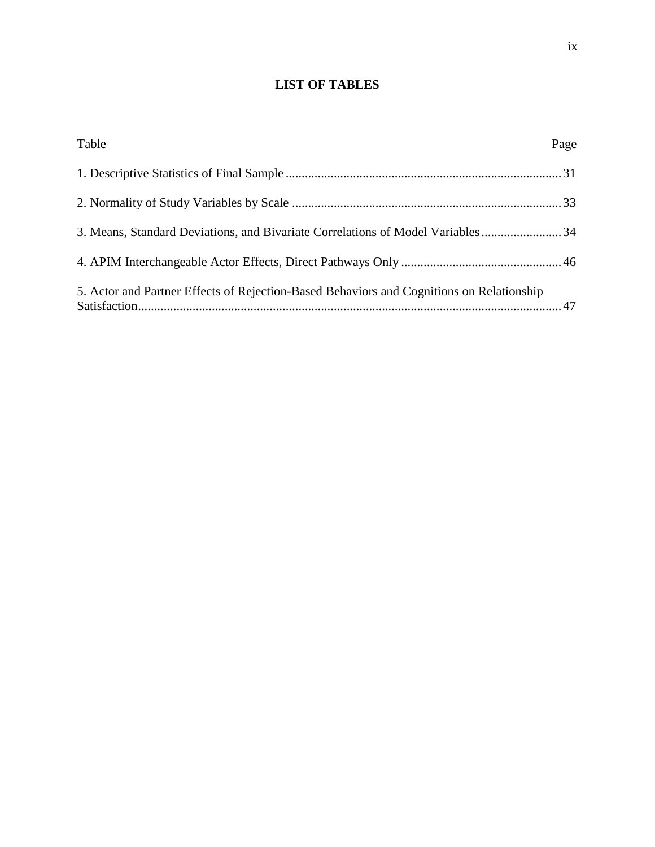## **LIST OF TABLES**

| Table                                                                                    | Page |
|------------------------------------------------------------------------------------------|------|
|                                                                                          |      |
|                                                                                          |      |
| 3. Means, Standard Deviations, and Bivariate Correlations of Model Variables34           |      |
|                                                                                          |      |
| 5. Actor and Partner Effects of Rejection-Based Behaviors and Cognitions on Relationship |      |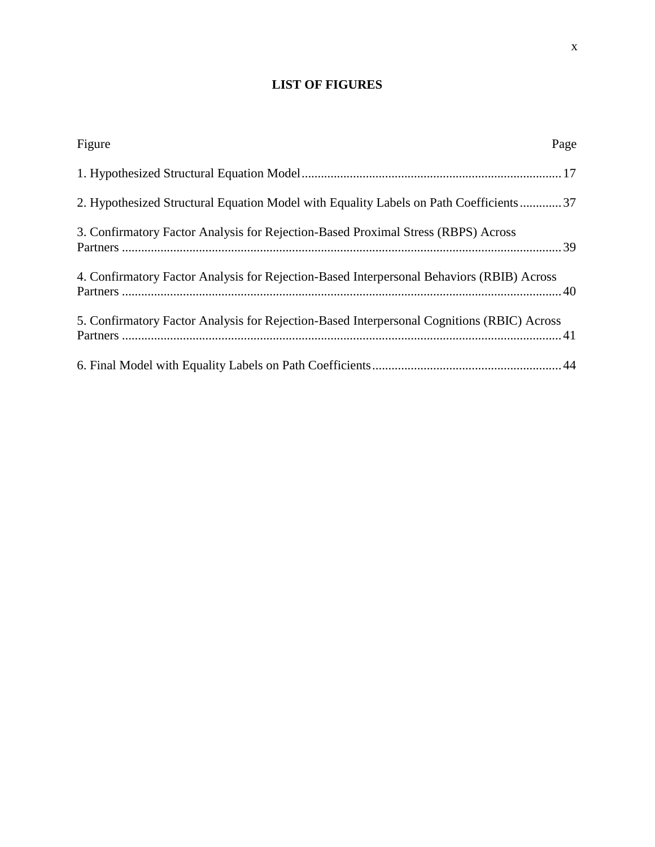## **LIST OF FIGURES**

| Figure<br>Page                                                                             |  |
|--------------------------------------------------------------------------------------------|--|
|                                                                                            |  |
| 2. Hypothesized Structural Equation Model with Equality Labels on Path Coefficients 37     |  |
| 3. Confirmatory Factor Analysis for Rejection-Based Proximal Stress (RBPS) Across          |  |
| 4. Confirmatory Factor Analysis for Rejection-Based Interpersonal Behaviors (RBIB) Across  |  |
| 5. Confirmatory Factor Analysis for Rejection-Based Interpersonal Cognitions (RBIC) Across |  |
|                                                                                            |  |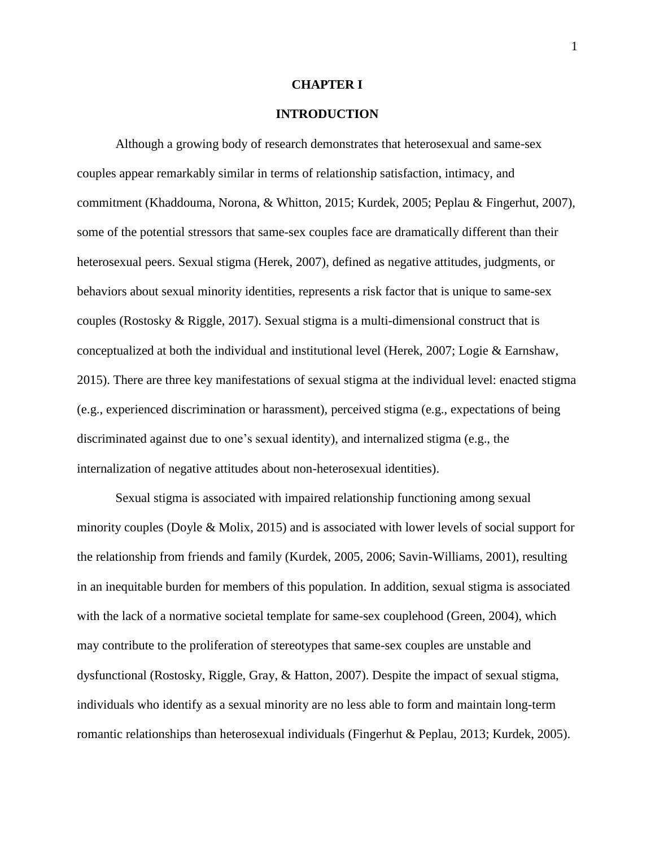## **CHAPTER I**

## **INTRODUCTION**

Although a growing body of research demonstrates that heterosexual and same-sex couples appear remarkably similar in terms of relationship satisfaction, intimacy, and commitment (Khaddouma, Norona, & Whitton, 2015; Kurdek, 2005; Peplau & Fingerhut, 2007), some of the potential stressors that same-sex couples face are dramatically different than their heterosexual peers. Sexual stigma (Herek, 2007), defined as negative attitudes, judgments, or behaviors about sexual minority identities, represents a risk factor that is unique to same-sex couples (Rostosky & Riggle, 2017). Sexual stigma is a multi-dimensional construct that is conceptualized at both the individual and institutional level (Herek, 2007; Logie & Earnshaw, 2015). There are three key manifestations of sexual stigma at the individual level: enacted stigma (e.g., experienced discrimination or harassment), perceived stigma (e.g., expectations of being discriminated against due to one's sexual identity), and internalized stigma (e.g., the internalization of negative attitudes about non-heterosexual identities).

Sexual stigma is associated with impaired relationship functioning among sexual minority couples (Doyle & Molix, 2015) and is associated with lower levels of social support for the relationship from friends and family (Kurdek, 2005, 2006; Savin-Williams, 2001), resulting in an inequitable burden for members of this population. In addition, sexual stigma is associated with the lack of a normative societal template for same-sex couplehood (Green, 2004), which may contribute to the proliferation of stereotypes that same-sex couples are unstable and dysfunctional (Rostosky, Riggle, Gray, & Hatton, 2007). Despite the impact of sexual stigma, individuals who identify as a sexual minority are no less able to form and maintain long-term romantic relationships than heterosexual individuals (Fingerhut & Peplau, 2013; Kurdek, 2005).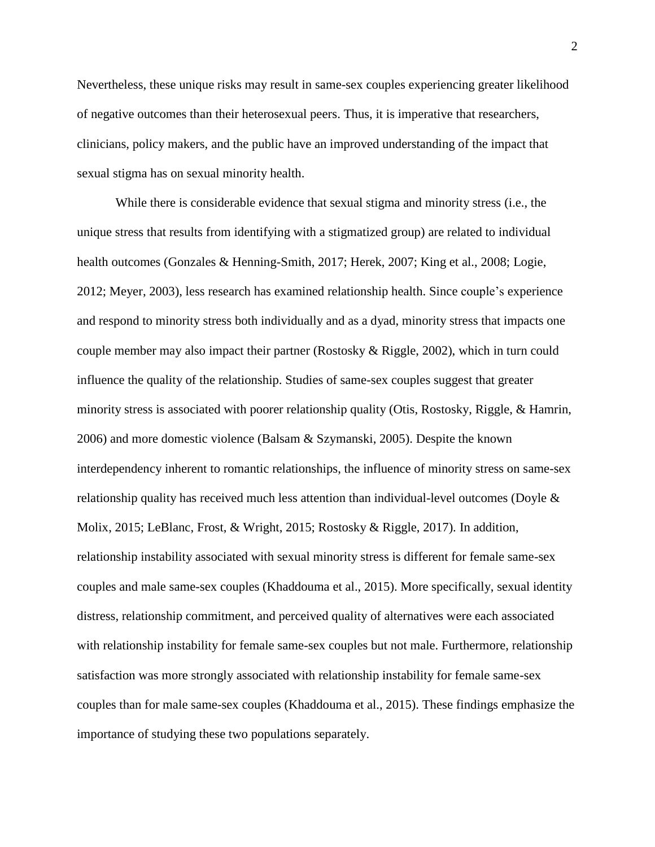Nevertheless, these unique risks may result in same-sex couples experiencing greater likelihood of negative outcomes than their heterosexual peers. Thus, it is imperative that researchers, clinicians, policy makers, and the public have an improved understanding of the impact that sexual stigma has on sexual minority health.

While there is considerable evidence that sexual stigma and minority stress (i.e., the unique stress that results from identifying with a stigmatized group) are related to individual health outcomes (Gonzales & Henning-Smith, 2017; Herek, 2007; King et al., 2008; Logie, 2012; Meyer, 2003), less research has examined relationship health. Since couple's experience and respond to minority stress both individually and as a dyad, minority stress that impacts one couple member may also impact their partner (Rostosky & Riggle, 2002), which in turn could influence the quality of the relationship. Studies of same-sex couples suggest that greater minority stress is associated with poorer relationship quality (Otis, Rostosky, Riggle, & Hamrin, 2006) and more domestic violence (Balsam & Szymanski, 2005). Despite the known interdependency inherent to romantic relationships, the influence of minority stress on same-sex relationship quality has received much less attention than individual-level outcomes (Doyle  $\&$ Molix, 2015; LeBlanc, Frost, & Wright, 2015; Rostosky & Riggle, 2017). In addition, relationship instability associated with sexual minority stress is different for female same-sex couples and male same-sex couples (Khaddouma et al., 2015). More specifically, sexual identity distress, relationship commitment, and perceived quality of alternatives were each associated with relationship instability for female same-sex couples but not male. Furthermore, relationship satisfaction was more strongly associated with relationship instability for female same-sex couples than for male same-sex couples (Khaddouma et al., 2015). These findings emphasize the importance of studying these two populations separately.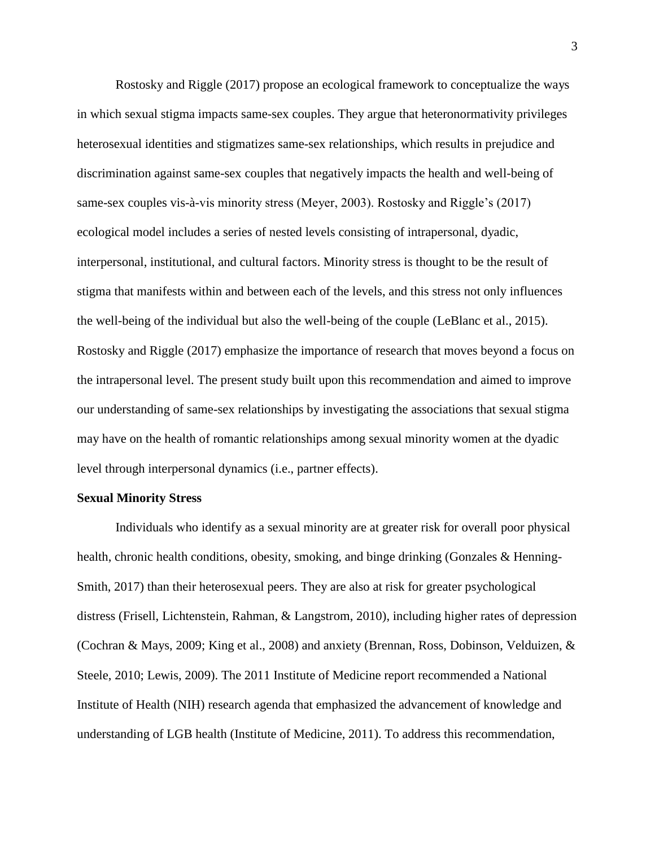Rostosky and Riggle (2017) propose an ecological framework to conceptualize the ways in which sexual stigma impacts same-sex couples. They argue that heteronormativity privileges heterosexual identities and stigmatizes same-sex relationships, which results in prejudice and discrimination against same-sex couples that negatively impacts the health and well-being of same-sex couples vis-à-vis minority stress (Meyer, 2003). Rostosky and Riggle's (2017) ecological model includes a series of nested levels consisting of intrapersonal, dyadic, interpersonal, institutional, and cultural factors. Minority stress is thought to be the result of stigma that manifests within and between each of the levels, and this stress not only influences the well-being of the individual but also the well-being of the couple (LeBlanc et al., 2015). Rostosky and Riggle (2017) emphasize the importance of research that moves beyond a focus on the intrapersonal level. The present study built upon this recommendation and aimed to improve our understanding of same-sex relationships by investigating the associations that sexual stigma may have on the health of romantic relationships among sexual minority women at the dyadic level through interpersonal dynamics (i.e., partner effects).

#### **Sexual Minority Stress**

Individuals who identify as a sexual minority are at greater risk for overall poor physical health, chronic health conditions, obesity, smoking, and binge drinking (Gonzales & Henning-Smith, 2017) than their heterosexual peers. They are also at risk for greater psychological distress (Frisell, Lichtenstein, Rahman, & Langstrom, 2010), including higher rates of depression (Cochran & Mays, 2009; King et al., 2008) and anxiety (Brennan, Ross, Dobinson, Velduizen, & Steele, 2010; Lewis, 2009). The 2011 Institute of Medicine report recommended a National Institute of Health (NIH) research agenda that emphasized the advancement of knowledge and understanding of LGB health (Institute of Medicine, 2011). To address this recommendation,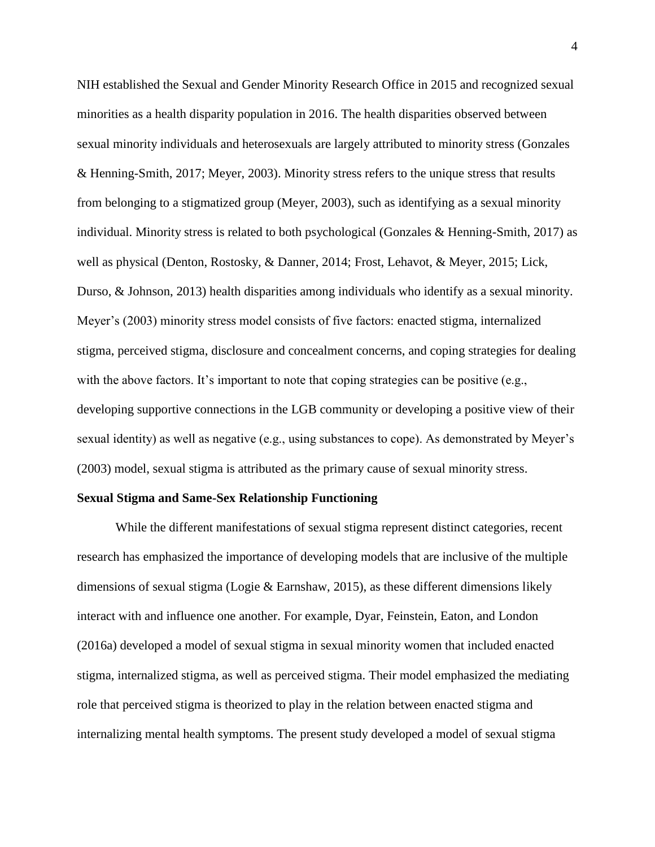NIH established the Sexual and Gender Minority Research Office in 2015 and recognized sexual minorities as a health disparity population in 2016. The health disparities observed between sexual minority individuals and heterosexuals are largely attributed to minority stress (Gonzales & Henning-Smith, 2017; Meyer, 2003). Minority stress refers to the unique stress that results from belonging to a stigmatized group (Meyer, 2003), such as identifying as a sexual minority individual. Minority stress is related to both psychological (Gonzales & Henning-Smith, 2017) as well as physical (Denton, Rostosky, & Danner, 2014; Frost, Lehavot, & Meyer, 2015; Lick, Durso, & Johnson, 2013) health disparities among individuals who identify as a sexual minority. Meyer's (2003) minority stress model consists of five factors: enacted stigma, internalized stigma, perceived stigma, disclosure and concealment concerns, and coping strategies for dealing with the above factors. It's important to note that coping strategies can be positive (e.g., developing supportive connections in the LGB community or developing a positive view of their sexual identity) as well as negative (e.g., using substances to cope). As demonstrated by Meyer's (2003) model, sexual stigma is attributed as the primary cause of sexual minority stress.

### **Sexual Stigma and Same-Sex Relationship Functioning**

While the different manifestations of sexual stigma represent distinct categories, recent research has emphasized the importance of developing models that are inclusive of the multiple dimensions of sexual stigma (Logie & Earnshaw, 2015), as these different dimensions likely interact with and influence one another. For example, Dyar, Feinstein, Eaton, and London (2016a) developed a model of sexual stigma in sexual minority women that included enacted stigma, internalized stigma, as well as perceived stigma. Their model emphasized the mediating role that perceived stigma is theorized to play in the relation between enacted stigma and internalizing mental health symptoms. The present study developed a model of sexual stigma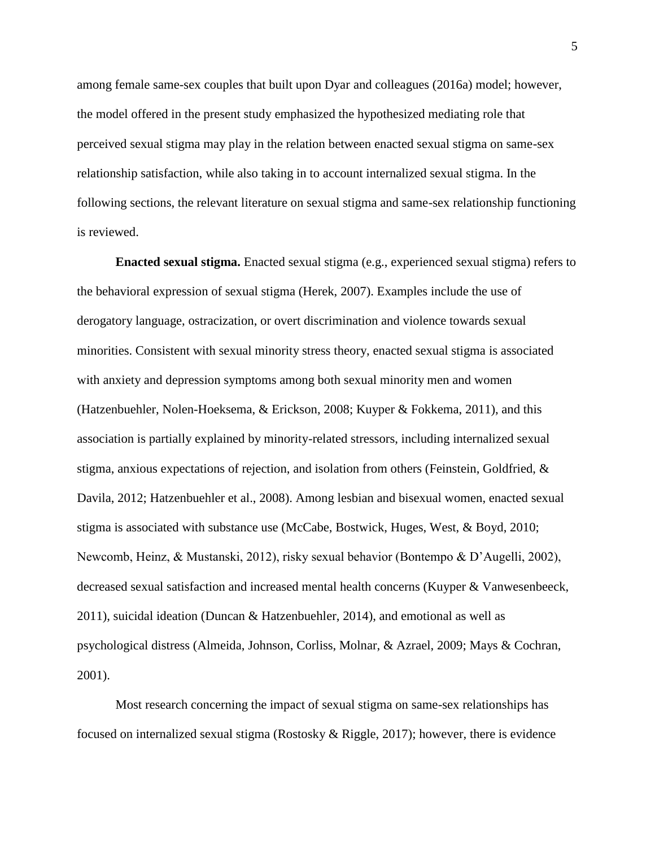among female same-sex couples that built upon Dyar and colleagues (2016a) model; however, the model offered in the present study emphasized the hypothesized mediating role that perceived sexual stigma may play in the relation between enacted sexual stigma on same-sex relationship satisfaction, while also taking in to account internalized sexual stigma. In the following sections, the relevant literature on sexual stigma and same-sex relationship functioning is reviewed.

**Enacted sexual stigma.** Enacted sexual stigma (e.g., experienced sexual stigma) refers to the behavioral expression of sexual stigma (Herek, 2007). Examples include the use of derogatory language, ostracization, or overt discrimination and violence towards sexual minorities. Consistent with sexual minority stress theory, enacted sexual stigma is associated with anxiety and depression symptoms among both sexual minority men and women (Hatzenbuehler, Nolen-Hoeksema, & Erickson, 2008; Kuyper & Fokkema, 2011), and this association is partially explained by minority-related stressors, including internalized sexual stigma, anxious expectations of rejection, and isolation from others (Feinstein, Goldfried, & Davila, 2012; Hatzenbuehler et al., 2008). Among lesbian and bisexual women, enacted sexual stigma is associated with substance use (McCabe, Bostwick, Huges, West, & Boyd, 2010; Newcomb, Heinz, & Mustanski, 2012), risky sexual behavior (Bontempo & D'Augelli, 2002), decreased sexual satisfaction and increased mental health concerns (Kuyper & Vanwesenbeeck, 2011), suicidal ideation (Duncan & Hatzenbuehler, 2014), and emotional as well as psychological distress (Almeida, Johnson, Corliss, Molnar, & Azrael, 2009; Mays & Cochran, 2001).

Most research concerning the impact of sexual stigma on same-sex relationships has focused on internalized sexual stigma (Rostosky & Riggle, 2017); however, there is evidence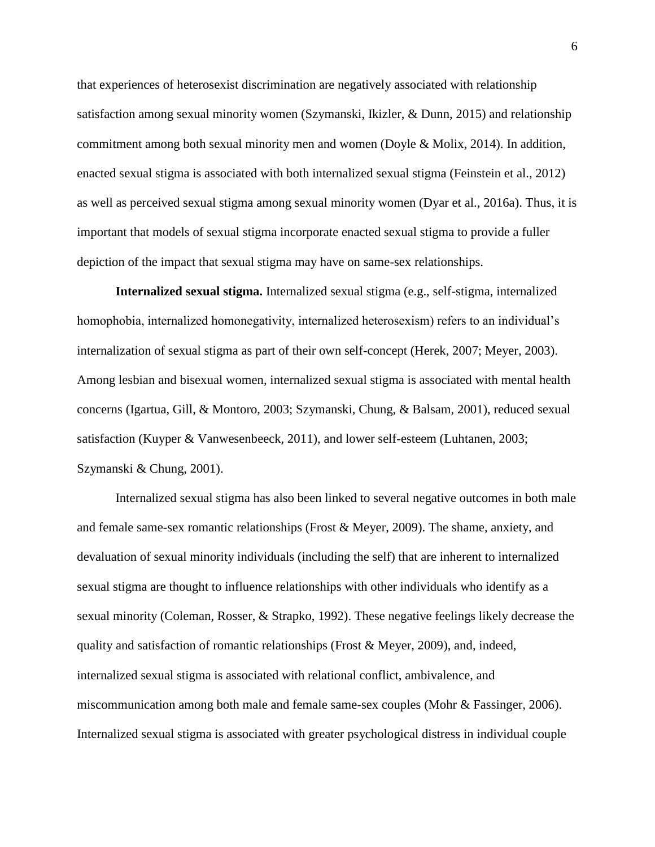that experiences of heterosexist discrimination are negatively associated with relationship satisfaction among sexual minority women (Szymanski, Ikizler, & Dunn, 2015) and relationship commitment among both sexual minority men and women (Doyle & Molix, 2014). In addition, enacted sexual stigma is associated with both internalized sexual stigma (Feinstein et al., 2012) as well as perceived sexual stigma among sexual minority women (Dyar et al., 2016a). Thus, it is important that models of sexual stigma incorporate enacted sexual stigma to provide a fuller depiction of the impact that sexual stigma may have on same-sex relationships.

**Internalized sexual stigma.** Internalized sexual stigma (e.g., self-stigma, internalized homophobia, internalized homonegativity, internalized heterosexism) refers to an individual's internalization of sexual stigma as part of their own self-concept (Herek, 2007; Meyer, 2003). Among lesbian and bisexual women, internalized sexual stigma is associated with mental health concerns (Igartua, Gill, & Montoro, 2003; Szymanski, Chung, & Balsam, 2001), reduced sexual satisfaction (Kuyper & Vanwesenbeeck, 2011), and lower self-esteem (Luhtanen, 2003; Szymanski & Chung, 2001).

Internalized sexual stigma has also been linked to several negative outcomes in both male and female same-sex romantic relationships (Frost & Meyer, 2009). The shame, anxiety, and devaluation of sexual minority individuals (including the self) that are inherent to internalized sexual stigma are thought to influence relationships with other individuals who identify as a sexual minority (Coleman, Rosser, & Strapko, 1992). These negative feelings likely decrease the quality and satisfaction of romantic relationships (Frost & Meyer, 2009), and, indeed, internalized sexual stigma is associated with relational conflict, ambivalence, and miscommunication among both male and female same-sex couples (Mohr & Fassinger, 2006). Internalized sexual stigma is associated with greater psychological distress in individual couple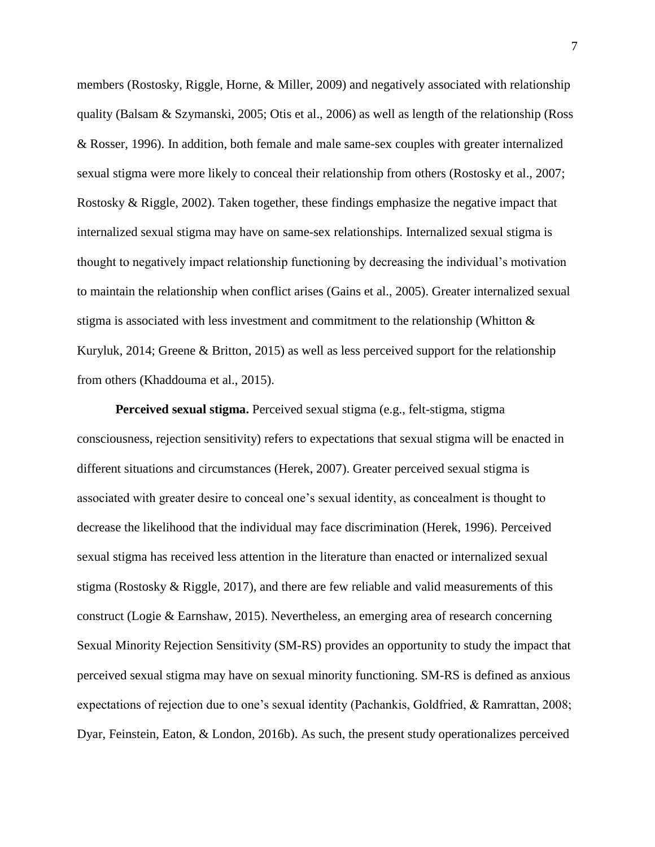members (Rostosky, Riggle, Horne, & Miller, 2009) and negatively associated with relationship quality (Balsam & Szymanski, 2005; Otis et al., 2006) as well as length of the relationship (Ross & Rosser, 1996). In addition, both female and male same-sex couples with greater internalized sexual stigma were more likely to conceal their relationship from others (Rostosky et al., 2007; Rostosky & Riggle, 2002). Taken together, these findings emphasize the negative impact that internalized sexual stigma may have on same-sex relationships. Internalized sexual stigma is thought to negatively impact relationship functioning by decreasing the individual's motivation to maintain the relationship when conflict arises (Gains et al., 2005). Greater internalized sexual stigma is associated with less investment and commitment to the relationship (Whitton & Kuryluk, 2014; Greene & Britton, 2015) as well as less perceived support for the relationship from others (Khaddouma et al., 2015).

**Perceived sexual stigma.** Perceived sexual stigma (e.g., felt-stigma, stigma consciousness, rejection sensitivity) refers to expectations that sexual stigma will be enacted in different situations and circumstances (Herek, 2007). Greater perceived sexual stigma is associated with greater desire to conceal one's sexual identity, as concealment is thought to decrease the likelihood that the individual may face discrimination (Herek, 1996). Perceived sexual stigma has received less attention in the literature than enacted or internalized sexual stigma (Rostosky  $\&$  Riggle, 2017), and there are few reliable and valid measurements of this construct (Logie & Earnshaw, 2015). Nevertheless, an emerging area of research concerning Sexual Minority Rejection Sensitivity (SM-RS) provides an opportunity to study the impact that perceived sexual stigma may have on sexual minority functioning. SM-RS is defined as anxious expectations of rejection due to one's sexual identity (Pachankis, Goldfried, & Ramrattan, 2008; Dyar, Feinstein, Eaton, & London, 2016b). As such, the present study operationalizes perceived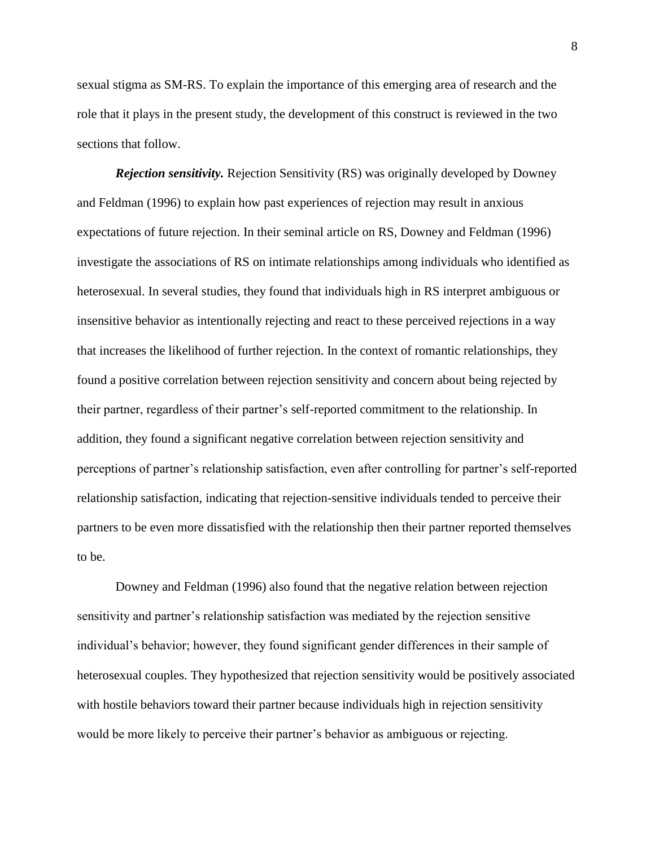sexual stigma as SM-RS. To explain the importance of this emerging area of research and the role that it plays in the present study, the development of this construct is reviewed in the two sections that follow.

*Rejection sensitivity.* Rejection Sensitivity (RS) was originally developed by Downey and Feldman (1996) to explain how past experiences of rejection may result in anxious expectations of future rejection. In their seminal article on RS, Downey and Feldman (1996) investigate the associations of RS on intimate relationships among individuals who identified as heterosexual. In several studies, they found that individuals high in RS interpret ambiguous or insensitive behavior as intentionally rejecting and react to these perceived rejections in a way that increases the likelihood of further rejection. In the context of romantic relationships, they found a positive correlation between rejection sensitivity and concern about being rejected by their partner, regardless of their partner's self-reported commitment to the relationship. In addition, they found a significant negative correlation between rejection sensitivity and perceptions of partner's relationship satisfaction, even after controlling for partner's self-reported relationship satisfaction, indicating that rejection-sensitive individuals tended to perceive their partners to be even more dissatisfied with the relationship then their partner reported themselves to be.

Downey and Feldman (1996) also found that the negative relation between rejection sensitivity and partner's relationship satisfaction was mediated by the rejection sensitive individual's behavior; however, they found significant gender differences in their sample of heterosexual couples. They hypothesized that rejection sensitivity would be positively associated with hostile behaviors toward their partner because individuals high in rejection sensitivity would be more likely to perceive their partner's behavior as ambiguous or rejecting.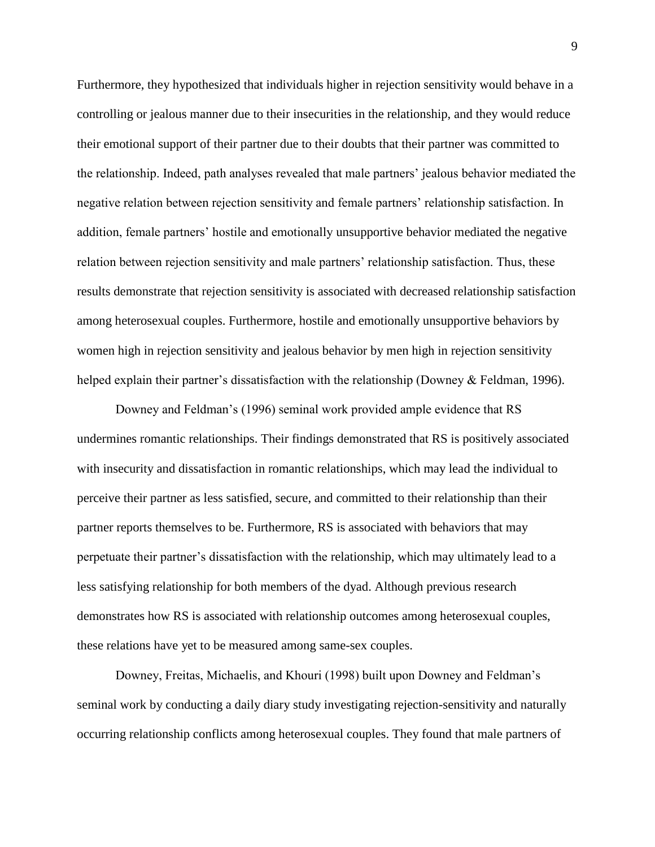Furthermore, they hypothesized that individuals higher in rejection sensitivity would behave in a controlling or jealous manner due to their insecurities in the relationship, and they would reduce their emotional support of their partner due to their doubts that their partner was committed to the relationship. Indeed, path analyses revealed that male partners' jealous behavior mediated the negative relation between rejection sensitivity and female partners' relationship satisfaction. In addition, female partners' hostile and emotionally unsupportive behavior mediated the negative relation between rejection sensitivity and male partners' relationship satisfaction. Thus, these results demonstrate that rejection sensitivity is associated with decreased relationship satisfaction among heterosexual couples. Furthermore, hostile and emotionally unsupportive behaviors by women high in rejection sensitivity and jealous behavior by men high in rejection sensitivity helped explain their partner's dissatisfaction with the relationship (Downey & Feldman, 1996).

Downey and Feldman's (1996) seminal work provided ample evidence that RS undermines romantic relationships. Their findings demonstrated that RS is positively associated with insecurity and dissatisfaction in romantic relationships, which may lead the individual to perceive their partner as less satisfied, secure, and committed to their relationship than their partner reports themselves to be. Furthermore, RS is associated with behaviors that may perpetuate their partner's dissatisfaction with the relationship, which may ultimately lead to a less satisfying relationship for both members of the dyad. Although previous research demonstrates how RS is associated with relationship outcomes among heterosexual couples, these relations have yet to be measured among same-sex couples.

Downey, Freitas, Michaelis, and Khouri (1998) built upon Downey and Feldman's seminal work by conducting a daily diary study investigating rejection-sensitivity and naturally occurring relationship conflicts among heterosexual couples. They found that male partners of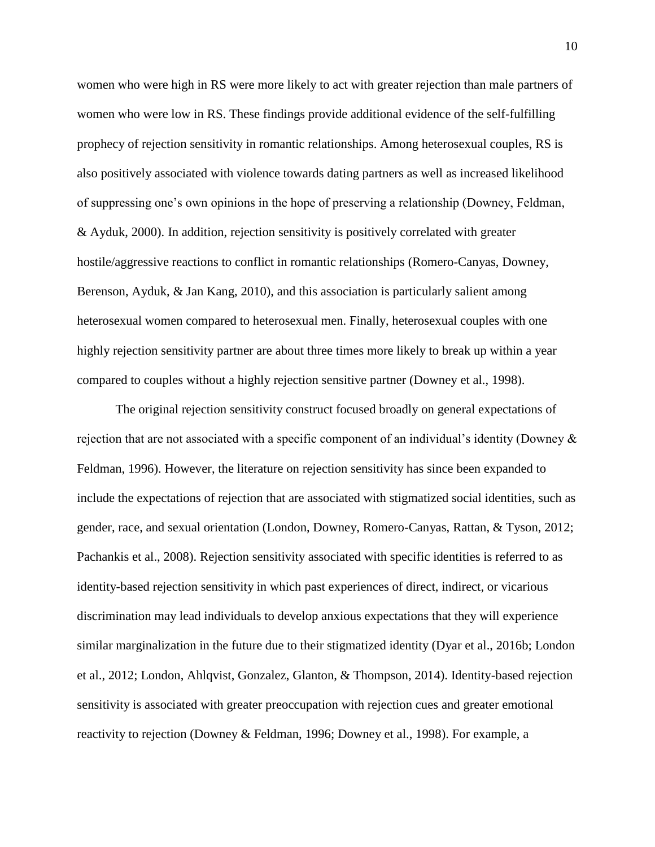women who were high in RS were more likely to act with greater rejection than male partners of women who were low in RS. These findings provide additional evidence of the self-fulfilling prophecy of rejection sensitivity in romantic relationships. Among heterosexual couples, RS is also positively associated with violence towards dating partners as well as increased likelihood of suppressing one's own opinions in the hope of preserving a relationship (Downey, Feldman, & Ayduk, 2000). In addition, rejection sensitivity is positively correlated with greater hostile/aggressive reactions to conflict in romantic relationships (Romero-Canyas, Downey, Berenson, Ayduk, & Jan Kang, 2010), and this association is particularly salient among heterosexual women compared to heterosexual men. Finally, heterosexual couples with one highly rejection sensitivity partner are about three times more likely to break up within a year compared to couples without a highly rejection sensitive partner (Downey et al., 1998).

The original rejection sensitivity construct focused broadly on general expectations of rejection that are not associated with a specific component of an individual's identity (Downey & Feldman, 1996). However, the literature on rejection sensitivity has since been expanded to include the expectations of rejection that are associated with stigmatized social identities, such as gender, race, and sexual orientation (London, Downey, Romero-Canyas, Rattan, & Tyson, 2012; Pachankis et al., 2008). Rejection sensitivity associated with specific identities is referred to as identity-based rejection sensitivity in which past experiences of direct, indirect, or vicarious discrimination may lead individuals to develop anxious expectations that they will experience similar marginalization in the future due to their stigmatized identity (Dyar et al., 2016b; London et al., 2012; London, Ahlqvist, Gonzalez, Glanton, & Thompson, 2014). Identity-based rejection sensitivity is associated with greater preoccupation with rejection cues and greater emotional reactivity to rejection (Downey & Feldman, 1996; Downey et al., 1998). For example, a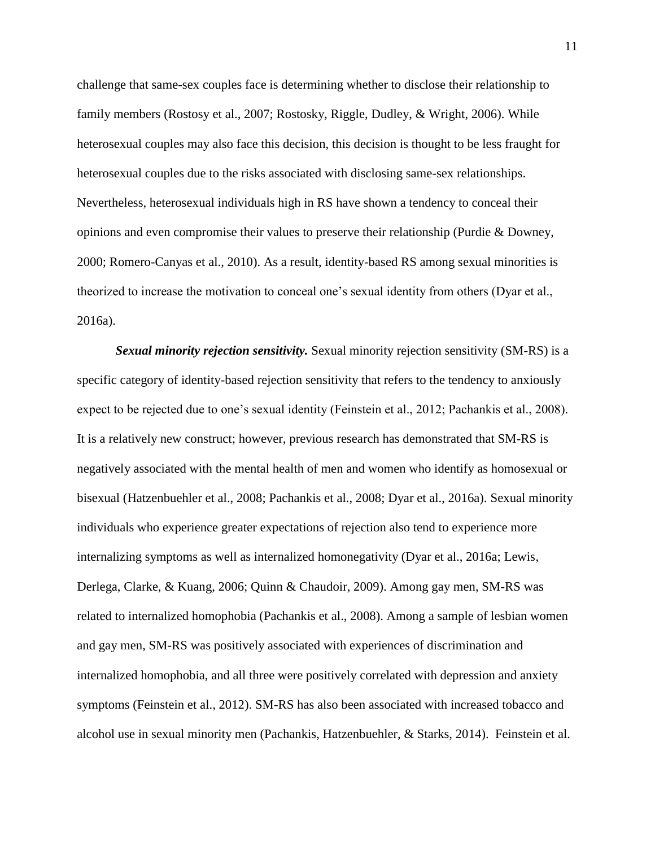challenge that same-sex couples face is determining whether to disclose their relationship to family members (Rostosy et al., 2007; Rostosky, Riggle, Dudley, & Wright, 2006). While heterosexual couples may also face this decision, this decision is thought to be less fraught for heterosexual couples due to the risks associated with disclosing same-sex relationships. Nevertheless, heterosexual individuals high in RS have shown a tendency to conceal their opinions and even compromise their values to preserve their relationship (Purdie & Downey, 2000; Romero-Canyas et al., 2010). As a result, identity-based RS among sexual minorities is theorized to increase the motivation to conceal one's sexual identity from others (Dyar et al., 2016a).

*Sexual minority rejection sensitivity.* Sexual minority rejection sensitivity (SM-RS) is a specific category of identity-based rejection sensitivity that refers to the tendency to anxiously expect to be rejected due to one's sexual identity (Feinstein et al., 2012; Pachankis et al., 2008). It is a relatively new construct; however, previous research has demonstrated that SM-RS is negatively associated with the mental health of men and women who identify as homosexual or bisexual (Hatzenbuehler et al., 2008; Pachankis et al., 2008; Dyar et al., 2016a). Sexual minority individuals who experience greater expectations of rejection also tend to experience more internalizing symptoms as well as internalized homonegativity (Dyar et al., 2016a; Lewis, Derlega, Clarke, & Kuang, 2006; Quinn & Chaudoir, 2009). Among gay men, SM-RS was related to internalized homophobia (Pachankis et al., 2008). Among a sample of lesbian women and gay men, SM-RS was positively associated with experiences of discrimination and internalized homophobia, and all three were positively correlated with depression and anxiety symptoms (Feinstein et al., 2012). SM-RS has also been associated with increased tobacco and alcohol use in sexual minority men (Pachankis, Hatzenbuehler, & Starks, 2014). Feinstein et al.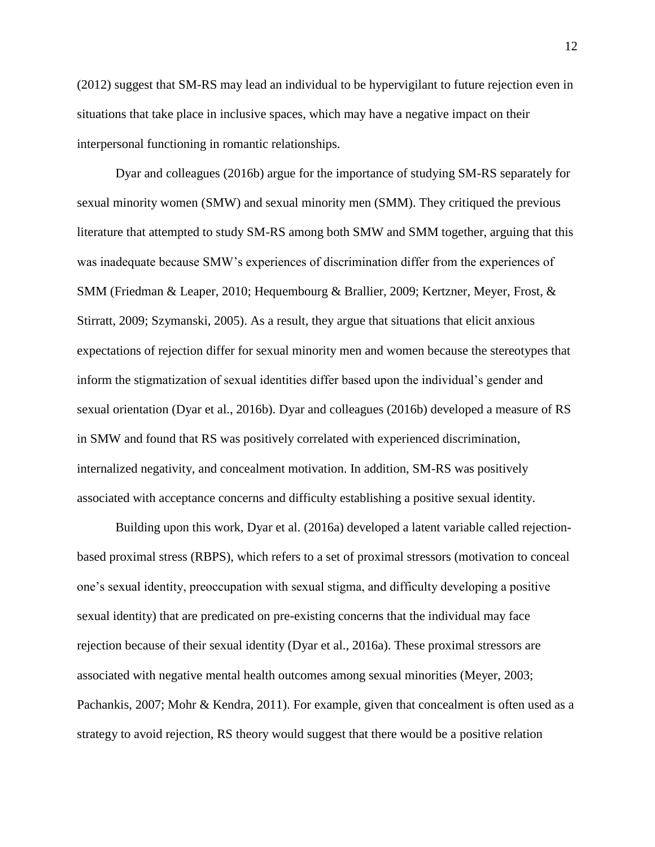(2012) suggest that SM-RS may lead an individual to be hypervigilant to future rejection even in situations that take place in inclusive spaces, which may have a negative impact on their interpersonal functioning in romantic relationships.

Dyar and colleagues (2016b) argue for the importance of studying SM-RS separately for sexual minority women (SMW) and sexual minority men (SMM). They critiqued the previous literature that attempted to study SM-RS among both SMW and SMM together, arguing that this was inadequate because SMW's experiences of discrimination differ from the experiences of SMM (Friedman & Leaper, 2010; Hequembourg & Brallier, 2009; Kertzner, Meyer, Frost, & Stirratt, 2009; Szymanski, 2005). As a result, they argue that situations that elicit anxious expectations of rejection differ for sexual minority men and women because the stereotypes that inform the stigmatization of sexual identities differ based upon the individual's gender and sexual orientation (Dyar et al., 2016b). Dyar and colleagues (2016b) developed a measure of RS in SMW and found that RS was positively correlated with experienced discrimination, internalized negativity, and concealment motivation. In addition, SM-RS was positively associated with acceptance concerns and difficulty establishing a positive sexual identity.

Building upon this work, Dyar et al. (2016a) developed a latent variable called rejectionbased proximal stress (RBPS), which refers to a set of proximal stressors (motivation to conceal one's sexual identity, preoccupation with sexual stigma, and difficulty developing a positive sexual identity) that are predicated on pre-existing concerns that the individual may face rejection because of their sexual identity (Dyar et al., 2016a). These proximal stressors are associated with negative mental health outcomes among sexual minorities (Meyer, 2003; Pachankis, 2007; Mohr & Kendra, 2011). For example, given that concealment is often used as a strategy to avoid rejection, RS theory would suggest that there would be a positive relation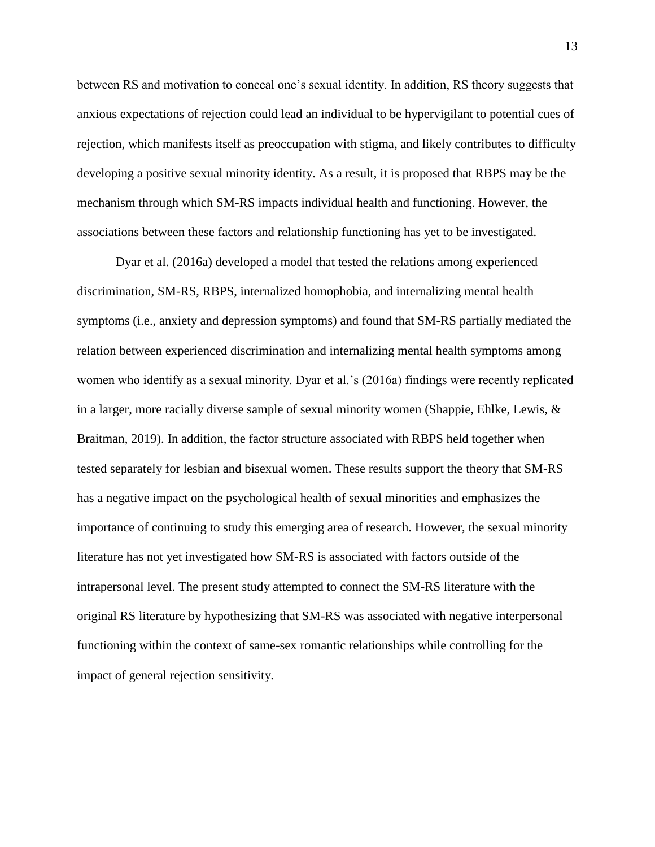between RS and motivation to conceal one's sexual identity. In addition, RS theory suggests that anxious expectations of rejection could lead an individual to be hypervigilant to potential cues of rejection, which manifests itself as preoccupation with stigma, and likely contributes to difficulty developing a positive sexual minority identity. As a result, it is proposed that RBPS may be the mechanism through which SM-RS impacts individual health and functioning. However, the associations between these factors and relationship functioning has yet to be investigated.

Dyar et al. (2016a) developed a model that tested the relations among experienced discrimination, SM-RS, RBPS, internalized homophobia, and internalizing mental health symptoms (i.e., anxiety and depression symptoms) and found that SM-RS partially mediated the relation between experienced discrimination and internalizing mental health symptoms among women who identify as a sexual minority. Dyar et al.'s (2016a) findings were recently replicated in a larger, more racially diverse sample of sexual minority women (Shappie, Ehlke, Lewis,  $\&$ Braitman, 2019). In addition, the factor structure associated with RBPS held together when tested separately for lesbian and bisexual women. These results support the theory that SM-RS has a negative impact on the psychological health of sexual minorities and emphasizes the importance of continuing to study this emerging area of research. However, the sexual minority literature has not yet investigated how SM-RS is associated with factors outside of the intrapersonal level. The present study attempted to connect the SM-RS literature with the original RS literature by hypothesizing that SM-RS was associated with negative interpersonal functioning within the context of same-sex romantic relationships while controlling for the impact of general rejection sensitivity.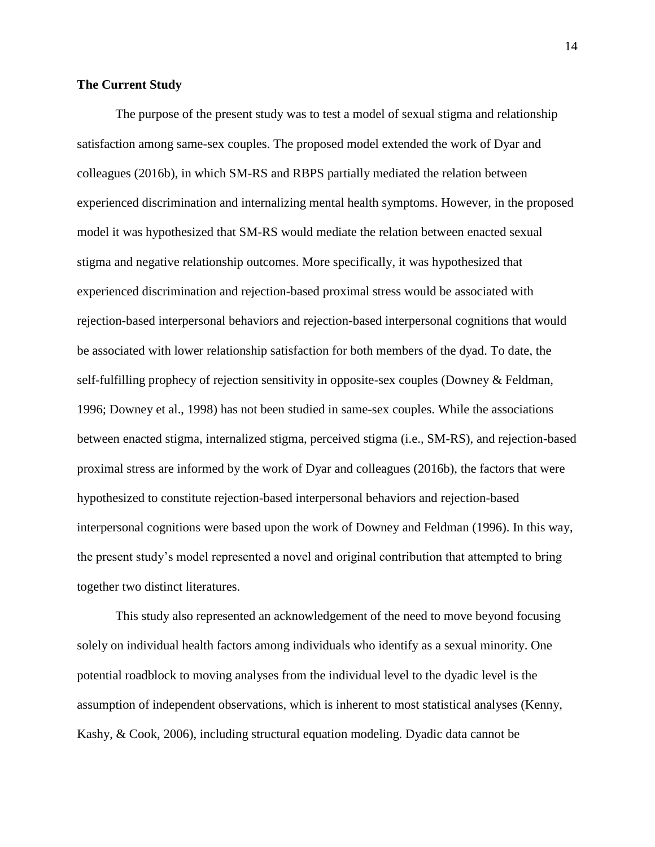## **The Current Study**

The purpose of the present study was to test a model of sexual stigma and relationship satisfaction among same-sex couples. The proposed model extended the work of Dyar and colleagues (2016b), in which SM-RS and RBPS partially mediated the relation between experienced discrimination and internalizing mental health symptoms. However, in the proposed model it was hypothesized that SM-RS would mediate the relation between enacted sexual stigma and negative relationship outcomes. More specifically, it was hypothesized that experienced discrimination and rejection-based proximal stress would be associated with rejection-based interpersonal behaviors and rejection-based interpersonal cognitions that would be associated with lower relationship satisfaction for both members of the dyad. To date, the self-fulfilling prophecy of rejection sensitivity in opposite-sex couples (Downey & Feldman, 1996; Downey et al., 1998) has not been studied in same-sex couples. While the associations between enacted stigma, internalized stigma, perceived stigma (i.e., SM-RS), and rejection-based proximal stress are informed by the work of Dyar and colleagues (2016b), the factors that were hypothesized to constitute rejection-based interpersonal behaviors and rejection-based interpersonal cognitions were based upon the work of Downey and Feldman (1996). In this way, the present study's model represented a novel and original contribution that attempted to bring together two distinct literatures.

This study also represented an acknowledgement of the need to move beyond focusing solely on individual health factors among individuals who identify as a sexual minority. One potential roadblock to moving analyses from the individual level to the dyadic level is the assumption of independent observations, which is inherent to most statistical analyses (Kenny, Kashy, & Cook, 2006), including structural equation modeling. Dyadic data cannot be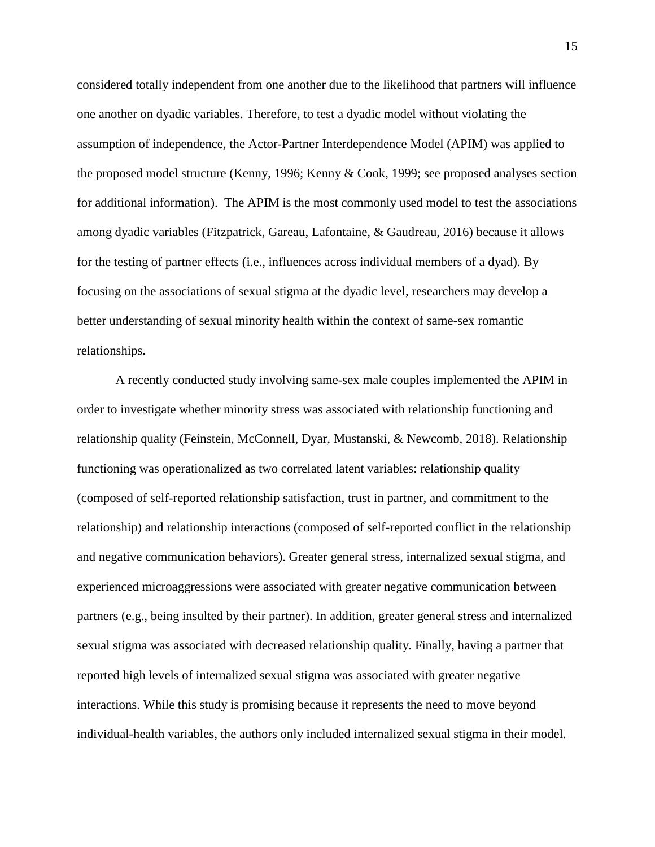considered totally independent from one another due to the likelihood that partners will influence one another on dyadic variables. Therefore, to test a dyadic model without violating the assumption of independence, the Actor-Partner Interdependence Model (APIM) was applied to the proposed model structure (Kenny, 1996; Kenny & Cook, 1999; see proposed analyses section for additional information). The APIM is the most commonly used model to test the associations among dyadic variables (Fitzpatrick, Gareau, Lafontaine, & Gaudreau, 2016) because it allows for the testing of partner effects (i.e., influences across individual members of a dyad). By focusing on the associations of sexual stigma at the dyadic level, researchers may develop a better understanding of sexual minority health within the context of same-sex romantic relationships.

A recently conducted study involving same-sex male couples implemented the APIM in order to investigate whether minority stress was associated with relationship functioning and relationship quality (Feinstein, McConnell, Dyar, Mustanski, & Newcomb, 2018). Relationship functioning was operationalized as two correlated latent variables: relationship quality (composed of self-reported relationship satisfaction, trust in partner, and commitment to the relationship) and relationship interactions (composed of self-reported conflict in the relationship and negative communication behaviors). Greater general stress, internalized sexual stigma, and experienced microaggressions were associated with greater negative communication between partners (e.g., being insulted by their partner). In addition, greater general stress and internalized sexual stigma was associated with decreased relationship quality. Finally, having a partner that reported high levels of internalized sexual stigma was associated with greater negative interactions. While this study is promising because it represents the need to move beyond individual-health variables, the authors only included internalized sexual stigma in their model.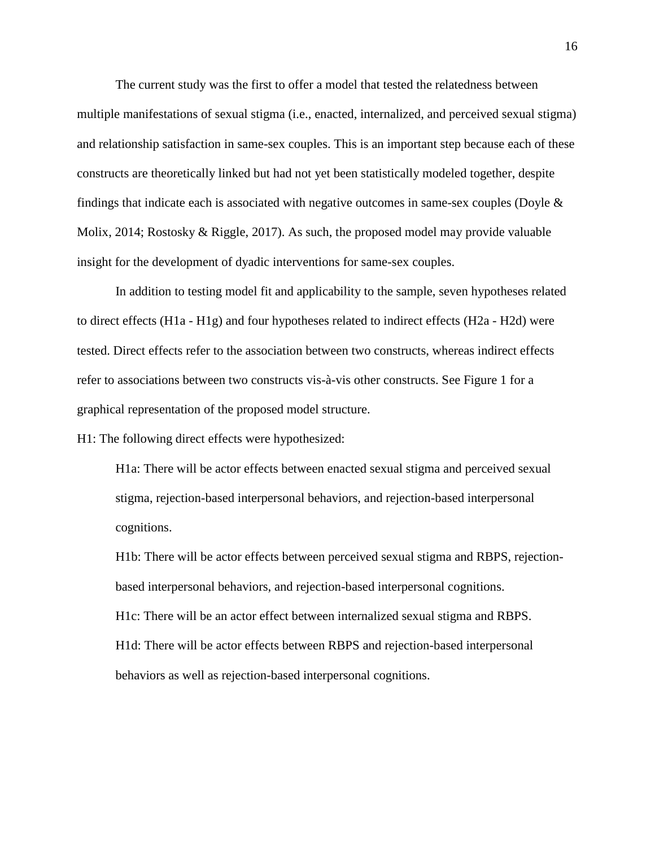The current study was the first to offer a model that tested the relatedness between multiple manifestations of sexual stigma (i.e., enacted, internalized, and perceived sexual stigma) and relationship satisfaction in same-sex couples. This is an important step because each of these constructs are theoretically linked but had not yet been statistically modeled together, despite findings that indicate each is associated with negative outcomes in same-sex couples (Doyle  $\&$ Molix, 2014; Rostosky & Riggle, 2017). As such, the proposed model may provide valuable insight for the development of dyadic interventions for same-sex couples.

In addition to testing model fit and applicability to the sample, seven hypotheses related to direct effects (H1a - H1g) and four hypotheses related to indirect effects (H2a - H2d) were tested. Direct effects refer to the association between two constructs, whereas indirect effects refer to associations between two constructs vis-à-vis other constructs. See Figure 1 for a graphical representation of the proposed model structure.

H1: The following direct effects were hypothesized:

H1a: There will be actor effects between enacted sexual stigma and perceived sexual stigma, rejection-based interpersonal behaviors, and rejection-based interpersonal cognitions.

H1b: There will be actor effects between perceived sexual stigma and RBPS, rejectionbased interpersonal behaviors, and rejection-based interpersonal cognitions. H1c: There will be an actor effect between internalized sexual stigma and RBPS. H1d: There will be actor effects between RBPS and rejection-based interpersonal behaviors as well as rejection-based interpersonal cognitions.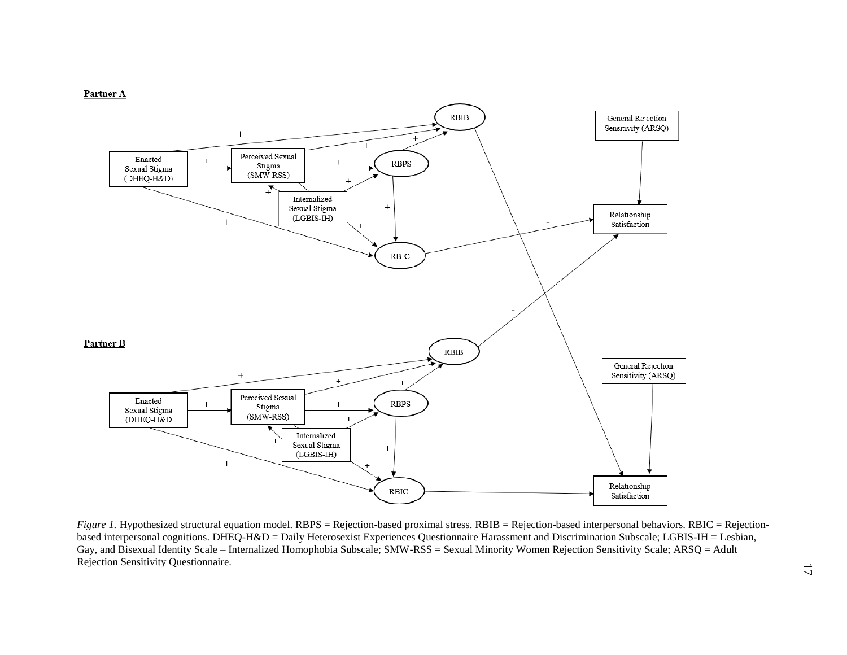

*Figure 1.* Hypothesized structural equation model. RBPS = Rejection-based proximal stress. RBIB = Rejection-based interpersonal behaviors. RBIC = Rejectionbased interpersonal cognitions. DHEQ-H&D = Daily Heterosexist Experiences Questionnaire Harassment and Discrimination Subscale; LGBIS-IH = Lesbian, Gay, and Bisexual Identity Scale – Internalized Homophobia Subscale; SMW-RSS = Sexual Minority Women Rejection Sensitivity Scale; ARSQ = Adult Rejection Sensitivity Questionnaire.

#### Partner A

17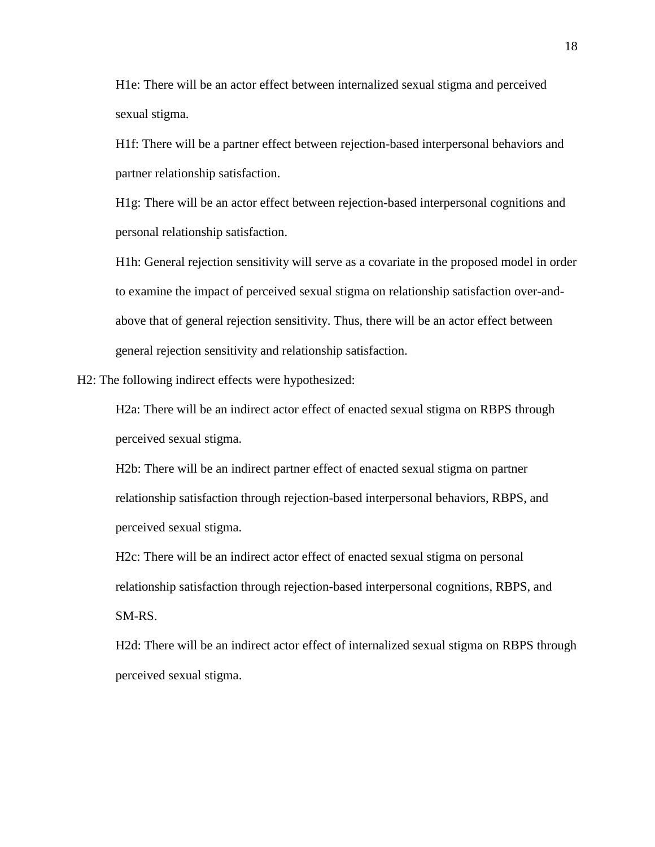H1e: There will be an actor effect between internalized sexual stigma and perceived sexual stigma.

H1f: There will be a partner effect between rejection-based interpersonal behaviors and partner relationship satisfaction.

H1g: There will be an actor effect between rejection-based interpersonal cognitions and personal relationship satisfaction.

H1h: General rejection sensitivity will serve as a covariate in the proposed model in order to examine the impact of perceived sexual stigma on relationship satisfaction over-andabove that of general rejection sensitivity. Thus, there will be an actor effect between general rejection sensitivity and relationship satisfaction.

H2: The following indirect effects were hypothesized:

H2a: There will be an indirect actor effect of enacted sexual stigma on RBPS through perceived sexual stigma.

H2b: There will be an indirect partner effect of enacted sexual stigma on partner relationship satisfaction through rejection-based interpersonal behaviors, RBPS, and perceived sexual stigma.

H2c: There will be an indirect actor effect of enacted sexual stigma on personal relationship satisfaction through rejection-based interpersonal cognitions, RBPS, and SM-RS.

H2d: There will be an indirect actor effect of internalized sexual stigma on RBPS through perceived sexual stigma.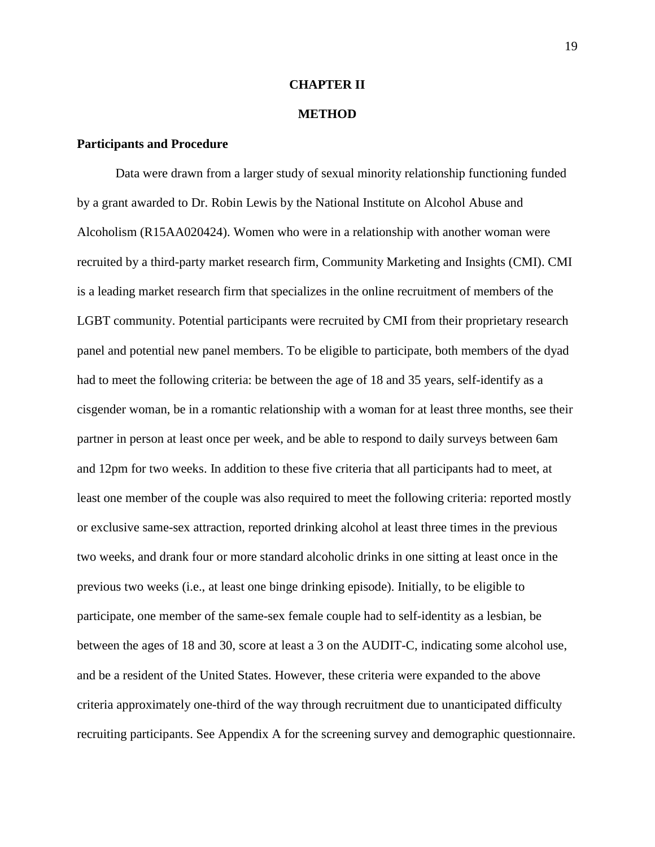## **CHAPTER II**

## **METHOD**

## **Participants and Procedure**

Data were drawn from a larger study of sexual minority relationship functioning funded by a grant awarded to Dr. Robin Lewis by the National Institute on Alcohol Abuse and Alcoholism (R15AA020424). Women who were in a relationship with another woman were recruited by a third-party market research firm, Community Marketing and Insights (CMI). CMI is a leading market research firm that specializes in the online recruitment of members of the LGBT community. Potential participants were recruited by CMI from their proprietary research panel and potential new panel members. To be eligible to participate, both members of the dyad had to meet the following criteria: be between the age of 18 and 35 years, self-identify as a cisgender woman, be in a romantic relationship with a woman for at least three months, see their partner in person at least once per week, and be able to respond to daily surveys between 6am and 12pm for two weeks. In addition to these five criteria that all participants had to meet, at least one member of the couple was also required to meet the following criteria: reported mostly or exclusive same-sex attraction, reported drinking alcohol at least three times in the previous two weeks, and drank four or more standard alcoholic drinks in one sitting at least once in the previous two weeks (i.e., at least one binge drinking episode). Initially, to be eligible to participate, one member of the same-sex female couple had to self-identity as a lesbian, be between the ages of 18 and 30, score at least a 3 on the AUDIT-C, indicating some alcohol use, and be a resident of the United States. However, these criteria were expanded to the above criteria approximately one-third of the way through recruitment due to unanticipated difficulty recruiting participants. See Appendix A for the screening survey and demographic questionnaire.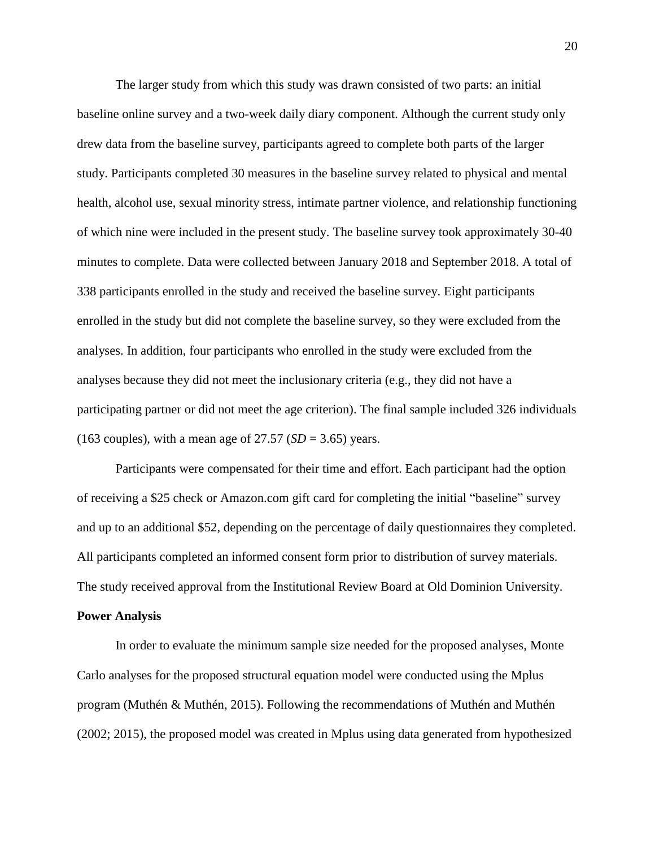The larger study from which this study was drawn consisted of two parts: an initial baseline online survey and a two-week daily diary component. Although the current study only drew data from the baseline survey, participants agreed to complete both parts of the larger study. Participants completed 30 measures in the baseline survey related to physical and mental health, alcohol use, sexual minority stress, intimate partner violence, and relationship functioning of which nine were included in the present study. The baseline survey took approximately 30-40 minutes to complete. Data were collected between January 2018 and September 2018. A total of 338 participants enrolled in the study and received the baseline survey. Eight participants enrolled in the study but did not complete the baseline survey, so they were excluded from the analyses. In addition, four participants who enrolled in the study were excluded from the analyses because they did not meet the inclusionary criteria (e.g., they did not have a participating partner or did not meet the age criterion). The final sample included 326 individuals (163 couples), with a mean age of  $27.57$  ( $SD = 3.65$ ) years.

Participants were compensated for their time and effort. Each participant had the option of receiving a \$25 check or Amazon.com gift card for completing the initial "baseline" survey and up to an additional \$52, depending on the percentage of daily questionnaires they completed. All participants completed an informed consent form prior to distribution of survey materials. The study received approval from the Institutional Review Board at Old Dominion University. **Power Analysis**

In order to evaluate the minimum sample size needed for the proposed analyses, Monte Carlo analyses for the proposed structural equation model were conducted using the Mplus program (Muthén & Muthén, 2015). Following the recommendations of Muthén and Muthén (2002; 2015), the proposed model was created in Mplus using data generated from hypothesized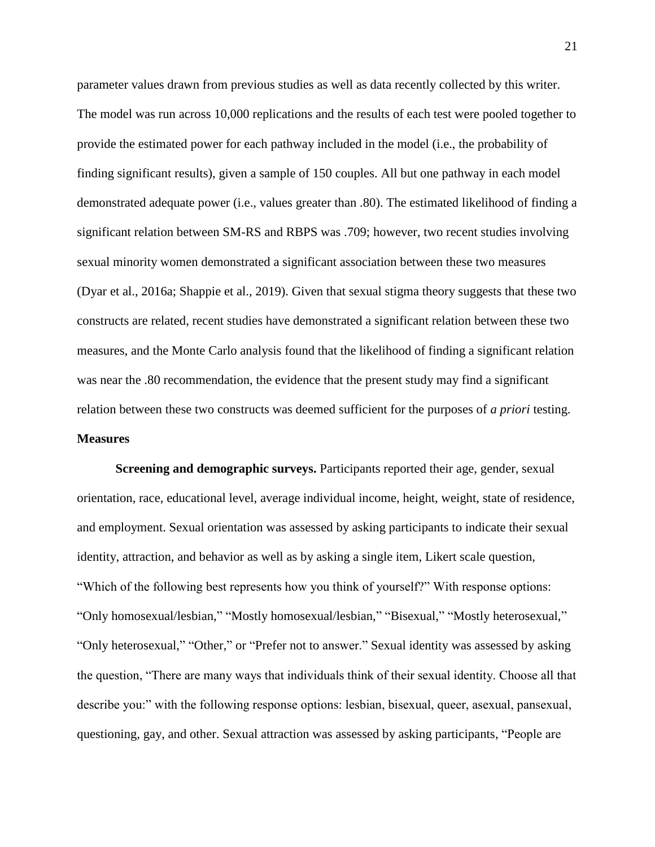parameter values drawn from previous studies as well as data recently collected by this writer. The model was run across 10,000 replications and the results of each test were pooled together to provide the estimated power for each pathway included in the model (i.e., the probability of finding significant results), given a sample of 150 couples. All but one pathway in each model demonstrated adequate power (i.e., values greater than .80). The estimated likelihood of finding a significant relation between SM-RS and RBPS was .709; however, two recent studies involving sexual minority women demonstrated a significant association between these two measures (Dyar et al., 2016a; Shappie et al., 2019). Given that sexual stigma theory suggests that these two constructs are related, recent studies have demonstrated a significant relation between these two measures, and the Monte Carlo analysis found that the likelihood of finding a significant relation was near the .80 recommendation, the evidence that the present study may find a significant relation between these two constructs was deemed sufficient for the purposes of *a priori* testing. **Measures**

**Screening and demographic surveys.** Participants reported their age, gender, sexual orientation, race, educational level, average individual income, height, weight, state of residence, and employment. Sexual orientation was assessed by asking participants to indicate their sexual identity, attraction, and behavior as well as by asking a single item, Likert scale question, "Which of the following best represents how you think of yourself?" With response options: "Only homosexual/lesbian," "Mostly homosexual/lesbian," "Bisexual," "Mostly heterosexual," "Only heterosexual," "Other," or "Prefer not to answer." Sexual identity was assessed by asking the question, "There are many ways that individuals think of their sexual identity. Choose all that describe you:" with the following response options: lesbian, bisexual, queer, asexual, pansexual, questioning, gay, and other. Sexual attraction was assessed by asking participants, "People are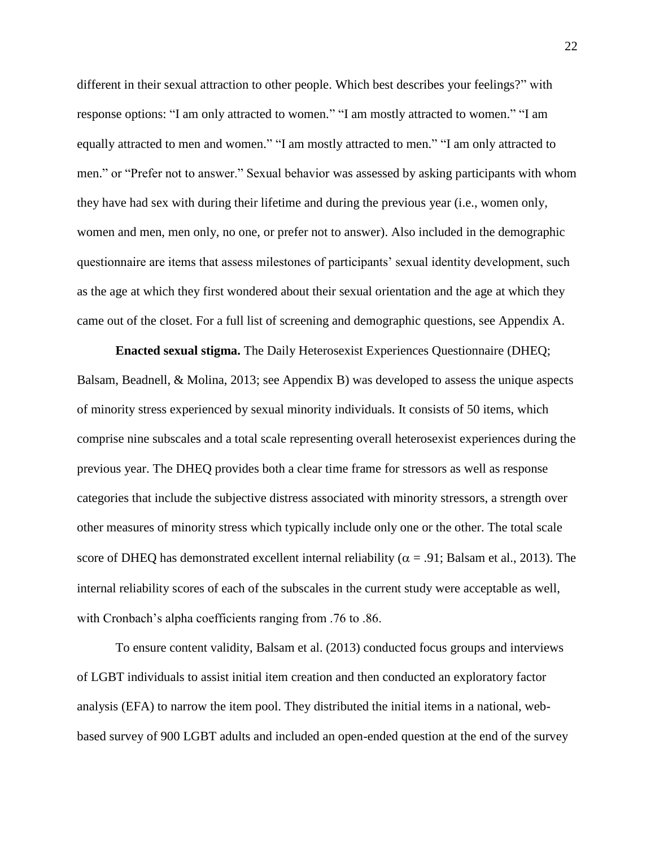different in their sexual attraction to other people. Which best describes your feelings?" with response options: "I am only attracted to women." "I am mostly attracted to women." "I am equally attracted to men and women." "I am mostly attracted to men." "I am only attracted to men." or "Prefer not to answer." Sexual behavior was assessed by asking participants with whom they have had sex with during their lifetime and during the previous year (i.e., women only, women and men, men only, no one, or prefer not to answer). Also included in the demographic questionnaire are items that assess milestones of participants' sexual identity development, such as the age at which they first wondered about their sexual orientation and the age at which they came out of the closet. For a full list of screening and demographic questions, see Appendix A.

**Enacted sexual stigma.** The Daily Heterosexist Experiences Questionnaire (DHEQ; Balsam, Beadnell, & Molina, 2013; see Appendix B) was developed to assess the unique aspects of minority stress experienced by sexual minority individuals. It consists of 50 items, which comprise nine subscales and a total scale representing overall heterosexist experiences during the previous year. The DHEQ provides both a clear time frame for stressors as well as response categories that include the subjective distress associated with minority stressors, a strength over other measures of minority stress which typically include only one or the other. The total scale score of DHEQ has demonstrated excellent internal reliability ( $\alpha$  = .91; Balsam et al., 2013). The internal reliability scores of each of the subscales in the current study were acceptable as well, with Cronbach's alpha coefficients ranging from .76 to .86.

To ensure content validity, Balsam et al. (2013) conducted focus groups and interviews of LGBT individuals to assist initial item creation and then conducted an exploratory factor analysis (EFA) to narrow the item pool. They distributed the initial items in a national, webbased survey of 900 LGBT adults and included an open-ended question at the end of the survey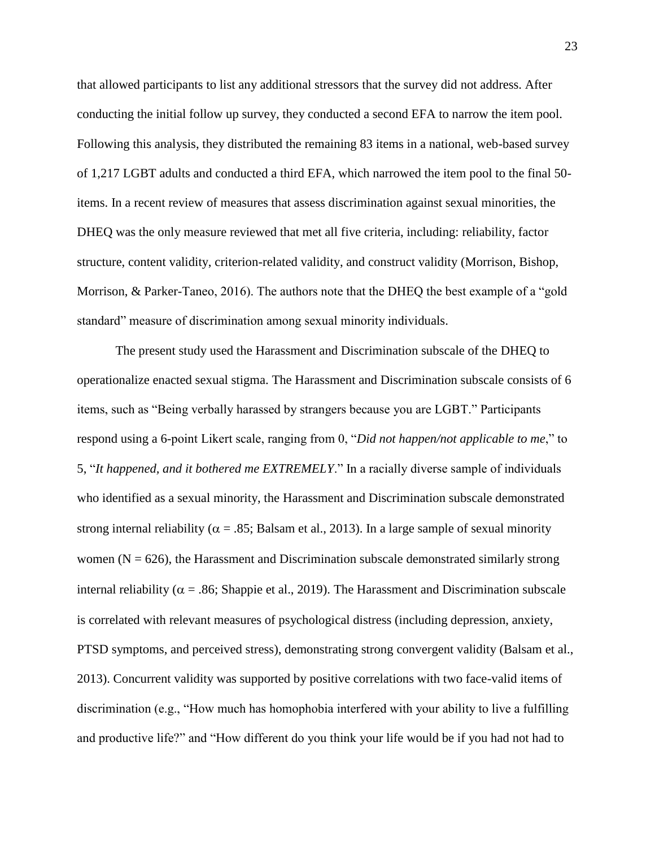that allowed participants to list any additional stressors that the survey did not address. After conducting the initial follow up survey, they conducted a second EFA to narrow the item pool. Following this analysis, they distributed the remaining 83 items in a national, web-based survey of 1,217 LGBT adults and conducted a third EFA, which narrowed the item pool to the final 50 items. In a recent review of measures that assess discrimination against sexual minorities, the DHEQ was the only measure reviewed that met all five criteria, including: reliability, factor structure, content validity, criterion-related validity, and construct validity (Morrison, Bishop, Morrison, & Parker-Taneo, 2016). The authors note that the DHEQ the best example of a "gold standard" measure of discrimination among sexual minority individuals.

The present study used the Harassment and Discrimination subscale of the DHEQ to operationalize enacted sexual stigma. The Harassment and Discrimination subscale consists of 6 items, such as "Being verbally harassed by strangers because you are LGBT." Participants respond using a 6-point Likert scale, ranging from 0, "*Did not happen/not applicable to me*," to 5, "*It happened, and it bothered me EXTREMELY*." In a racially diverse sample of individuals who identified as a sexual minority, the Harassment and Discrimination subscale demonstrated strong internal reliability ( $\alpha$  = .85; Balsam et al., 2013). In a large sample of sexual minority women ( $N = 626$ ), the Harassment and Discrimination subscale demonstrated similarly strong internal reliability ( $\alpha$  = .86; Shappie et al., 2019). The Harassment and Discrimination subscale is correlated with relevant measures of psychological distress (including depression, anxiety, PTSD symptoms, and perceived stress), demonstrating strong convergent validity (Balsam et al., 2013). Concurrent validity was supported by positive correlations with two face-valid items of discrimination (e.g., "How much has homophobia interfered with your ability to live a fulfilling and productive life?" and "How different do you think your life would be if you had not had to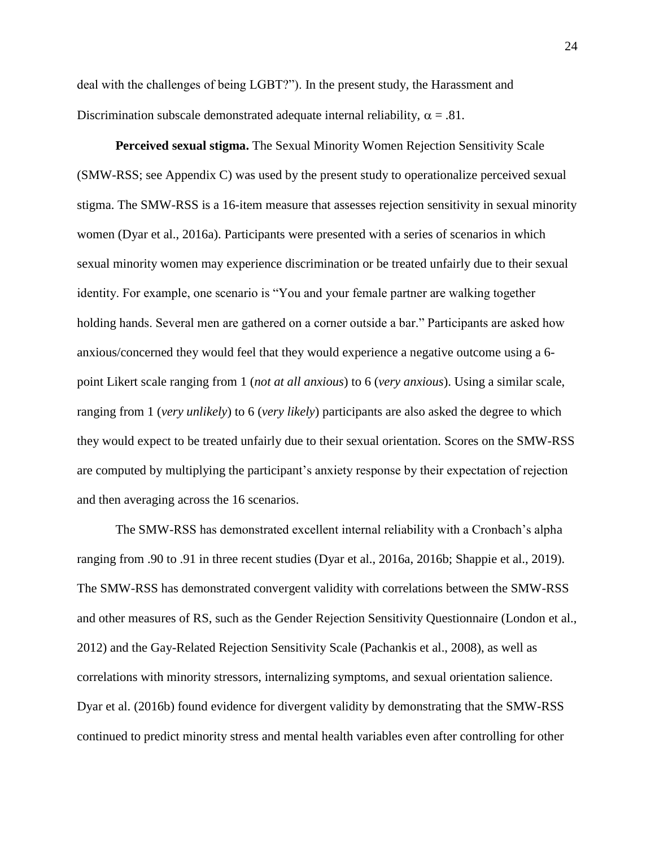deal with the challenges of being LGBT?"). In the present study, the Harassment and Discrimination subscale demonstrated adequate internal reliability,  $\alpha = .81$ .

**Perceived sexual stigma.** The Sexual Minority Women Rejection Sensitivity Scale (SMW-RSS; see Appendix C) was used by the present study to operationalize perceived sexual stigma. The SMW-RSS is a 16-item measure that assesses rejection sensitivity in sexual minority women (Dyar et al., 2016a). Participants were presented with a series of scenarios in which sexual minority women may experience discrimination or be treated unfairly due to their sexual identity. For example, one scenario is "You and your female partner are walking together holding hands. Several men are gathered on a corner outside a bar." Participants are asked how anxious/concerned they would feel that they would experience a negative outcome using a 6 point Likert scale ranging from 1 (*not at all anxious*) to 6 (*very anxious*). Using a similar scale, ranging from 1 (*very unlikely*) to 6 (*very likely*) participants are also asked the degree to which they would expect to be treated unfairly due to their sexual orientation. Scores on the SMW-RSS are computed by multiplying the participant's anxiety response by their expectation of rejection and then averaging across the 16 scenarios.

The SMW-RSS has demonstrated excellent internal reliability with a Cronbach's alpha ranging from .90 to .91 in three recent studies (Dyar et al., 2016a, 2016b; Shappie et al., 2019). The SMW-RSS has demonstrated convergent validity with correlations between the SMW-RSS and other measures of RS, such as the Gender Rejection Sensitivity Questionnaire (London et al., 2012) and the Gay-Related Rejection Sensitivity Scale (Pachankis et al., 2008), as well as correlations with minority stressors, internalizing symptoms, and sexual orientation salience. Dyar et al. (2016b) found evidence for divergent validity by demonstrating that the SMW-RSS continued to predict minority stress and mental health variables even after controlling for other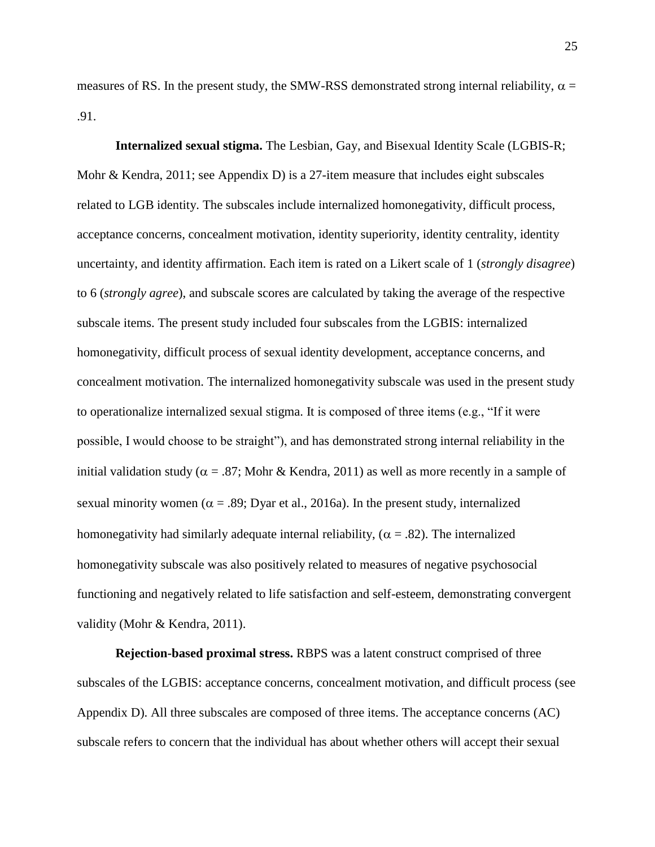measures of RS. In the present study, the SMW-RSS demonstrated strong internal reliability,  $\alpha$  = .91.

**Internalized sexual stigma.** The Lesbian, Gay, and Bisexual Identity Scale (LGBIS-R; Mohr & Kendra, 2011; see Appendix D) is a 27-item measure that includes eight subscales related to LGB identity. The subscales include internalized homonegativity, difficult process, acceptance concerns, concealment motivation, identity superiority, identity centrality, identity uncertainty, and identity affirmation. Each item is rated on a Likert scale of 1 (*strongly disagree*) to 6 (*strongly agree*), and subscale scores are calculated by taking the average of the respective subscale items. The present study included four subscales from the LGBIS: internalized homonegativity, difficult process of sexual identity development, acceptance concerns, and concealment motivation. The internalized homonegativity subscale was used in the present study to operationalize internalized sexual stigma. It is composed of three items (e.g., "If it were possible, I would choose to be straight"), and has demonstrated strong internal reliability in the initial validation study ( $\alpha = .87$ ; Mohr & Kendra, 2011) as well as more recently in a sample of sexual minority women ( $\alpha = .89$ ; Dyar et al., 2016a). In the present study, internalized homonegativity had similarly adequate internal reliability, ( $\alpha$  = .82). The internalized homonegativity subscale was also positively related to measures of negative psychosocial functioning and negatively related to life satisfaction and self-esteem, demonstrating convergent validity (Mohr & Kendra, 2011).

**Rejection-based proximal stress.** RBPS was a latent construct comprised of three subscales of the LGBIS: acceptance concerns, concealment motivation, and difficult process (see Appendix D). All three subscales are composed of three items. The acceptance concerns (AC) subscale refers to concern that the individual has about whether others will accept their sexual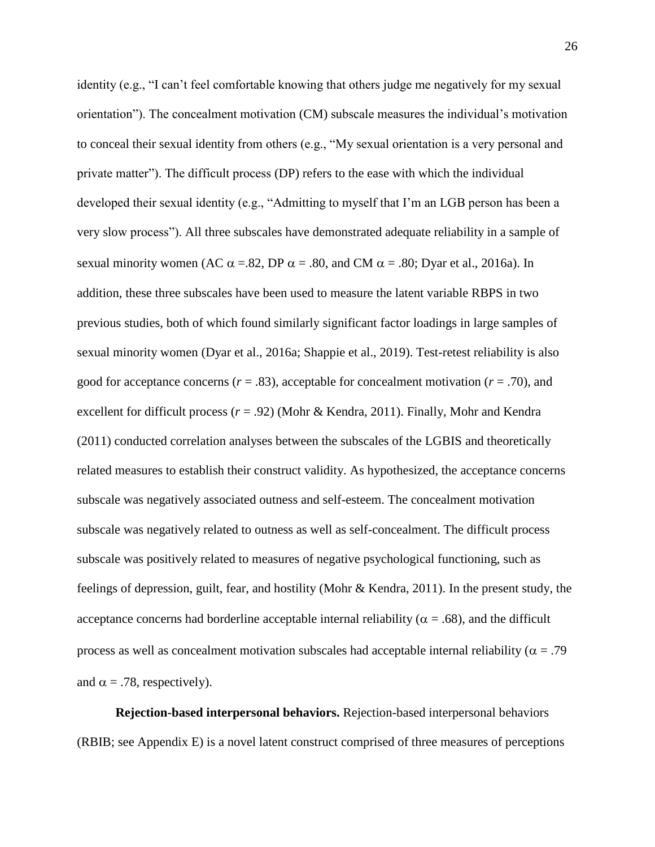identity (e.g., "I can't feel comfortable knowing that others judge me negatively for my sexual orientation"). The concealment motivation (CM) subscale measures the individual's motivation to conceal their sexual identity from others (e.g., "My sexual orientation is a very personal and private matter"). The difficult process (DP) refers to the ease with which the individual developed their sexual identity (e.g., "Admitting to myself that I'm an LGB person has been a very slow process"). All three subscales have demonstrated adequate reliability in a sample of sexual minority women (AC  $\alpha$  = .82, DP  $\alpha$  = .80, and CM  $\alpha$  = .80; Dyar et al., 2016a). In addition, these three subscales have been used to measure the latent variable RBPS in two previous studies, both of which found similarly significant factor loadings in large samples of sexual minority women (Dyar et al., 2016a; Shappie et al., 2019). Test-retest reliability is also good for acceptance concerns  $(r = .83)$ , acceptable for concealment motivation  $(r = .70)$ , and excellent for difficult process (*r* = .92) (Mohr & Kendra, 2011). Finally, Mohr and Kendra (2011) conducted correlation analyses between the subscales of the LGBIS and theoretically related measures to establish their construct validity. As hypothesized, the acceptance concerns subscale was negatively associated outness and self-esteem. The concealment motivation subscale was negatively related to outness as well as self-concealment. The difficult process subscale was positively related to measures of negative psychological functioning, such as feelings of depression, guilt, fear, and hostility (Mohr & Kendra, 2011). In the present study, the acceptance concerns had borderline acceptable internal reliability ( $\alpha = .68$ ), and the difficult process as well as concealment motivation subscales had acceptable internal reliability ( $\alpha = .79$ ) and  $\alpha = .78$ , respectively).

**Rejection-based interpersonal behaviors.** Rejection-based interpersonal behaviors (RBIB; see Appendix E) is a novel latent construct comprised of three measures of perceptions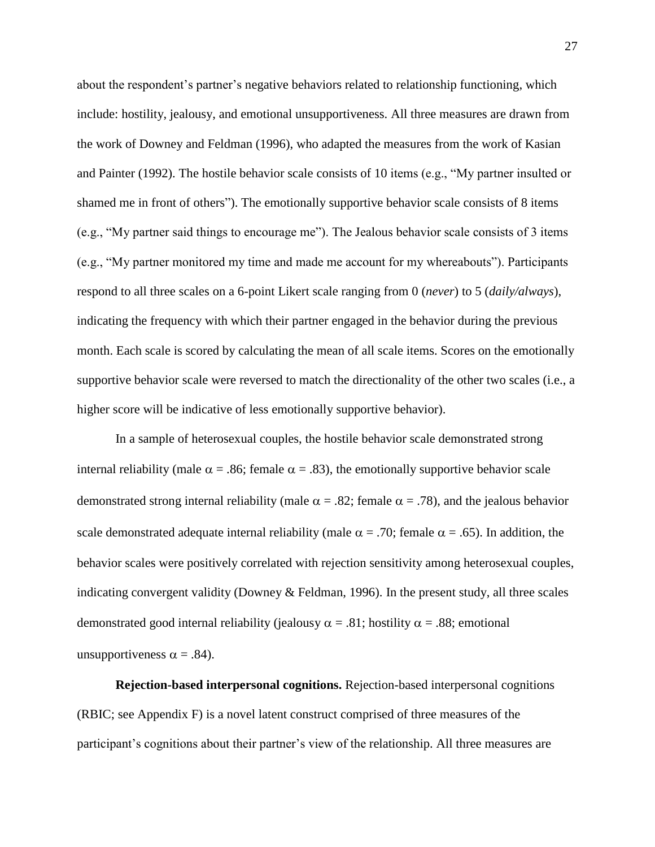about the respondent's partner's negative behaviors related to relationship functioning, which include: hostility, jealousy, and emotional unsupportiveness. All three measures are drawn from the work of Downey and Feldman (1996), who adapted the measures from the work of Kasian and Painter (1992). The hostile behavior scale consists of 10 items (e.g., "My partner insulted or shamed me in front of others"). The emotionally supportive behavior scale consists of 8 items (e.g., "My partner said things to encourage me"). The Jealous behavior scale consists of 3 items (e.g., "My partner monitored my time and made me account for my whereabouts"). Participants respond to all three scales on a 6-point Likert scale ranging from 0 (*never*) to 5 (*daily/always*), indicating the frequency with which their partner engaged in the behavior during the previous month. Each scale is scored by calculating the mean of all scale items. Scores on the emotionally supportive behavior scale were reversed to match the directionality of the other two scales (i.e., a higher score will be indicative of less emotionally supportive behavior).

In a sample of heterosexual couples, the hostile behavior scale demonstrated strong internal reliability (male  $\alpha = .86$ ; female  $\alpha = .83$ ), the emotionally supportive behavior scale demonstrated strong internal reliability (male  $\alpha = .82$ ; female  $\alpha = .78$ ), and the jealous behavior scale demonstrated adequate internal reliability (male  $\alpha$  = .70; female  $\alpha$  = .65). In addition, the behavior scales were positively correlated with rejection sensitivity among heterosexual couples, indicating convergent validity (Downey & Feldman, 1996). In the present study, all three scales demonstrated good internal reliability (jealousy  $\alpha = .81$ ; hostility  $\alpha = .88$ ; emotional unsupportiveness  $\alpha = .84$ ).

**Rejection-based interpersonal cognitions.** Rejection-based interpersonal cognitions (RBIC; see Appendix F) is a novel latent construct comprised of three measures of the participant's cognitions about their partner's view of the relationship. All three measures are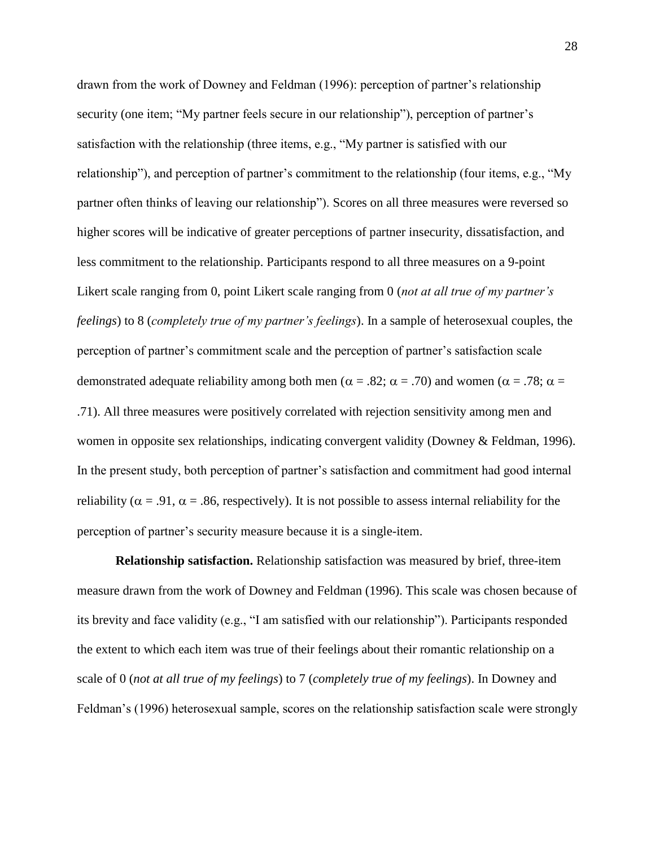drawn from the work of Downey and Feldman (1996): perception of partner's relationship security (one item; "My partner feels secure in our relationship"), perception of partner's satisfaction with the relationship (three items, e.g., "My partner is satisfied with our relationship"), and perception of partner's commitment to the relationship (four items, e.g., "My partner often thinks of leaving our relationship"). Scores on all three measures were reversed so higher scores will be indicative of greater perceptions of partner insecurity, dissatisfaction, and less commitment to the relationship. Participants respond to all three measures on a 9-point Likert scale ranging from 0, point Likert scale ranging from 0 (*not at all true of my partner's feelings*) to 8 (*completely true of my partner's feelings*). In a sample of heterosexual couples, the perception of partner's commitment scale and the perception of partner's satisfaction scale demonstrated adequate reliability among both men ( $\alpha = .82$ ;  $\alpha = .70$ ) and women ( $\alpha = .78$ ;  $\alpha =$ .71). All three measures were positively correlated with rejection sensitivity among men and women in opposite sex relationships, indicating convergent validity (Downey & Feldman, 1996). In the present study, both perception of partner's satisfaction and commitment had good internal reliability ( $\alpha$  = .91,  $\alpha$  = .86, respectively). It is not possible to assess internal reliability for the perception of partner's security measure because it is a single-item.

**Relationship satisfaction.** Relationship satisfaction was measured by brief, three-item measure drawn from the work of Downey and Feldman (1996). This scale was chosen because of its brevity and face validity (e.g., "I am satisfied with our relationship"). Participants responded the extent to which each item was true of their feelings about their romantic relationship on a scale of 0 (*not at all true of my feelings*) to 7 (*completely true of my feelings*). In Downey and Feldman's (1996) heterosexual sample, scores on the relationship satisfaction scale were strongly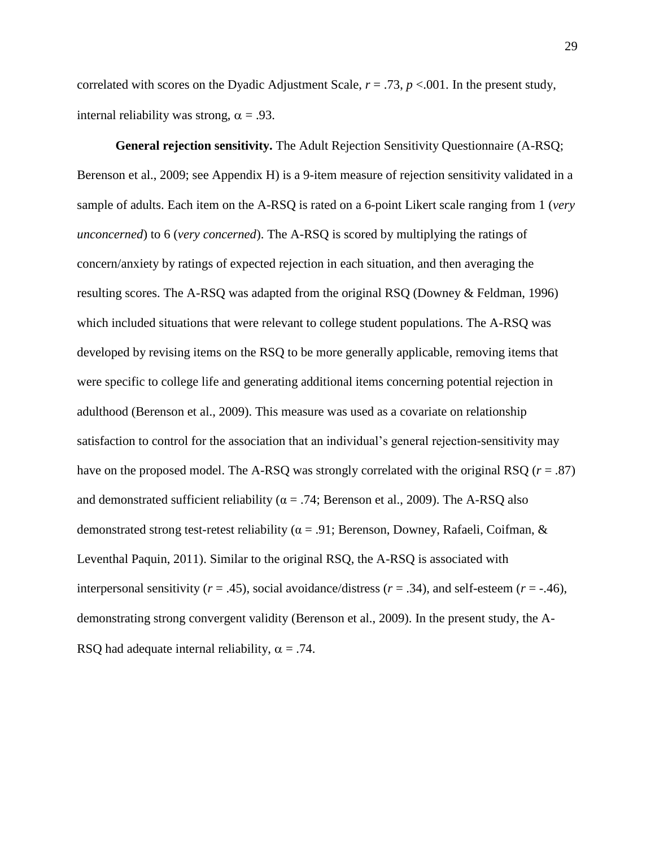correlated with scores on the Dyadic Adjustment Scale, *r* = .73, *p* <.001. In the present study, internal reliability was strong,  $\alpha = .93$ .

**General rejection sensitivity.** The Adult Rejection Sensitivity Questionnaire (A-RSQ; Berenson et al., 2009; see Appendix H) is a 9-item measure of rejection sensitivity validated in a sample of adults. Each item on the A-RSQ is rated on a 6-point Likert scale ranging from 1 (*very unconcerned*) to 6 (*very concerned*). The A-RSQ is scored by multiplying the ratings of concern/anxiety by ratings of expected rejection in each situation, and then averaging the resulting scores. The A-RSQ was adapted from the original RSQ (Downey & Feldman, 1996) which included situations that were relevant to college student populations. The A-RSQ was developed by revising items on the RSQ to be more generally applicable, removing items that were specific to college life and generating additional items concerning potential rejection in adulthood (Berenson et al., 2009). This measure was used as a covariate on relationship satisfaction to control for the association that an individual's general rejection-sensitivity may have on the proposed model. The A-RSQ was strongly correlated with the original RSQ (*r* = .87) and demonstrated sufficient reliability ( $\alpha$  = .74; Berenson et al., 2009). The A-RSQ also demonstrated strong test-retest reliability ( $\alpha$  = .91; Berenson, Downey, Rafaeli, Coifman, & Leventhal Paquin, 2011). Similar to the original RSQ, the A-RSQ is associated with interpersonal sensitivity ( $r = .45$ ), social avoidance/distress ( $r = .34$ ), and self-esteem ( $r = .46$ ), demonstrating strong convergent validity (Berenson et al., 2009). In the present study, the A-RSQ had adequate internal reliability,  $\alpha = .74$ .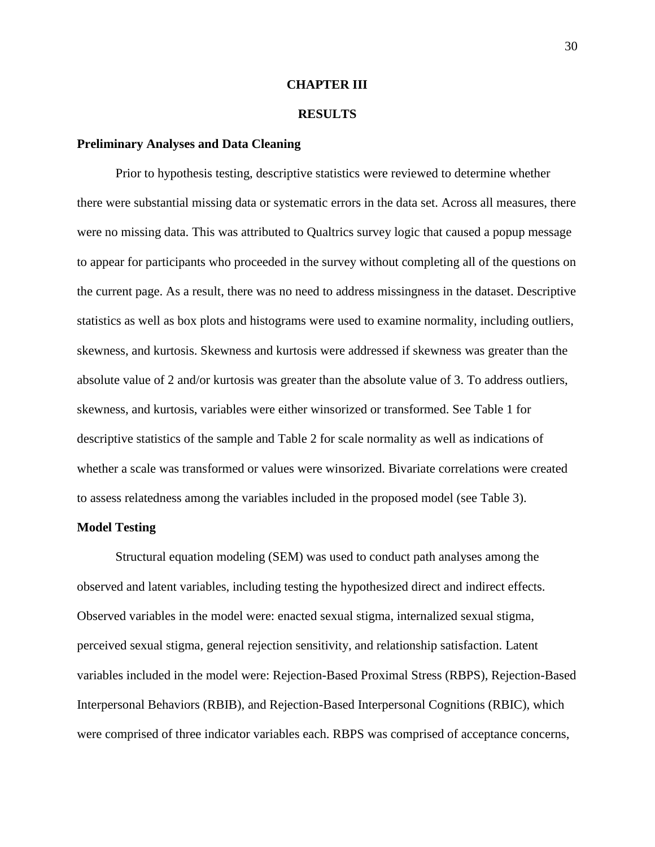### **CHAPTER III**

### **RESULTS**

### **Preliminary Analyses and Data Cleaning**

Prior to hypothesis testing, descriptive statistics were reviewed to determine whether there were substantial missing data or systematic errors in the data set. Across all measures, there were no missing data. This was attributed to Qualtrics survey logic that caused a popup message to appear for participants who proceeded in the survey without completing all of the questions on the current page. As a result, there was no need to address missingness in the dataset. Descriptive statistics as well as box plots and histograms were used to examine normality, including outliers, skewness, and kurtosis. Skewness and kurtosis were addressed if skewness was greater than the absolute value of 2 and/or kurtosis was greater than the absolute value of 3. To address outliers, skewness, and kurtosis, variables were either winsorized or transformed. See Table 1 for descriptive statistics of the sample and Table 2 for scale normality as well as indications of whether a scale was transformed or values were winsorized. Bivariate correlations were created to assess relatedness among the variables included in the proposed model (see Table 3).

#### **Model Testing**

Structural equation modeling (SEM) was used to conduct path analyses among the observed and latent variables, including testing the hypothesized direct and indirect effects. Observed variables in the model were: enacted sexual stigma, internalized sexual stigma, perceived sexual stigma, general rejection sensitivity, and relationship satisfaction. Latent variables included in the model were: Rejection-Based Proximal Stress (RBPS), Rejection-Based Interpersonal Behaviors (RBIB), and Rejection-Based Interpersonal Cognitions (RBIC), which were comprised of three indicator variables each. RBPS was comprised of acceptance concerns,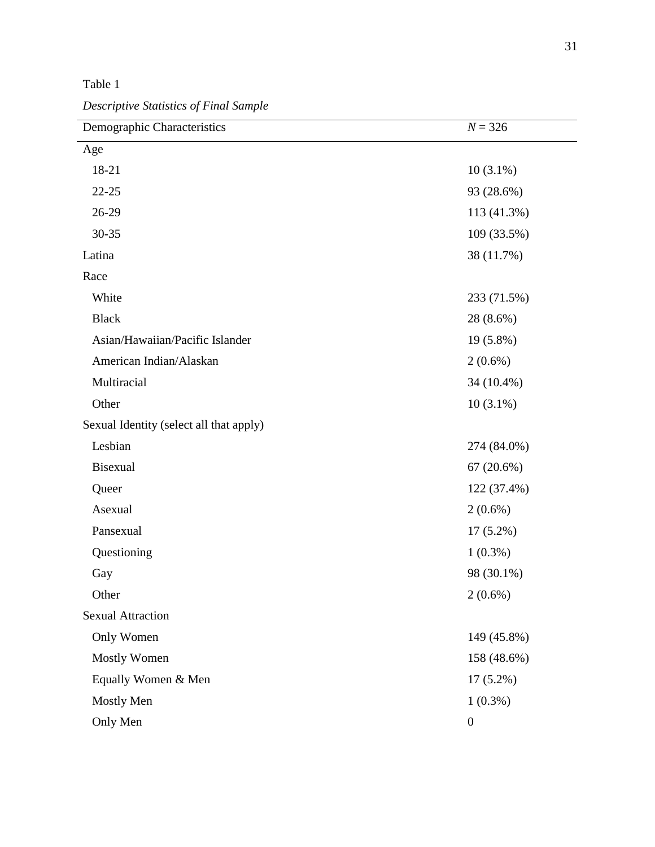Table 1

*Descriptive Statistics of Final Sample*

| Demographic Characteristics             | $N = 326$        |
|-----------------------------------------|------------------|
| Age                                     |                  |
| 18-21                                   | $10(3.1\%)$      |
| $22 - 25$                               | 93 (28.6%)       |
| 26-29                                   | 113 (41.3%)      |
| 30-35                                   | 109 (33.5%)      |
| Latina                                  | 38 (11.7%)       |
| Race                                    |                  |
| White                                   | 233 (71.5%)      |
| <b>Black</b>                            | 28 (8.6%)        |
| Asian/Hawaiian/Pacific Islander         | 19 (5.8%)        |
| American Indian/Alaskan                 | $2(0.6\%)$       |
| Multiracial                             | 34 (10.4%)       |
| Other                                   | $10(3.1\%)$      |
| Sexual Identity (select all that apply) |                  |
| Lesbian                                 | 274 (84.0%)      |
| <b>Bisexual</b>                         | 67(20.6%)        |
| Queer                                   | 122 (37.4%)      |
| Asexual                                 | $2(0.6\%)$       |
| Pansexual                               | $17(5.2\%)$      |
| Questioning                             | $1(0.3\%)$       |
| Gay                                     | 98 (30.1%)       |
| Other                                   | $2(0.6\%)$       |
| <b>Sexual Attraction</b>                |                  |
| Only Women                              | 149 (45.8%)      |
| <b>Mostly Women</b>                     | 158 (48.6%)      |
| Equally Women & Men                     | $17(5.2\%)$      |
| Mostly Men                              | $1(0.3\%)$       |
| Only Men                                | $\boldsymbol{0}$ |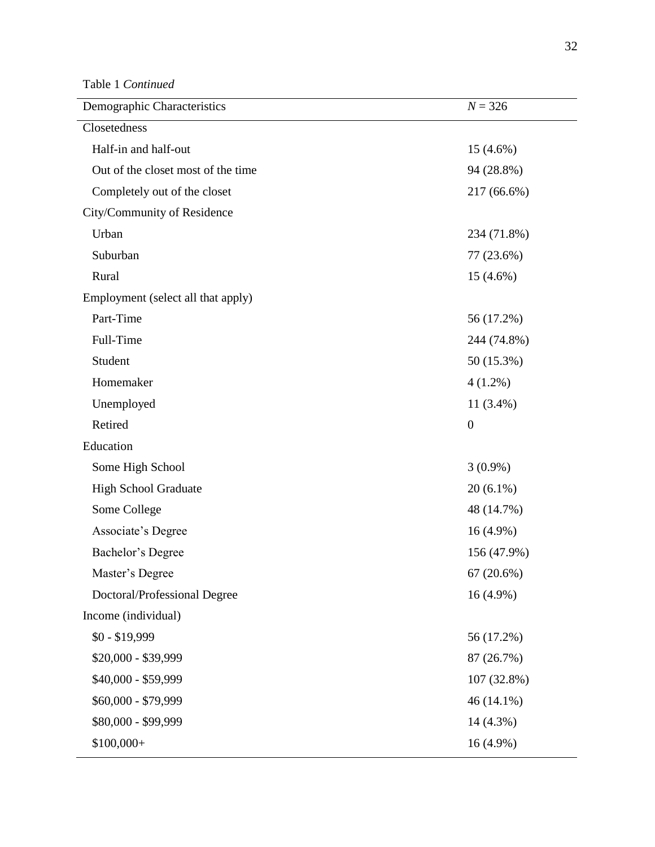Table 1 *Continued*

| Demographic Characteristics        | $N = 326$        |
|------------------------------------|------------------|
| Closetedness                       |                  |
| Half-in and half-out               | $15(4.6\%)$      |
| Out of the closet most of the time | 94 (28.8%)       |
| Completely out of the closet       | 217 (66.6%)      |
| City/Community of Residence        |                  |
| Urban                              | 234 (71.8%)      |
| Suburban                           | 77 (23.6%)       |
| Rural                              | $15(4.6\%)$      |
| Employment (select all that apply) |                  |
| Part-Time                          | 56 (17.2%)       |
| Full-Time                          | 244 (74.8%)      |
| Student                            | 50 (15.3%)       |
| Homemaker                          | $4(1.2\%)$       |
| Unemployed                         | $11(3.4\%)$      |
| Retired                            | $\boldsymbol{0}$ |
| Education                          |                  |
| Some High School                   | $3(0.9\%)$       |
| <b>High School Graduate</b>        | $20(6.1\%)$      |
| Some College                       | 48 (14.7%)       |
| Associate's Degree                 | $16(4.9\%)$      |
| Bachelor's Degree                  | 156 (47.9%)      |
| Master's Degree                    | 67(20.6%)        |
| Doctoral/Professional Degree       | $16(4.9\%)$      |
| Income (individual)                |                  |
| $$0 - $19,999$                     | 56 (17.2%)       |
| \$20,000 - \$39,999                | 87 (26.7%)       |
| \$40,000 - \$59,999                | 107 (32.8%)      |
| \$60,000 - \$79,999                | 46 (14.1%)       |
| \$80,000 - \$99,999                | 14 (4.3%)        |
| $$100,000+$                        | $16(4.9\%)$      |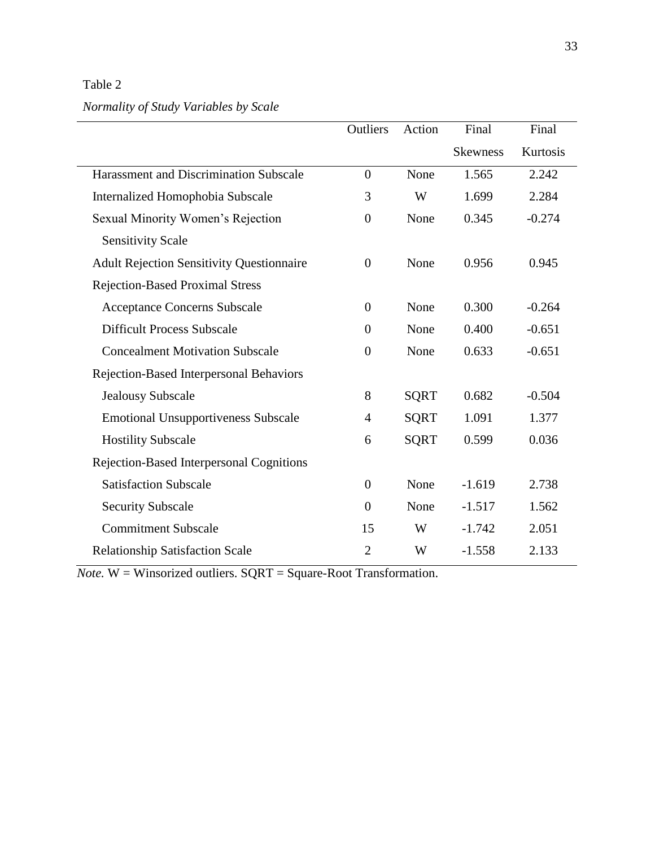Table 2

# *Normality of Study Variables by Scale*

|                                                  | Outliers         | Action      | Final           | Final    |
|--------------------------------------------------|------------------|-------------|-----------------|----------|
|                                                  |                  |             | <b>Skewness</b> | Kurtosis |
| <b>Harassment and Discrimination Subscale</b>    | $\overline{0}$   | None        | 1.565           | 2.242    |
| Internalized Homophobia Subscale                 | 3                | W           | 1.699           | 2.284    |
| Sexual Minority Women's Rejection                | $\overline{0}$   | None        | 0.345           | $-0.274$ |
| <b>Sensitivity Scale</b>                         |                  |             |                 |          |
| <b>Adult Rejection Sensitivity Questionnaire</b> | $\overline{0}$   | None        | 0.956           | 0.945    |
| <b>Rejection-Based Proximal Stress</b>           |                  |             |                 |          |
| <b>Acceptance Concerns Subscale</b>              | $\boldsymbol{0}$ | None        | 0.300           | $-0.264$ |
| <b>Difficult Process Subscale</b>                | $\boldsymbol{0}$ | None        | 0.400           | $-0.651$ |
| <b>Concealment Motivation Subscale</b>           | $\boldsymbol{0}$ | None        | 0.633           | $-0.651$ |
| Rejection-Based Interpersonal Behaviors          |                  |             |                 |          |
| <b>Jealousy Subscale</b>                         | 8                | <b>SQRT</b> | 0.682           | $-0.504$ |
| <b>Emotional Unsupportiveness Subscale</b>       | $\overline{4}$   | <b>SQRT</b> | 1.091           | 1.377    |
| <b>Hostility Subscale</b>                        | 6                | <b>SQRT</b> | 0.599           | 0.036    |
| Rejection-Based Interpersonal Cognitions         |                  |             |                 |          |
| <b>Satisfaction Subscale</b>                     | $\boldsymbol{0}$ | None        | $-1.619$        | 2.738    |
| <b>Security Subscale</b>                         | $\overline{0}$   | None        | $-1.517$        | 1.562    |
| <b>Commitment Subscale</b>                       | 15               | W           | $-1.742$        | 2.051    |
| <b>Relationship Satisfaction Scale</b>           | $\overline{2}$   | W           | $-1.558$        | 2.133    |

*Note.* W = Winsorized outliers. SQRT = Square-Root Transformation.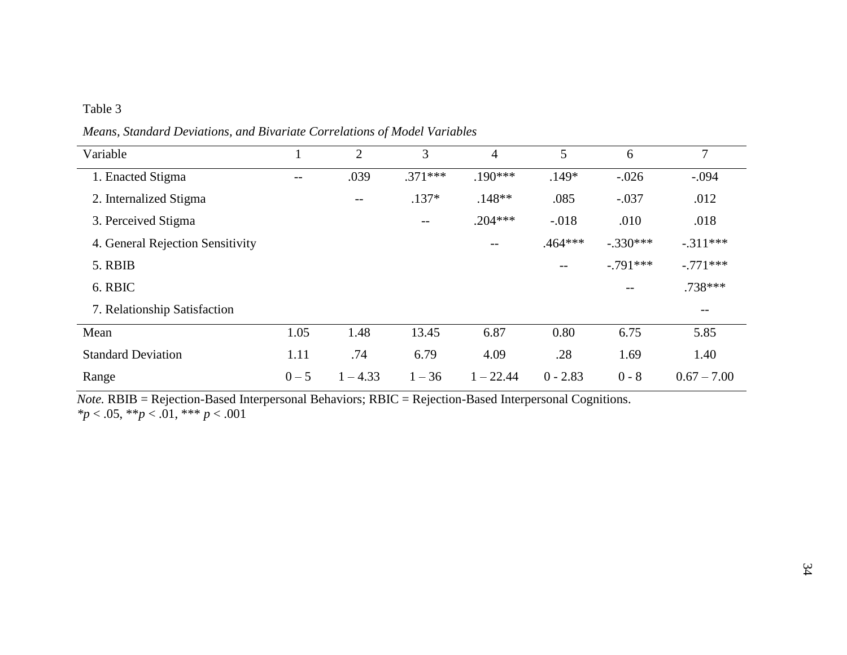## Table 3

*Means, Standard Deviations, and Bivariate Correlations of Model Variables*

| Variable                         |         | $\overline{2}$           | 3         | 4           | 5          | 6                 | 7                 |
|----------------------------------|---------|--------------------------|-----------|-------------|------------|-------------------|-------------------|
| 1. Enacted Stigma                | $-1$    | .039                     | $.371***$ | $.190***$   | $.149*$    | $-.026$           | $-.094$           |
| 2. Internalized Stigma           |         | $\overline{\phantom{m}}$ | $.137*$   | $.148**$    | .085       | $-.037$           | .012              |
| 3. Perceived Stigma              |         |                          | $- -$     | $.204***$   | $-.018$    | .010              | .018              |
| 4. General Rejection Sensitivity |         |                          |           | $- -$       | $.464***$  | $-.330***$        | $-.311***$        |
| 5. RBIB                          |         |                          |           |             | $-$        | $-.791***$        | $-.771***$        |
| 6. RBIC                          |         |                          |           |             |            | $\qquad \qquad -$ | .738 ***          |
| 7. Relationship Satisfaction     |         |                          |           |             |            |                   | $\qquad \qquad -$ |
| Mean                             | 1.05    | 1.48                     | 13.45     | 6.87        | 0.80       | 6.75              | 5.85              |
| <b>Standard Deviation</b>        | 1.11    | .74                      | 6.79      | 4.09        | .28        | 1.69              | 1.40              |
| Range                            | $0 - 5$ | $1 - 4.33$               | $1 - 36$  | $1 - 22.44$ | $0 - 2.83$ | $0 - 8$           | $0.67 - 7.00$     |

*Note.* RBIB = Rejection-Based Interpersonal Behaviors; RBIC = Rejection-Based Interpersonal Cognitions. *\*p* < .05, \*\**p* < .01, \*\*\* *p* < .001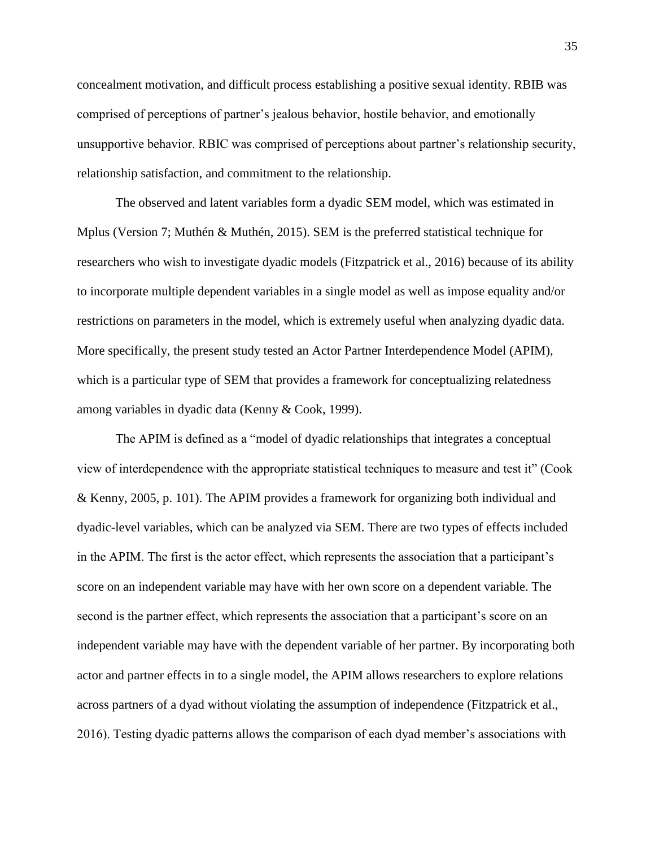concealment motivation, and difficult process establishing a positive sexual identity. RBIB was comprised of perceptions of partner's jealous behavior, hostile behavior, and emotionally unsupportive behavior. RBIC was comprised of perceptions about partner's relationship security, relationship satisfaction, and commitment to the relationship.

The observed and latent variables form a dyadic SEM model, which was estimated in Mplus (Version 7; Muthén & Muthén, 2015). SEM is the preferred statistical technique for researchers who wish to investigate dyadic models (Fitzpatrick et al., 2016) because of its ability to incorporate multiple dependent variables in a single model as well as impose equality and/or restrictions on parameters in the model, which is extremely useful when analyzing dyadic data. More specifically, the present study tested an Actor Partner Interdependence Model (APIM), which is a particular type of SEM that provides a framework for conceptualizing relatedness among variables in dyadic data (Kenny & Cook, 1999).

The APIM is defined as a "model of dyadic relationships that integrates a conceptual view of interdependence with the appropriate statistical techniques to measure and test it" (Cook & Kenny, 2005, p. 101). The APIM provides a framework for organizing both individual and dyadic-level variables, which can be analyzed via SEM. There are two types of effects included in the APIM. The first is the actor effect, which represents the association that a participant's score on an independent variable may have with her own score on a dependent variable. The second is the partner effect, which represents the association that a participant's score on an independent variable may have with the dependent variable of her partner. By incorporating both actor and partner effects in to a single model, the APIM allows researchers to explore relations across partners of a dyad without violating the assumption of independence (Fitzpatrick et al., 2016). Testing dyadic patterns allows the comparison of each dyad member's associations with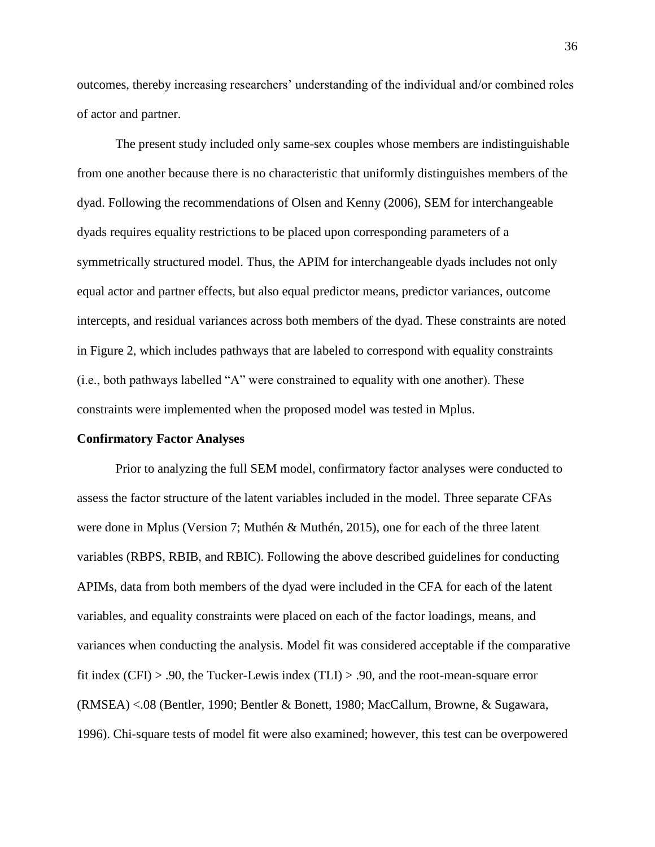outcomes, thereby increasing researchers' understanding of the individual and/or combined roles of actor and partner.

The present study included only same-sex couples whose members are indistinguishable from one another because there is no characteristic that uniformly distinguishes members of the dyad. Following the recommendations of Olsen and Kenny (2006), SEM for interchangeable dyads requires equality restrictions to be placed upon corresponding parameters of a symmetrically structured model. Thus, the APIM for interchangeable dyads includes not only equal actor and partner effects, but also equal predictor means, predictor variances, outcome intercepts, and residual variances across both members of the dyad. These constraints are noted in Figure 2, which includes pathways that are labeled to correspond with equality constraints (i.e., both pathways labelled "A" were constrained to equality with one another). These constraints were implemented when the proposed model was tested in Mplus.

### **Confirmatory Factor Analyses**

Prior to analyzing the full SEM model, confirmatory factor analyses were conducted to assess the factor structure of the latent variables included in the model. Three separate CFAs were done in Mplus (Version 7; Muthén & Muthén, 2015), one for each of the three latent variables (RBPS, RBIB, and RBIC). Following the above described guidelines for conducting APIMs, data from both members of the dyad were included in the CFA for each of the latent variables, and equality constraints were placed on each of the factor loadings, means, and variances when conducting the analysis. Model fit was considered acceptable if the comparative fit index (CFI) > .90, the Tucker-Lewis index (TLI) > .90, and the root-mean-square error (RMSEA) <.08 (Bentler, 1990; Bentler & Bonett, 1980; MacCallum, Browne, & Sugawara, 1996). Chi-square tests of model fit were also examined; however, this test can be overpowered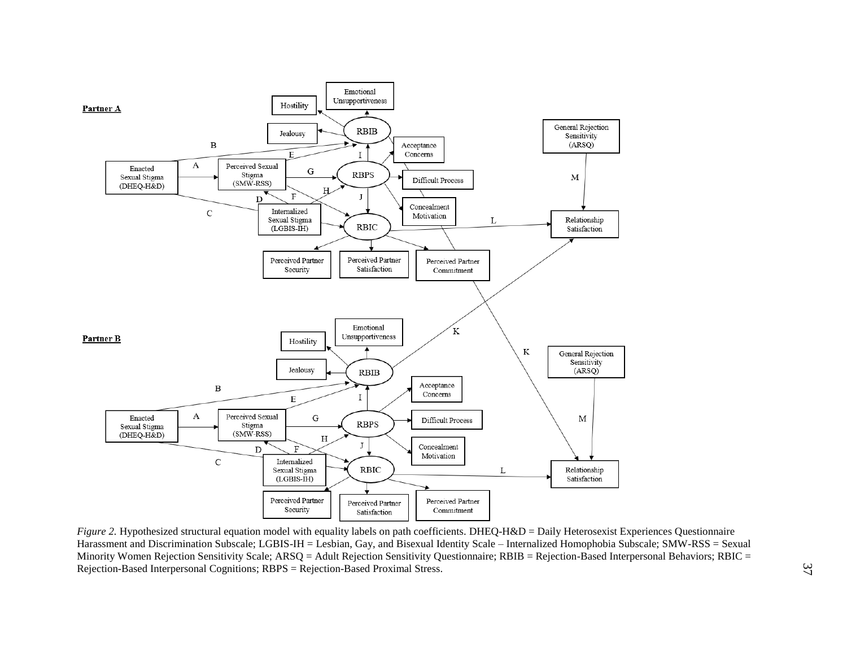

*Figure 2.* Hypothesized structural equation model with equality labels on path coefficients. DHEQ-H&D = Daily Heterosexist Experiences Questionnaire Harassment and Discrimination Subscale; LGBIS-IH = Lesbian, Gay, and Bisexual Identity Scale – Internalized Homophobia Subscale; SMW-RSS = Sexual Minority Women Rejection Sensitivity Scale; ARSQ = Adult Rejection Sensitivity Questionnaire; RBIB = Rejection-Based Interpersonal Behaviors; RBIC = Rejection-Based Interpersonal Cognitions; RBPS = Rejection-Based Proximal Stress.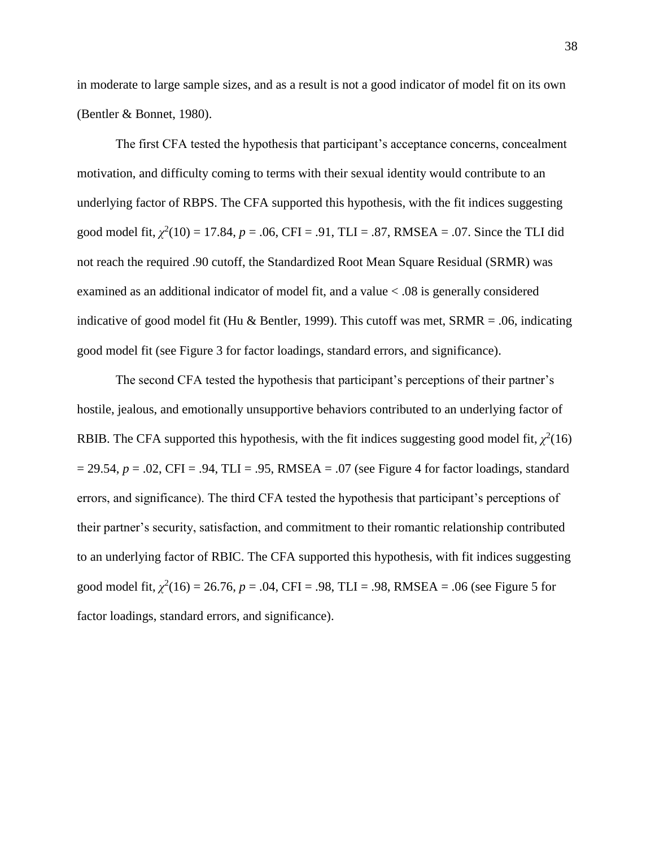in moderate to large sample sizes, and as a result is not a good indicator of model fit on its own (Bentler & Bonnet, 1980).

The first CFA tested the hypothesis that participant's acceptance concerns, concealment motivation, and difficulty coming to terms with their sexual identity would contribute to an underlying factor of RBPS. The CFA supported this hypothesis, with the fit indices suggesting good model fit,  $\chi^2(10) = 17.84$ ,  $p = .06$ , CFI = .91, TLI = .87, RMSEA = .07. Since the TLI did not reach the required .90 cutoff, the Standardized Root Mean Square Residual (SRMR) was examined as an additional indicator of model fit, and a value < .08 is generally considered indicative of good model fit (Hu & Bentler, 1999). This cutoff was met,  $SRMR = .06$ , indicating good model fit (see Figure 3 for factor loadings, standard errors, and significance).

The second CFA tested the hypothesis that participant's perceptions of their partner's hostile, jealous, and emotionally unsupportive behaviors contributed to an underlying factor of RBIB. The CFA supported this hypothesis, with the fit indices suggesting good model fit,  $\chi^2(16)$  $= 29.54$ ,  $p = .02$ , CFI = .94, TLI = .95, RMSEA = .07 (see Figure 4 for factor loadings, standard errors, and significance). The third CFA tested the hypothesis that participant's perceptions of their partner's security, satisfaction, and commitment to their romantic relationship contributed to an underlying factor of RBIC. The CFA supported this hypothesis, with fit indices suggesting good model fit,  $\chi^2(16) = 26.76$ ,  $p = .04$ , CFI = .98, TLI = .98, RMSEA = .06 (see Figure 5 for factor loadings, standard errors, and significance).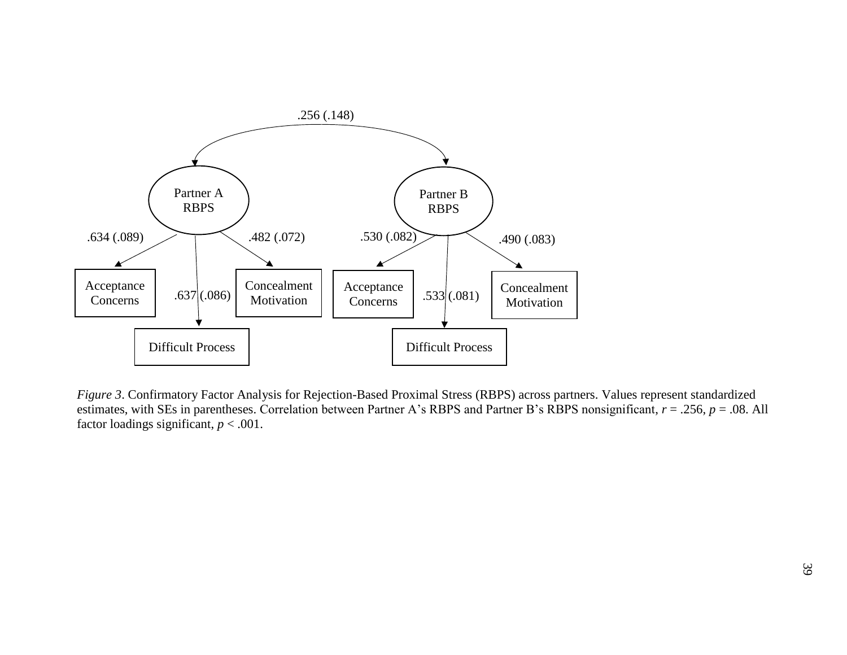

*Figure 3*. Confirmatory Factor Analysis for Rejection-Based Proximal Stress (RBPS) across partners. Values represent standardized estimates, with SEs in parentheses. Correlation between Partner A's RBPS and Partner B's RBPS nonsignificant, *r* = .256, *p* = .08. All factor loadings significant,  $p < .001$ .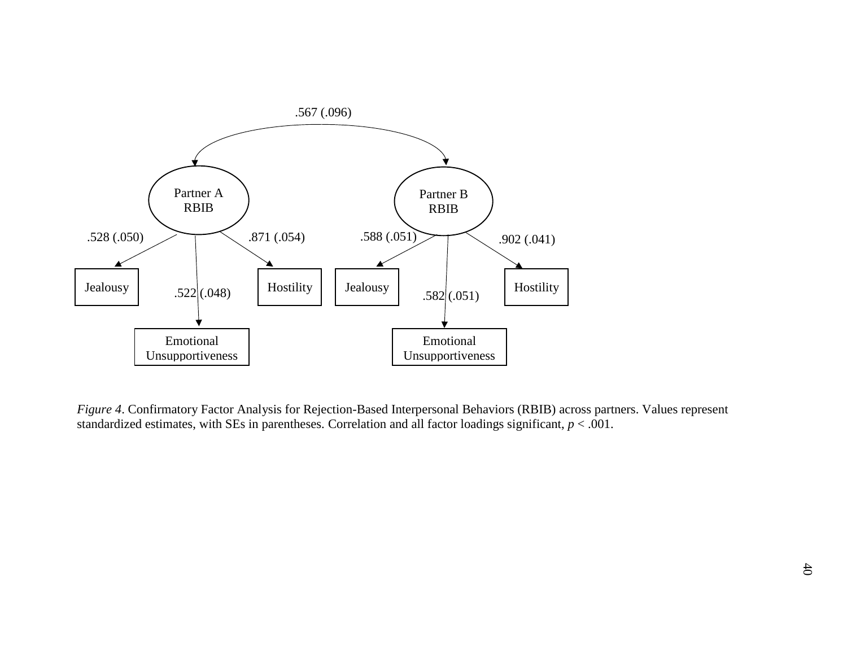

*Figure 4*. Confirmatory Factor Analysis for Rejection-Based Interpersonal Behaviors (RBIB) across partners. Values represent standardized estimates, with SEs in parentheses. Correlation and all factor loadings significant, *p* < .001.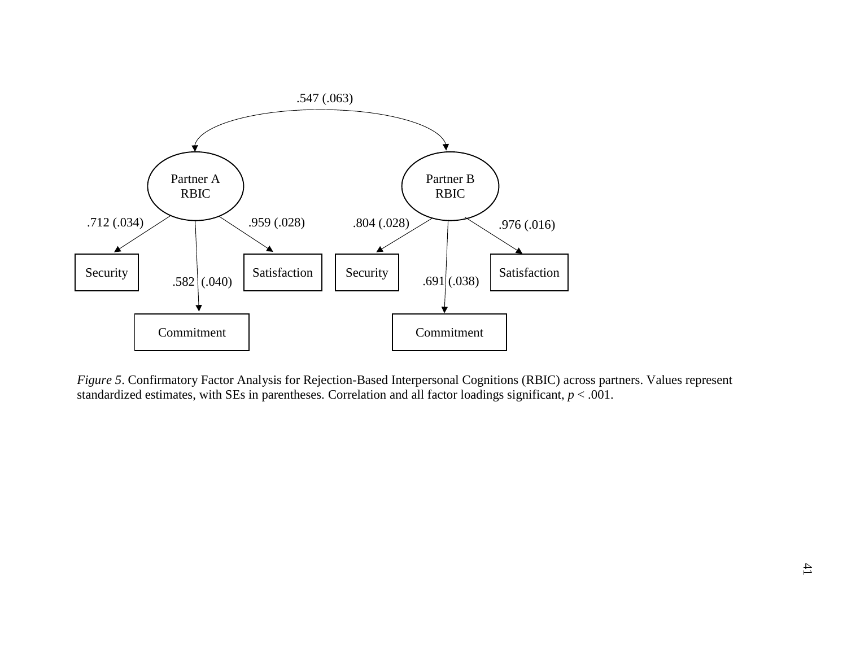

*Figure 5*. Confirmatory Factor Analysis for Rejection-Based Interpersonal Cognitions (RBIC) across partners. Values represent standardized estimates, with SEs in parentheses. Correlation and all factor loadings significant,  $p < .001$ .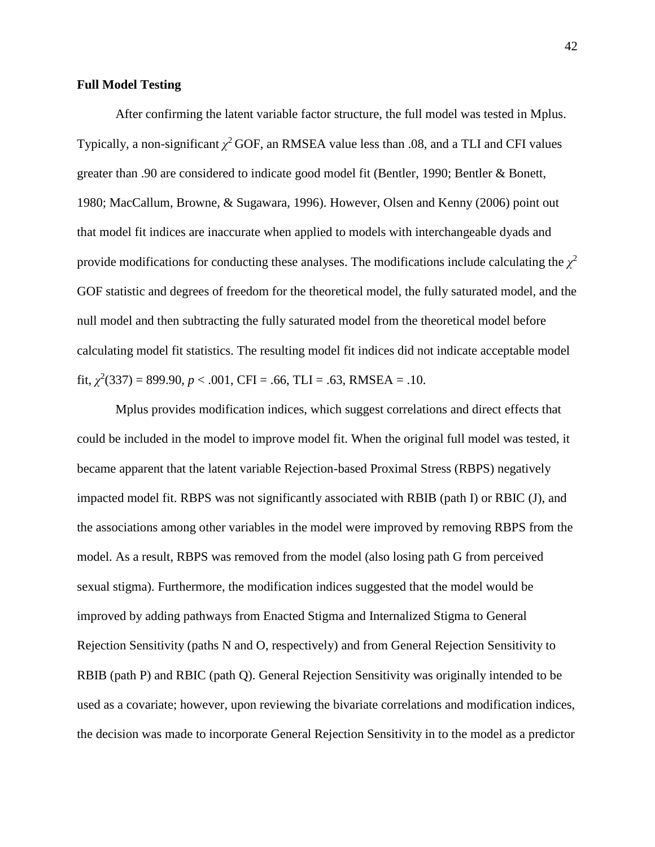### **Full Model Testing**

After confirming the latent variable factor structure, the full model was tested in Mplus. Typically, a non-significant  $\chi^2$  GOF, an RMSEA value less than .08, and a TLI and CFI values greater than .90 are considered to indicate good model fit (Bentler, 1990; Bentler & Bonett, 1980; MacCallum, Browne, & Sugawara, 1996). However, Olsen and Kenny (2006) point out that model fit indices are inaccurate when applied to models with interchangeable dyads and provide modifications for conducting these analyses. The modifications include calculating the  $\chi^2$ GOF statistic and degrees of freedom for the theoretical model, the fully saturated model, and the null model and then subtracting the fully saturated model from the theoretical model before calculating model fit statistics. The resulting model fit indices did not indicate acceptable model fit,  $\chi^2(337) = 899.90, p < .001$ , CFI = .66, TLI = .63, RMSEA = .10.

Mplus provides modification indices, which suggest correlations and direct effects that could be included in the model to improve model fit. When the original full model was tested, it became apparent that the latent variable Rejection-based Proximal Stress (RBPS) negatively impacted model fit. RBPS was not significantly associated with RBIB (path I) or RBIC (J), and the associations among other variables in the model were improved by removing RBPS from the model. As a result, RBPS was removed from the model (also losing path G from perceived sexual stigma). Furthermore, the modification indices suggested that the model would be improved by adding pathways from Enacted Stigma and Internalized Stigma to General Rejection Sensitivity (paths N and O, respectively) and from General Rejection Sensitivity to RBIB (path P) and RBIC (path Q). General Rejection Sensitivity was originally intended to be used as a covariate; however, upon reviewing the bivariate correlations and modification indices, the decision was made to incorporate General Rejection Sensitivity in to the model as a predictor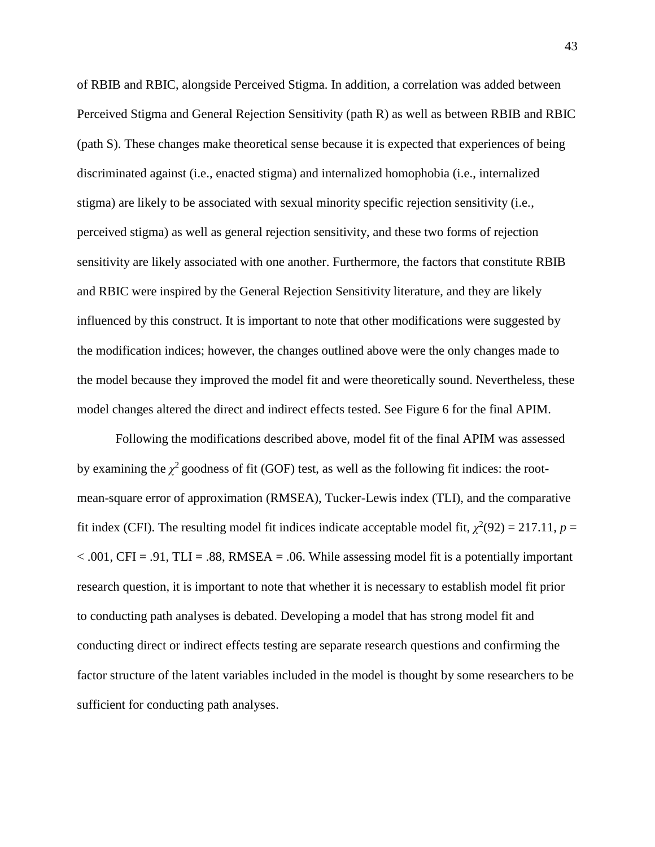of RBIB and RBIC, alongside Perceived Stigma. In addition, a correlation was added between Perceived Stigma and General Rejection Sensitivity (path R) as well as between RBIB and RBIC (path S). These changes make theoretical sense because it is expected that experiences of being discriminated against (i.e., enacted stigma) and internalized homophobia (i.e., internalized stigma) are likely to be associated with sexual minority specific rejection sensitivity (i.e., perceived stigma) as well as general rejection sensitivity, and these two forms of rejection sensitivity are likely associated with one another. Furthermore, the factors that constitute RBIB and RBIC were inspired by the General Rejection Sensitivity literature, and they are likely influenced by this construct. It is important to note that other modifications were suggested by the modification indices; however, the changes outlined above were the only changes made to the model because they improved the model fit and were theoretically sound. Nevertheless, these model changes altered the direct and indirect effects tested. See Figure 6 for the final APIM.

Following the modifications described above, model fit of the final APIM was assessed by examining the  $\chi^2$  goodness of fit (GOF) test, as well as the following fit indices: the rootmean-square error of approximation (RMSEA), Tucker-Lewis index (TLI), and the comparative fit index (CFI). The resulting model fit indices indicate acceptable model fit,  $\chi^2(92) = 217.11$ ,  $p =$  $< .001$ , CFI = .91, TLI = .88, RMSEA = .06. While assessing model fit is a potentially important research question, it is important to note that whether it is necessary to establish model fit prior to conducting path analyses is debated. Developing a model that has strong model fit and conducting direct or indirect effects testing are separate research questions and confirming the factor structure of the latent variables included in the model is thought by some researchers to be sufficient for conducting path analyses.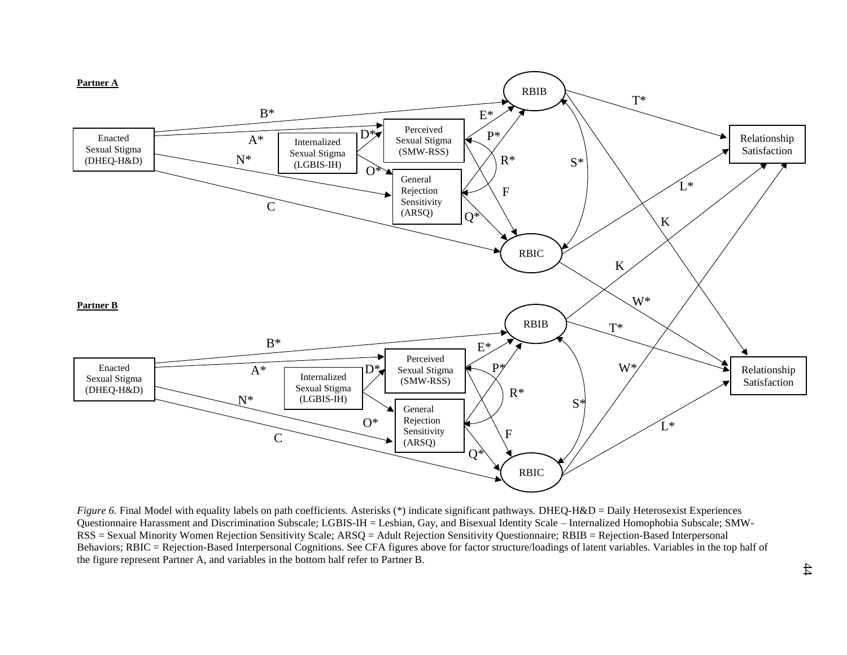

*Figure 6.* Final Model with equality labels on path coefficients. Asterisks (\*) indicate significant pathways. DHEQ-H&D = Daily Heterosexist Experiences Questionnaire Harassment and Discrimination Subscale; LGBIS-IH = Lesbian, Gay, and Bisexual Identity Scale – Internalized Homophobia Subscale; SMW-RSS = Sexual Minority Women Rejection Sensitivity Scale; ARSQ = Adult Rejection Sensitivity Questionnaire; RBIB = Rejection-Based Interpersonal Behaviors; RBIC = Rejection-Based Interpersonal Cognitions. See CFA figures above for factor structure/loadings of latent variables. Variables in the top half of the figure represent Partner A, and variables in the bottom half refer to Partner B.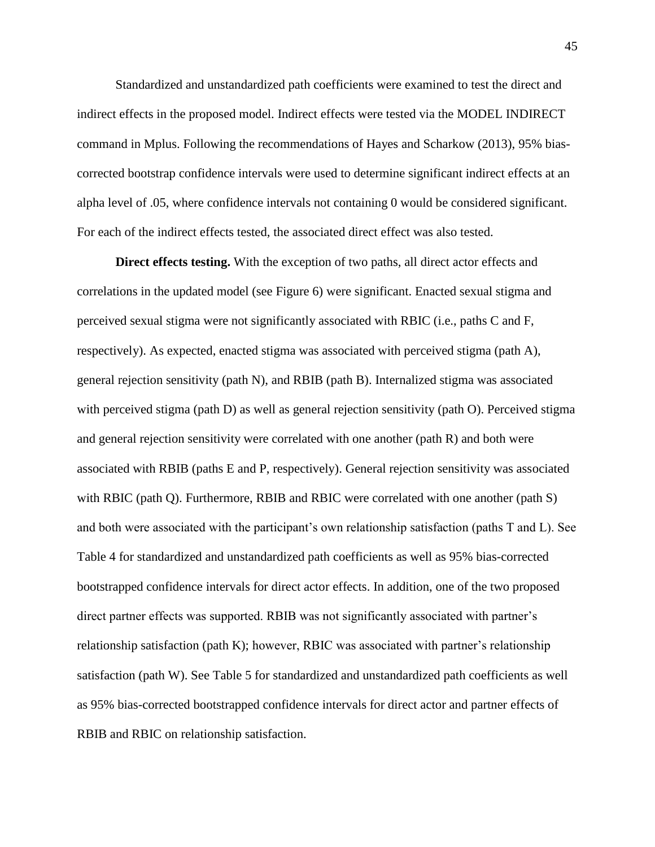Standardized and unstandardized path coefficients were examined to test the direct and indirect effects in the proposed model. Indirect effects were tested via the MODEL INDIRECT command in Mplus. Following the recommendations of Hayes and Scharkow (2013), 95% biascorrected bootstrap confidence intervals were used to determine significant indirect effects at an alpha level of .05, where confidence intervals not containing 0 would be considered significant. For each of the indirect effects tested, the associated direct effect was also tested.

**Direct effects testing.** With the exception of two paths, all direct actor effects and correlations in the updated model (see Figure 6) were significant. Enacted sexual stigma and perceived sexual stigma were not significantly associated with RBIC (i.e., paths C and F, respectively). As expected, enacted stigma was associated with perceived stigma (path A), general rejection sensitivity (path N), and RBIB (path B). Internalized stigma was associated with perceived stigma (path D) as well as general rejection sensitivity (path O). Perceived stigma and general rejection sensitivity were correlated with one another (path R) and both were associated with RBIB (paths E and P, respectively). General rejection sensitivity was associated with RBIC (path Q). Furthermore, RBIB and RBIC were correlated with one another (path S) and both were associated with the participant's own relationship satisfaction (paths T and L). See Table 4 for standardized and unstandardized path coefficients as well as 95% bias-corrected bootstrapped confidence intervals for direct actor effects. In addition, one of the two proposed direct partner effects was supported. RBIB was not significantly associated with partner's relationship satisfaction (path K); however, RBIC was associated with partner's relationship satisfaction (path W). See Table 5 for standardized and unstandardized path coefficients as well as 95% bias-corrected bootstrapped confidence intervals for direct actor and partner effects of RBIB and RBIC on relationship satisfaction.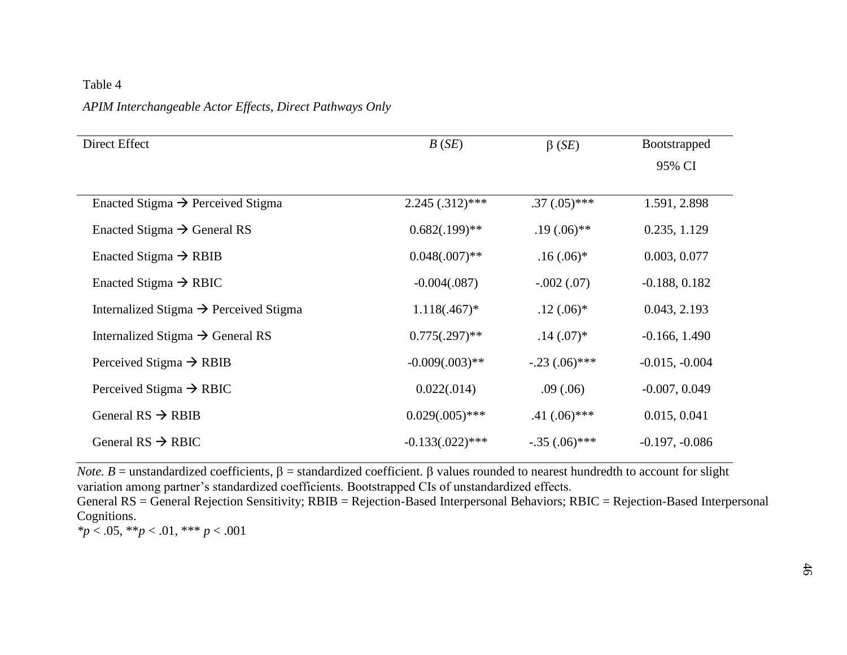### Table 4

## *APIM Interchangeable Actor Effects, Direct Pathways Only*

| Direct Effect                                      | B(SE)              | $\beta$ ( <i>SE</i> ) | <b>Bootstrapped</b> |
|----------------------------------------------------|--------------------|-----------------------|---------------------|
|                                                    |                    |                       | 95% CI              |
|                                                    |                    |                       |                     |
| Enacted Stigma $\rightarrow$ Perceived Stigma      | $2.245(.312)$ ***  | $.37(.05)$ ***        | 1.591, 2.898        |
| Enacted Stigma $\rightarrow$ General RS            | $0.682(.199)$ **   | $.19(.06)$ **         | 0.235, 1.129        |
| Enacted Stigma $\rightarrow$ RBIB                  | $0.048(.007)$ **   | $.16(.06)$ *          | 0.003, 0.077        |
| Enacted Stigma $\rightarrow$ RBIC                  | $-0.004(.087)$     | $-.002(.07)$          | $-0.188, 0.182$     |
| Internalized Stigma $\rightarrow$ Perceived Stigma | $1.118(.467)^*$    | $.12(.06)*$           | 0.043, 2.193        |
| Internalized Stigma $\rightarrow$ General RS       | $0.775(.297)$ **   | $.14(.07)$ *          | $-0.166, 1.490$     |
| Perceived Stigma $\rightarrow$ RBIB                | $-0.009(.003)$ **  | $-.23(.06)$ ***       | $-0.015, -0.004$    |
| Perceived Stigma $\rightarrow$ RBIC                | 0.022(.014)        | .09(.06)              | $-0.007, 0.049$     |
| General $RS \rightarrow RBIB$                      | $0.029(.005)$ ***  | $.41 \,(.06)$ ***     | 0.015, 0.041        |
| General $RS \rightarrow RBIC$                      | $-0.133(.022)$ *** | $-.35(.06)$ ***       | $-0.197, -0.086$    |

*Note. B* = unstandardized coefficients,  $\beta$  = standardized coefficient.  $\beta$  values rounded to nearest hundredth to account for slight variation among partner's standardized coefficients. Bootstrapped CIs of unstandardized effects.

General RS = General Rejection Sensitivity; RBIB = Rejection-Based Interpersonal Behaviors; RBIC = Rejection-Based Interpersonal Cognitions.

*\*p* < .05, \*\**p* < .01, \*\*\* *p* < .001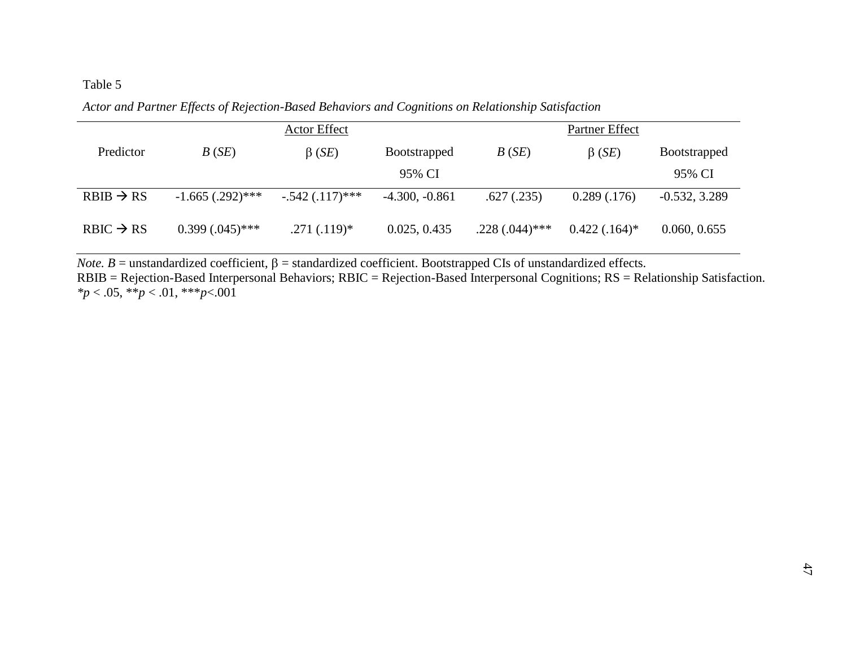### Table 5

|                       |                      | <b>Actor Effect</b>   |                     |                  | Partner Effect  |                     |
|-----------------------|----------------------|-----------------------|---------------------|------------------|-----------------|---------------------|
| Predictor             | B(SE)                | $\beta$ ( <i>SE</i> ) | <b>Bootstrapped</b> | B(SE)            | $\beta$ (SE)    | <b>Bootstrapped</b> |
|                       |                      |                       | 95% CI              |                  |                 | 95% CI              |
| $RBIB \rightarrow RS$ | $-1.665$ (.292)***   | $-.542(.117)$ ***     | $-4.300, -0.861$    | .627(.235)       | 0.289(.176)     | $-0.532, 3.289$     |
| $RBIC \rightarrow RS$ | $0.399$ $(.045)$ *** | $.271(.119)*$         | 0.025, 0.435        | $.228(.044)$ *** | $0.422(.164)^*$ | 0.060, 0.655        |

*Actor and Partner Effects of Rejection-Based Behaviors and Cognitions on Relationship Satisfaction*

*Note.*  $B$  = unstandardized coefficient,  $\beta$  = standardized coefficient. Bootstrapped CIs of unstandardized effects. RBIB = Rejection-Based Interpersonal Behaviors; RBIC = Rejection-Based Interpersonal Cognitions; RS = Relationship Satisfaction. *\*p* < .05, \*\**p* < .01, \*\*\**p*<.001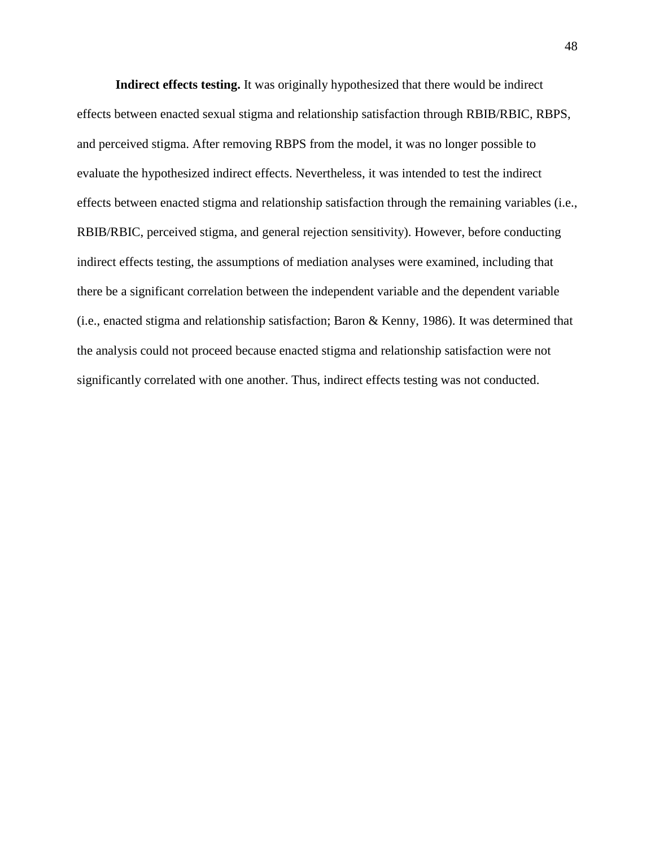**Indirect effects testing.** It was originally hypothesized that there would be indirect effects between enacted sexual stigma and relationship satisfaction through RBIB/RBIC, RBPS, and perceived stigma. After removing RBPS from the model, it was no longer possible to evaluate the hypothesized indirect effects. Nevertheless, it was intended to test the indirect effects between enacted stigma and relationship satisfaction through the remaining variables (i.e., RBIB/RBIC, perceived stigma, and general rejection sensitivity). However, before conducting indirect effects testing, the assumptions of mediation analyses were examined, including that there be a significant correlation between the independent variable and the dependent variable (i.e., enacted stigma and relationship satisfaction; Baron & Kenny, 1986). It was determined that the analysis could not proceed because enacted stigma and relationship satisfaction were not significantly correlated with one another. Thus, indirect effects testing was not conducted.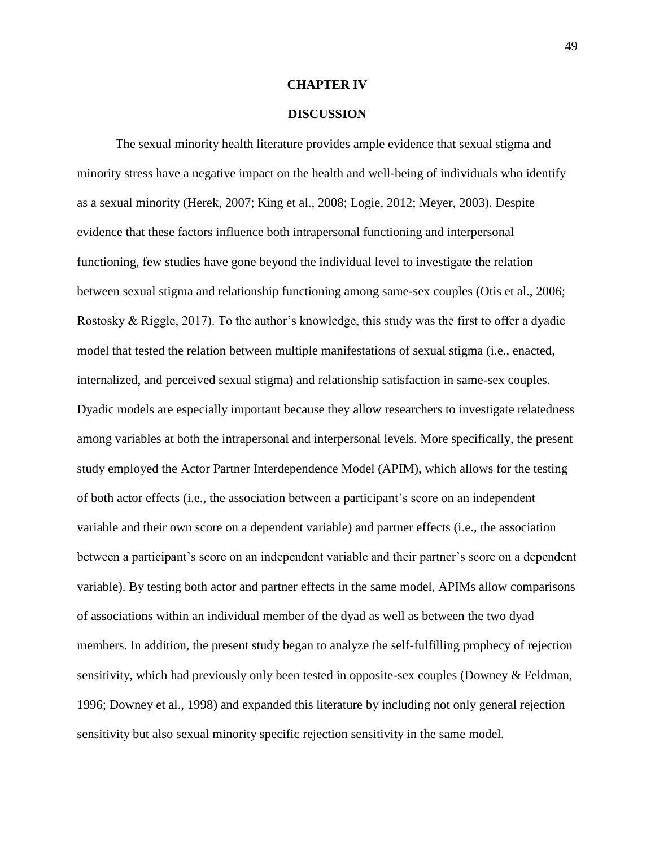### **CHAPTER IV**

### **DISCUSSION**

The sexual minority health literature provides ample evidence that sexual stigma and minority stress have a negative impact on the health and well-being of individuals who identify as a sexual minority (Herek, 2007; King et al., 2008; Logie, 2012; Meyer, 2003). Despite evidence that these factors influence both intrapersonal functioning and interpersonal functioning, few studies have gone beyond the individual level to investigate the relation between sexual stigma and relationship functioning among same-sex couples (Otis et al., 2006; Rostosky & Riggle, 2017). To the author's knowledge, this study was the first to offer a dyadic model that tested the relation between multiple manifestations of sexual stigma (i.e., enacted, internalized, and perceived sexual stigma) and relationship satisfaction in same-sex couples. Dyadic models are especially important because they allow researchers to investigate relatedness among variables at both the intrapersonal and interpersonal levels. More specifically, the present study employed the Actor Partner Interdependence Model (APIM), which allows for the testing of both actor effects (i.e., the association between a participant's score on an independent variable and their own score on a dependent variable) and partner effects (i.e., the association between a participant's score on an independent variable and their partner's score on a dependent variable). By testing both actor and partner effects in the same model, APIMs allow comparisons of associations within an individual member of the dyad as well as between the two dyad members. In addition, the present study began to analyze the self-fulfilling prophecy of rejection sensitivity, which had previously only been tested in opposite-sex couples (Downey  $\&$  Feldman, 1996; Downey et al., 1998) and expanded this literature by including not only general rejection sensitivity but also sexual minority specific rejection sensitivity in the same model.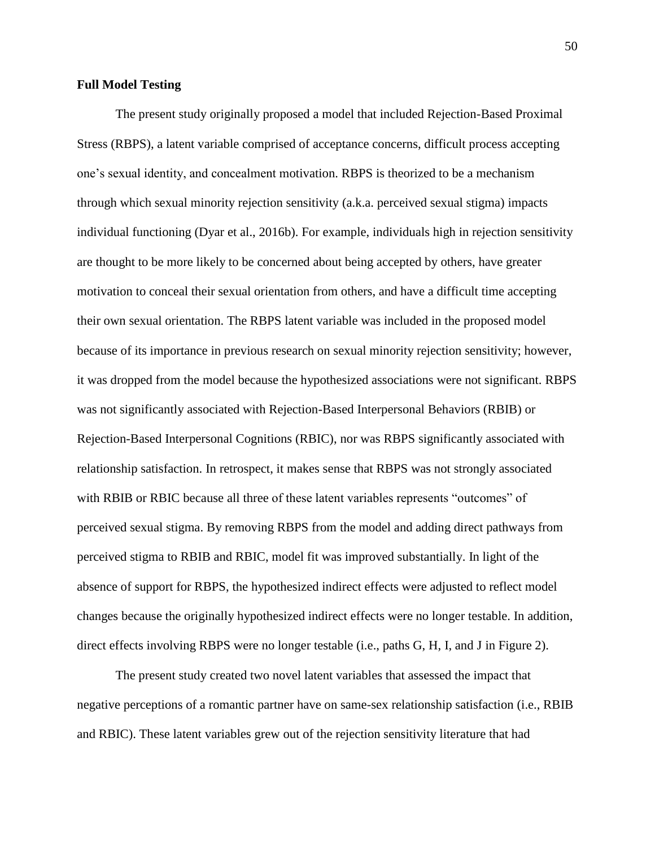### **Full Model Testing**

The present study originally proposed a model that included Rejection-Based Proximal Stress (RBPS), a latent variable comprised of acceptance concerns, difficult process accepting one's sexual identity, and concealment motivation. RBPS is theorized to be a mechanism through which sexual minority rejection sensitivity (a.k.a. perceived sexual stigma) impacts individual functioning (Dyar et al., 2016b). For example, individuals high in rejection sensitivity are thought to be more likely to be concerned about being accepted by others, have greater motivation to conceal their sexual orientation from others, and have a difficult time accepting their own sexual orientation. The RBPS latent variable was included in the proposed model because of its importance in previous research on sexual minority rejection sensitivity; however, it was dropped from the model because the hypothesized associations were not significant. RBPS was not significantly associated with Rejection-Based Interpersonal Behaviors (RBIB) or Rejection-Based Interpersonal Cognitions (RBIC), nor was RBPS significantly associated with relationship satisfaction. In retrospect, it makes sense that RBPS was not strongly associated with RBIB or RBIC because all three of these latent variables represents "outcomes" of perceived sexual stigma. By removing RBPS from the model and adding direct pathways from perceived stigma to RBIB and RBIC, model fit was improved substantially. In light of the absence of support for RBPS, the hypothesized indirect effects were adjusted to reflect model changes because the originally hypothesized indirect effects were no longer testable. In addition, direct effects involving RBPS were no longer testable (i.e., paths G, H, I, and J in Figure 2).

The present study created two novel latent variables that assessed the impact that negative perceptions of a romantic partner have on same-sex relationship satisfaction (i.e., RBIB and RBIC). These latent variables grew out of the rejection sensitivity literature that had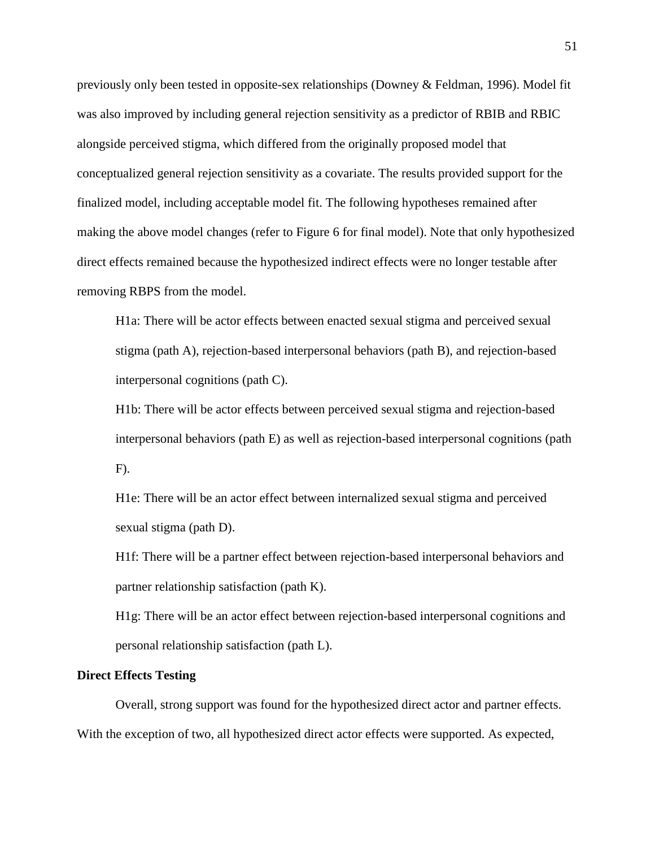previously only been tested in opposite-sex relationships (Downey & Feldman, 1996). Model fit was also improved by including general rejection sensitivity as a predictor of RBIB and RBIC alongside perceived stigma, which differed from the originally proposed model that conceptualized general rejection sensitivity as a covariate. The results provided support for the finalized model, including acceptable model fit. The following hypotheses remained after making the above model changes (refer to Figure 6 for final model). Note that only hypothesized direct effects remained because the hypothesized indirect effects were no longer testable after removing RBPS from the model.

H1a: There will be actor effects between enacted sexual stigma and perceived sexual stigma (path A), rejection-based interpersonal behaviors (path B), and rejection-based interpersonal cognitions (path C).

H1b: There will be actor effects between perceived sexual stigma and rejection-based interpersonal behaviors (path E) as well as rejection-based interpersonal cognitions (path F).

H1e: There will be an actor effect between internalized sexual stigma and perceived sexual stigma (path D).

H1f: There will be a partner effect between rejection-based interpersonal behaviors and partner relationship satisfaction (path K).

H1g: There will be an actor effect between rejection-based interpersonal cognitions and personal relationship satisfaction (path L).

### **Direct Effects Testing**

Overall, strong support was found for the hypothesized direct actor and partner effects. With the exception of two, all hypothesized direct actor effects were supported. As expected,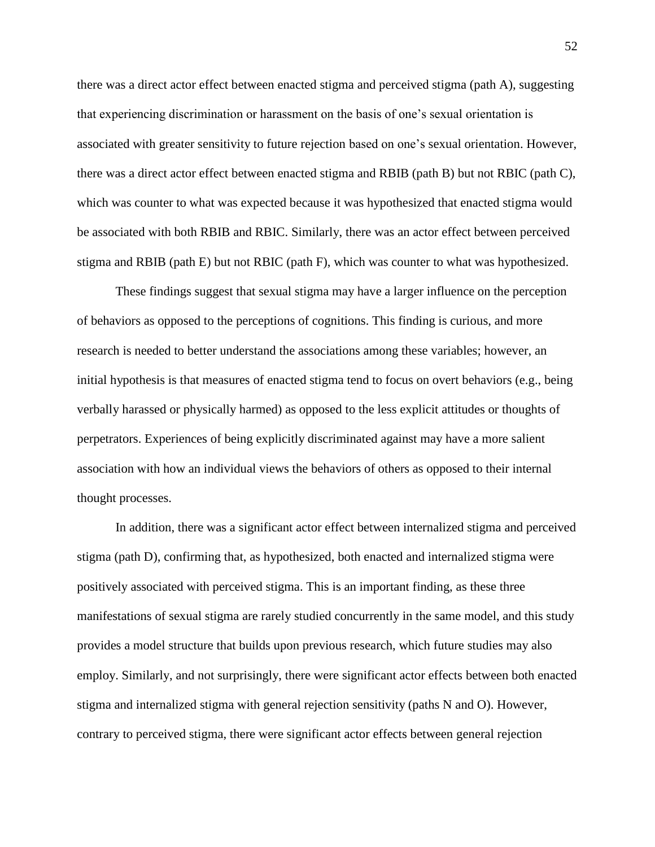there was a direct actor effect between enacted stigma and perceived stigma (path A), suggesting that experiencing discrimination or harassment on the basis of one's sexual orientation is associated with greater sensitivity to future rejection based on one's sexual orientation. However, there was a direct actor effect between enacted stigma and RBIB (path B) but not RBIC (path C), which was counter to what was expected because it was hypothesized that enacted stigma would be associated with both RBIB and RBIC. Similarly, there was an actor effect between perceived stigma and RBIB (path E) but not RBIC (path F), which was counter to what was hypothesized.

These findings suggest that sexual stigma may have a larger influence on the perception of behaviors as opposed to the perceptions of cognitions. This finding is curious, and more research is needed to better understand the associations among these variables; however, an initial hypothesis is that measures of enacted stigma tend to focus on overt behaviors (e.g., being verbally harassed or physically harmed) as opposed to the less explicit attitudes or thoughts of perpetrators. Experiences of being explicitly discriminated against may have a more salient association with how an individual views the behaviors of others as opposed to their internal thought processes.

In addition, there was a significant actor effect between internalized stigma and perceived stigma (path D), confirming that, as hypothesized, both enacted and internalized stigma were positively associated with perceived stigma. This is an important finding, as these three manifestations of sexual stigma are rarely studied concurrently in the same model, and this study provides a model structure that builds upon previous research, which future studies may also employ. Similarly, and not surprisingly, there were significant actor effects between both enacted stigma and internalized stigma with general rejection sensitivity (paths N and O). However, contrary to perceived stigma, there were significant actor effects between general rejection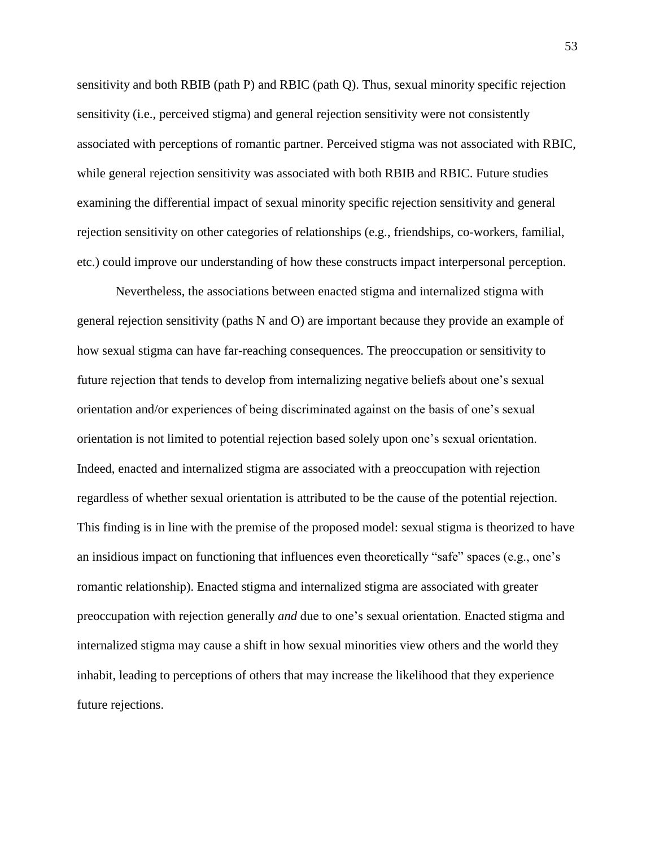sensitivity and both RBIB (path P) and RBIC (path Q). Thus, sexual minority specific rejection sensitivity (i.e., perceived stigma) and general rejection sensitivity were not consistently associated with perceptions of romantic partner. Perceived stigma was not associated with RBIC, while general rejection sensitivity was associated with both RBIB and RBIC. Future studies examining the differential impact of sexual minority specific rejection sensitivity and general rejection sensitivity on other categories of relationships (e.g., friendships, co-workers, familial, etc.) could improve our understanding of how these constructs impact interpersonal perception.

Nevertheless, the associations between enacted stigma and internalized stigma with general rejection sensitivity (paths N and O) are important because they provide an example of how sexual stigma can have far-reaching consequences. The preoccupation or sensitivity to future rejection that tends to develop from internalizing negative beliefs about one's sexual orientation and/or experiences of being discriminated against on the basis of one's sexual orientation is not limited to potential rejection based solely upon one's sexual orientation. Indeed, enacted and internalized stigma are associated with a preoccupation with rejection regardless of whether sexual orientation is attributed to be the cause of the potential rejection. This finding is in line with the premise of the proposed model: sexual stigma is theorized to have an insidious impact on functioning that influences even theoretically "safe" spaces (e.g., one's romantic relationship). Enacted stigma and internalized stigma are associated with greater preoccupation with rejection generally *and* due to one's sexual orientation. Enacted stigma and internalized stigma may cause a shift in how sexual minorities view others and the world they inhabit, leading to perceptions of others that may increase the likelihood that they experience future rejections.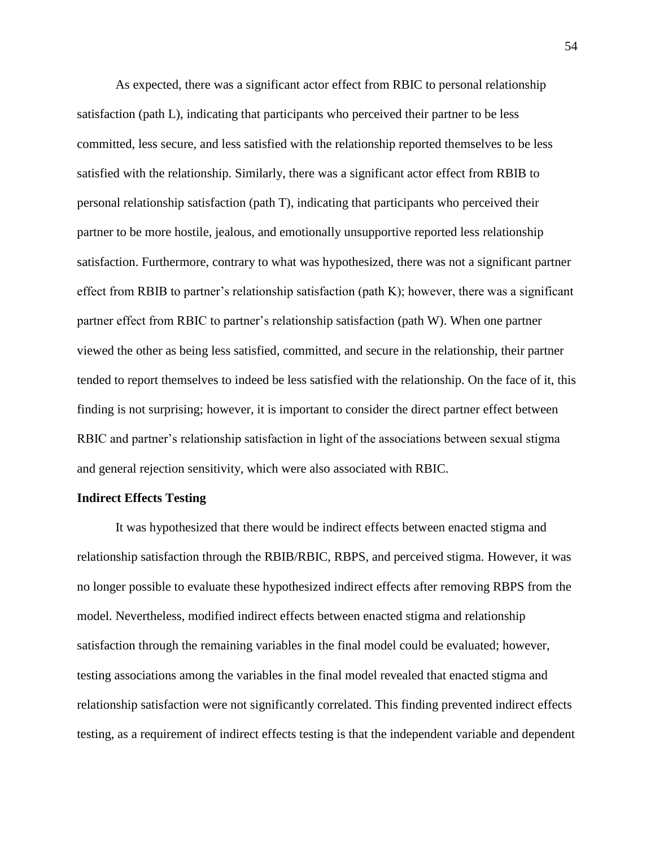As expected, there was a significant actor effect from RBIC to personal relationship satisfaction (path L), indicating that participants who perceived their partner to be less committed, less secure, and less satisfied with the relationship reported themselves to be less satisfied with the relationship. Similarly, there was a significant actor effect from RBIB to personal relationship satisfaction (path T), indicating that participants who perceived their partner to be more hostile, jealous, and emotionally unsupportive reported less relationship satisfaction. Furthermore, contrary to what was hypothesized, there was not a significant partner effect from RBIB to partner's relationship satisfaction (path K); however, there was a significant partner effect from RBIC to partner's relationship satisfaction (path W). When one partner viewed the other as being less satisfied, committed, and secure in the relationship, their partner tended to report themselves to indeed be less satisfied with the relationship. On the face of it, this finding is not surprising; however, it is important to consider the direct partner effect between RBIC and partner's relationship satisfaction in light of the associations between sexual stigma and general rejection sensitivity, which were also associated with RBIC.

#### **Indirect Effects Testing**

It was hypothesized that there would be indirect effects between enacted stigma and relationship satisfaction through the RBIB/RBIC, RBPS, and perceived stigma. However, it was no longer possible to evaluate these hypothesized indirect effects after removing RBPS from the model. Nevertheless, modified indirect effects between enacted stigma and relationship satisfaction through the remaining variables in the final model could be evaluated; however, testing associations among the variables in the final model revealed that enacted stigma and relationship satisfaction were not significantly correlated. This finding prevented indirect effects testing, as a requirement of indirect effects testing is that the independent variable and dependent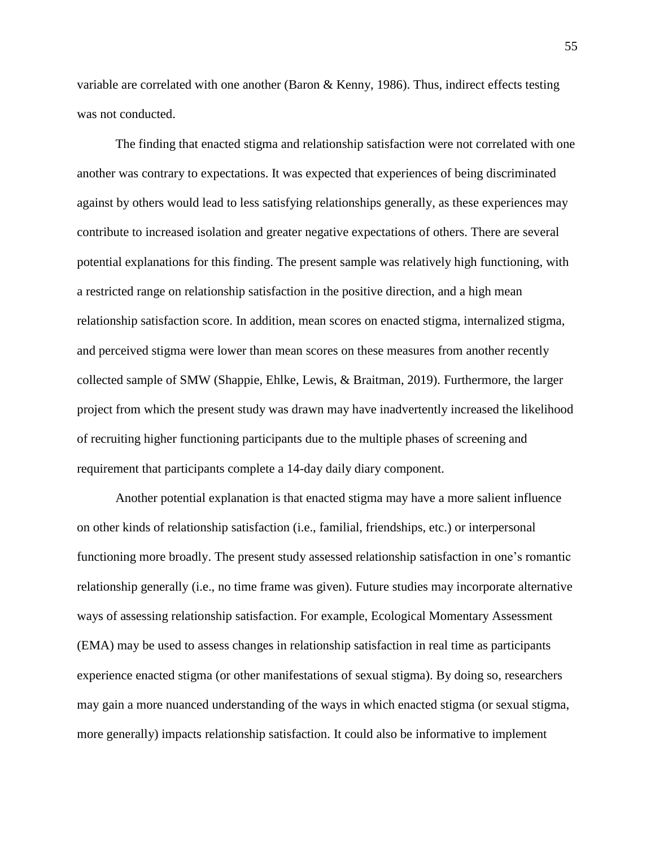variable are correlated with one another (Baron & Kenny, 1986). Thus, indirect effects testing was not conducted.

The finding that enacted stigma and relationship satisfaction were not correlated with one another was contrary to expectations. It was expected that experiences of being discriminated against by others would lead to less satisfying relationships generally, as these experiences may contribute to increased isolation and greater negative expectations of others. There are several potential explanations for this finding. The present sample was relatively high functioning, with a restricted range on relationship satisfaction in the positive direction, and a high mean relationship satisfaction score. In addition, mean scores on enacted stigma, internalized stigma, and perceived stigma were lower than mean scores on these measures from another recently collected sample of SMW (Shappie, Ehlke, Lewis, & Braitman, 2019). Furthermore, the larger project from which the present study was drawn may have inadvertently increased the likelihood of recruiting higher functioning participants due to the multiple phases of screening and requirement that participants complete a 14-day daily diary component.

Another potential explanation is that enacted stigma may have a more salient influence on other kinds of relationship satisfaction (i.e., familial, friendships, etc.) or interpersonal functioning more broadly. The present study assessed relationship satisfaction in one's romantic relationship generally (i.e., no time frame was given). Future studies may incorporate alternative ways of assessing relationship satisfaction. For example, Ecological Momentary Assessment (EMA) may be used to assess changes in relationship satisfaction in real time as participants experience enacted stigma (or other manifestations of sexual stigma). By doing so, researchers may gain a more nuanced understanding of the ways in which enacted stigma (or sexual stigma, more generally) impacts relationship satisfaction. It could also be informative to implement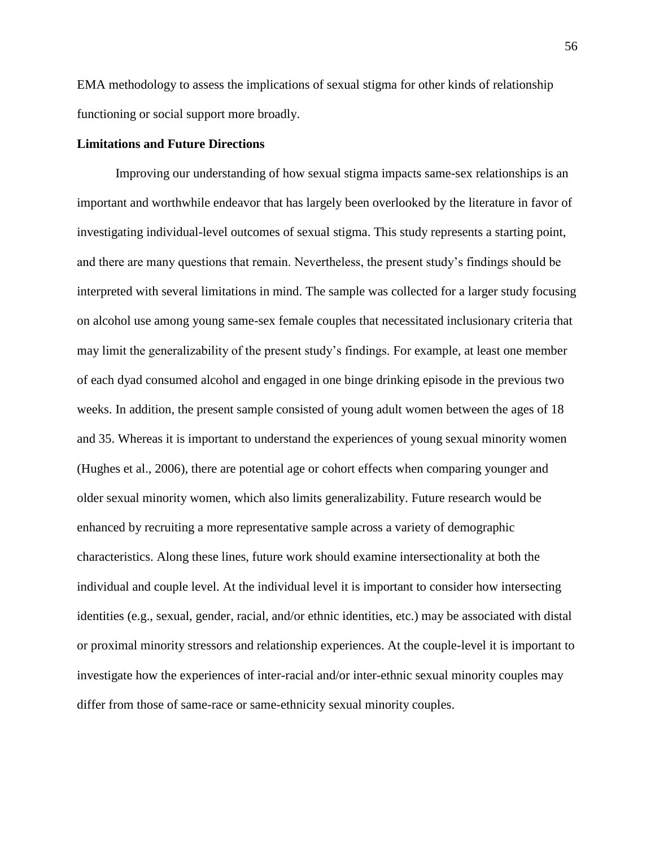EMA methodology to assess the implications of sexual stigma for other kinds of relationship functioning or social support more broadly.

### **Limitations and Future Directions**

Improving our understanding of how sexual stigma impacts same-sex relationships is an important and worthwhile endeavor that has largely been overlooked by the literature in favor of investigating individual-level outcomes of sexual stigma. This study represents a starting point, and there are many questions that remain. Nevertheless, the present study's findings should be interpreted with several limitations in mind. The sample was collected for a larger study focusing on alcohol use among young same-sex female couples that necessitated inclusionary criteria that may limit the generalizability of the present study's findings. For example, at least one member of each dyad consumed alcohol and engaged in one binge drinking episode in the previous two weeks. In addition, the present sample consisted of young adult women between the ages of 18 and 35. Whereas it is important to understand the experiences of young sexual minority women (Hughes et al., 2006), there are potential age or cohort effects when comparing younger and older sexual minority women, which also limits generalizability. Future research would be enhanced by recruiting a more representative sample across a variety of demographic characteristics. Along these lines, future work should examine intersectionality at both the individual and couple level. At the individual level it is important to consider how intersecting identities (e.g., sexual, gender, racial, and/or ethnic identities, etc.) may be associated with distal or proximal minority stressors and relationship experiences. At the couple-level it is important to investigate how the experiences of inter-racial and/or inter-ethnic sexual minority couples may differ from those of same-race or same-ethnicity sexual minority couples.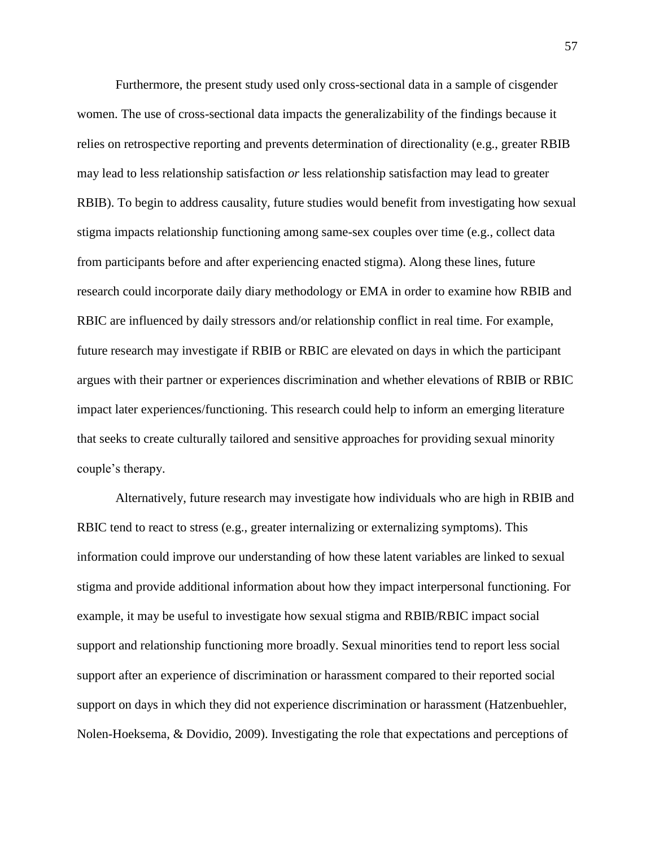Furthermore, the present study used only cross-sectional data in a sample of cisgender women. The use of cross-sectional data impacts the generalizability of the findings because it relies on retrospective reporting and prevents determination of directionality (e.g., greater RBIB may lead to less relationship satisfaction *or* less relationship satisfaction may lead to greater RBIB). To begin to address causality, future studies would benefit from investigating how sexual stigma impacts relationship functioning among same-sex couples over time (e.g., collect data from participants before and after experiencing enacted stigma). Along these lines, future research could incorporate daily diary methodology or EMA in order to examine how RBIB and RBIC are influenced by daily stressors and/or relationship conflict in real time. For example, future research may investigate if RBIB or RBIC are elevated on days in which the participant argues with their partner or experiences discrimination and whether elevations of RBIB or RBIC impact later experiences/functioning. This research could help to inform an emerging literature that seeks to create culturally tailored and sensitive approaches for providing sexual minority couple's therapy.

Alternatively, future research may investigate how individuals who are high in RBIB and RBIC tend to react to stress (e.g., greater internalizing or externalizing symptoms). This information could improve our understanding of how these latent variables are linked to sexual stigma and provide additional information about how they impact interpersonal functioning. For example, it may be useful to investigate how sexual stigma and RBIB/RBIC impact social support and relationship functioning more broadly. Sexual minorities tend to report less social support after an experience of discrimination or harassment compared to their reported social support on days in which they did not experience discrimination or harassment (Hatzenbuehler, Nolen-Hoeksema, & Dovidio, 2009). Investigating the role that expectations and perceptions of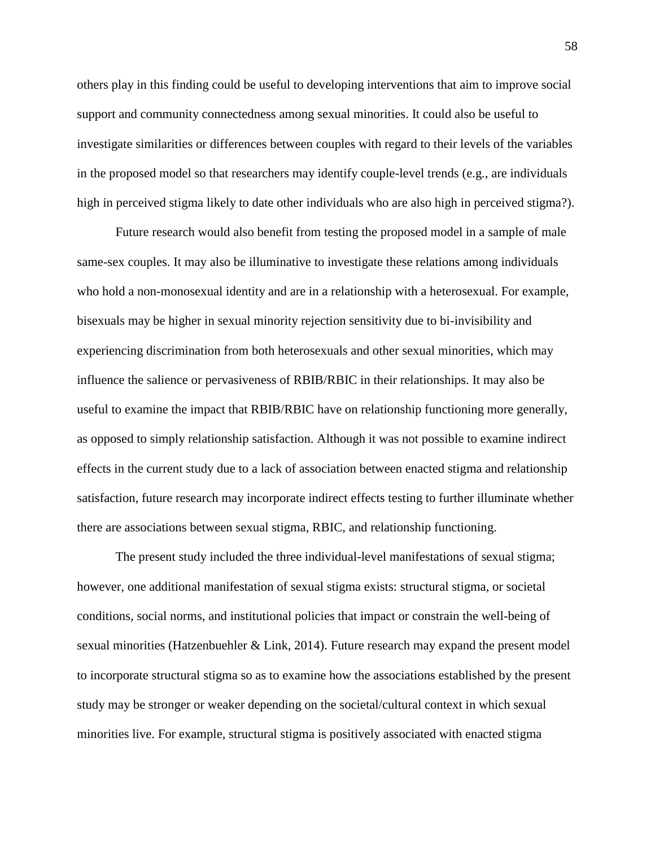others play in this finding could be useful to developing interventions that aim to improve social support and community connectedness among sexual minorities. It could also be useful to investigate similarities or differences between couples with regard to their levels of the variables in the proposed model so that researchers may identify couple-level trends (e.g., are individuals high in perceived stigma likely to date other individuals who are also high in perceived stigma?).

Future research would also benefit from testing the proposed model in a sample of male same-sex couples. It may also be illuminative to investigate these relations among individuals who hold a non-monosexual identity and are in a relationship with a heterosexual. For example, bisexuals may be higher in sexual minority rejection sensitivity due to bi-invisibility and experiencing discrimination from both heterosexuals and other sexual minorities, which may influence the salience or pervasiveness of RBIB/RBIC in their relationships. It may also be useful to examine the impact that RBIB/RBIC have on relationship functioning more generally, as opposed to simply relationship satisfaction. Although it was not possible to examine indirect effects in the current study due to a lack of association between enacted stigma and relationship satisfaction, future research may incorporate indirect effects testing to further illuminate whether there are associations between sexual stigma, RBIC, and relationship functioning.

The present study included the three individual-level manifestations of sexual stigma; however, one additional manifestation of sexual stigma exists: structural stigma, or societal conditions, social norms, and institutional policies that impact or constrain the well-being of sexual minorities (Hatzenbuehler & Link, 2014). Future research may expand the present model to incorporate structural stigma so as to examine how the associations established by the present study may be stronger or weaker depending on the societal/cultural context in which sexual minorities live. For example, structural stigma is positively associated with enacted stigma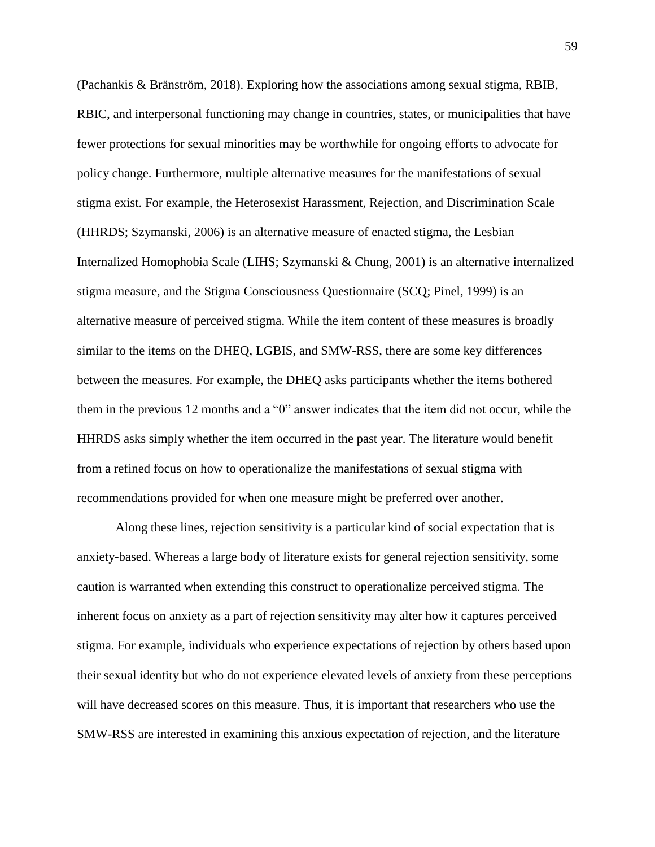(Pachankis & Bränström, 2018). Exploring how the associations among sexual stigma, RBIB, RBIC, and interpersonal functioning may change in countries, states, or municipalities that have fewer protections for sexual minorities may be worthwhile for ongoing efforts to advocate for policy change. Furthermore, multiple alternative measures for the manifestations of sexual stigma exist. For example, the Heterosexist Harassment, Rejection, and Discrimination Scale (HHRDS; Szymanski, 2006) is an alternative measure of enacted stigma, the Lesbian Internalized Homophobia Scale (LIHS; Szymanski & Chung, 2001) is an alternative internalized stigma measure, and the Stigma Consciousness Questionnaire (SCQ; Pinel, 1999) is an alternative measure of perceived stigma. While the item content of these measures is broadly similar to the items on the DHEQ, LGBIS, and SMW-RSS, there are some key differences between the measures. For example, the DHEQ asks participants whether the items bothered them in the previous 12 months and a "0" answer indicates that the item did not occur, while the HHRDS asks simply whether the item occurred in the past year. The literature would benefit from a refined focus on how to operationalize the manifestations of sexual stigma with recommendations provided for when one measure might be preferred over another.

Along these lines, rejection sensitivity is a particular kind of social expectation that is anxiety-based. Whereas a large body of literature exists for general rejection sensitivity, some caution is warranted when extending this construct to operationalize perceived stigma. The inherent focus on anxiety as a part of rejection sensitivity may alter how it captures perceived stigma. For example, individuals who experience expectations of rejection by others based upon their sexual identity but who do not experience elevated levels of anxiety from these perceptions will have decreased scores on this measure. Thus, it is important that researchers who use the SMW-RSS are interested in examining this anxious expectation of rejection, and the literature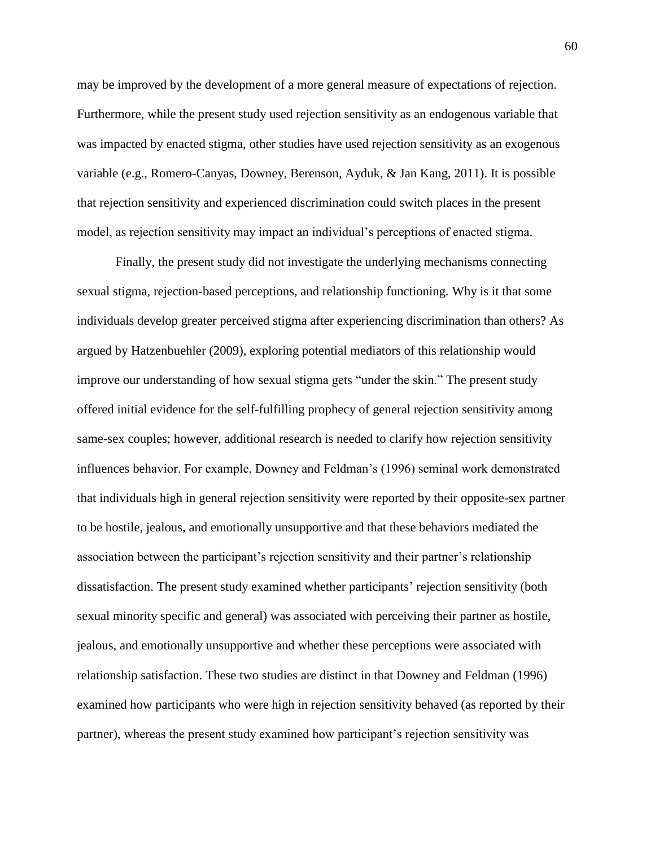may be improved by the development of a more general measure of expectations of rejection. Furthermore, while the present study used rejection sensitivity as an endogenous variable that was impacted by enacted stigma, other studies have used rejection sensitivity as an exogenous variable (e.g., Romero-Canyas, Downey, Berenson, Ayduk, & Jan Kang, 2011). It is possible that rejection sensitivity and experienced discrimination could switch places in the present model, as rejection sensitivity may impact an individual's perceptions of enacted stigma.

Finally, the present study did not investigate the underlying mechanisms connecting sexual stigma, rejection-based perceptions, and relationship functioning. Why is it that some individuals develop greater perceived stigma after experiencing discrimination than others? As argued by Hatzenbuehler (2009), exploring potential mediators of this relationship would improve our understanding of how sexual stigma gets "under the skin." The present study offered initial evidence for the self-fulfilling prophecy of general rejection sensitivity among same-sex couples; however, additional research is needed to clarify how rejection sensitivity influences behavior. For example, Downey and Feldman's (1996) seminal work demonstrated that individuals high in general rejection sensitivity were reported by their opposite-sex partner to be hostile, jealous, and emotionally unsupportive and that these behaviors mediated the association between the participant's rejection sensitivity and their partner's relationship dissatisfaction. The present study examined whether participants' rejection sensitivity (both sexual minority specific and general) was associated with perceiving their partner as hostile, jealous, and emotionally unsupportive and whether these perceptions were associated with relationship satisfaction. These two studies are distinct in that Downey and Feldman (1996) examined how participants who were high in rejection sensitivity behaved (as reported by their partner), whereas the present study examined how participant's rejection sensitivity was

60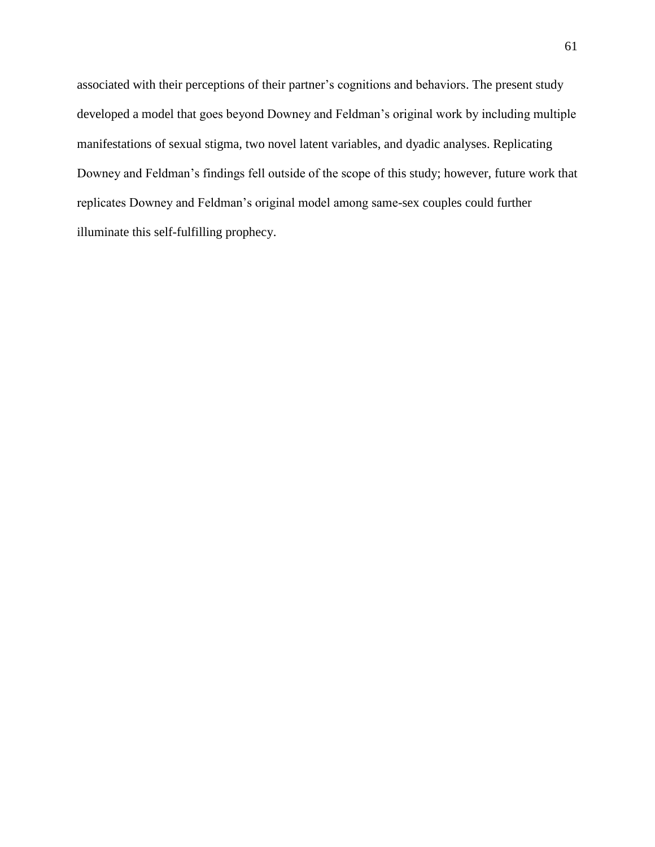associated with their perceptions of their partner's cognitions and behaviors. The present study developed a model that goes beyond Downey and Feldman's original work by including multiple manifestations of sexual stigma, two novel latent variables, and dyadic analyses. Replicating Downey and Feldman's findings fell outside of the scope of this study; however, future work that replicates Downey and Feldman's original model among same-sex couples could further illuminate this self-fulfilling prophecy.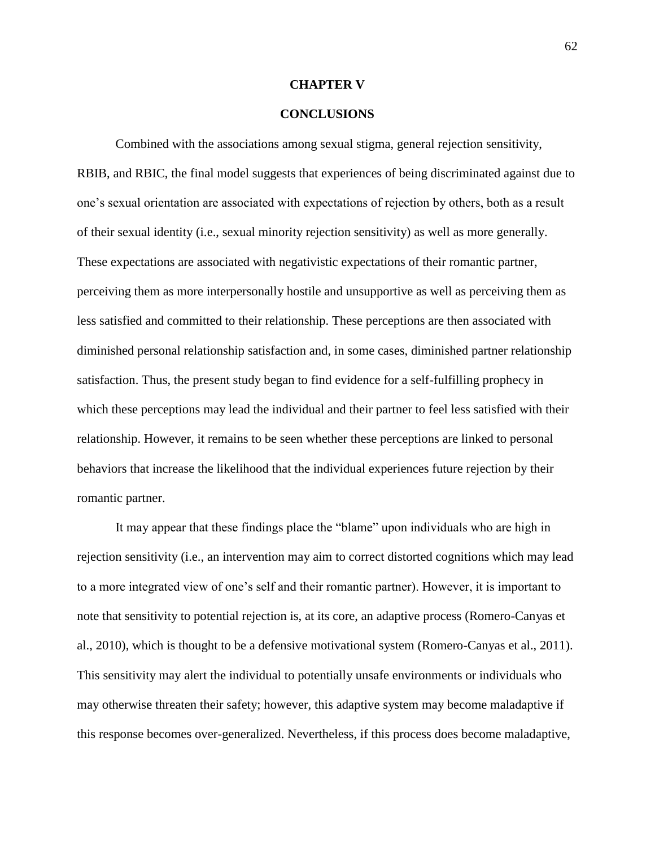#### **CHAPTER V**

#### **CONCLUSIONS**

Combined with the associations among sexual stigma, general rejection sensitivity, RBIB, and RBIC, the final model suggests that experiences of being discriminated against due to one's sexual orientation are associated with expectations of rejection by others, both as a result of their sexual identity (i.e., sexual minority rejection sensitivity) as well as more generally. These expectations are associated with negativistic expectations of their romantic partner, perceiving them as more interpersonally hostile and unsupportive as well as perceiving them as less satisfied and committed to their relationship. These perceptions are then associated with diminished personal relationship satisfaction and, in some cases, diminished partner relationship satisfaction. Thus, the present study began to find evidence for a self-fulfilling prophecy in which these perceptions may lead the individual and their partner to feel less satisfied with their relationship. However, it remains to be seen whether these perceptions are linked to personal behaviors that increase the likelihood that the individual experiences future rejection by their romantic partner.

It may appear that these findings place the "blame" upon individuals who are high in rejection sensitivity (i.e., an intervention may aim to correct distorted cognitions which may lead to a more integrated view of one's self and their romantic partner). However, it is important to note that sensitivity to potential rejection is, at its core, an adaptive process (Romero-Canyas et al., 2010), which is thought to be a defensive motivational system (Romero-Canyas et al., 2011). This sensitivity may alert the individual to potentially unsafe environments or individuals who may otherwise threaten their safety; however, this adaptive system may become maladaptive if this response becomes over-generalized. Nevertheless, if this process does become maladaptive,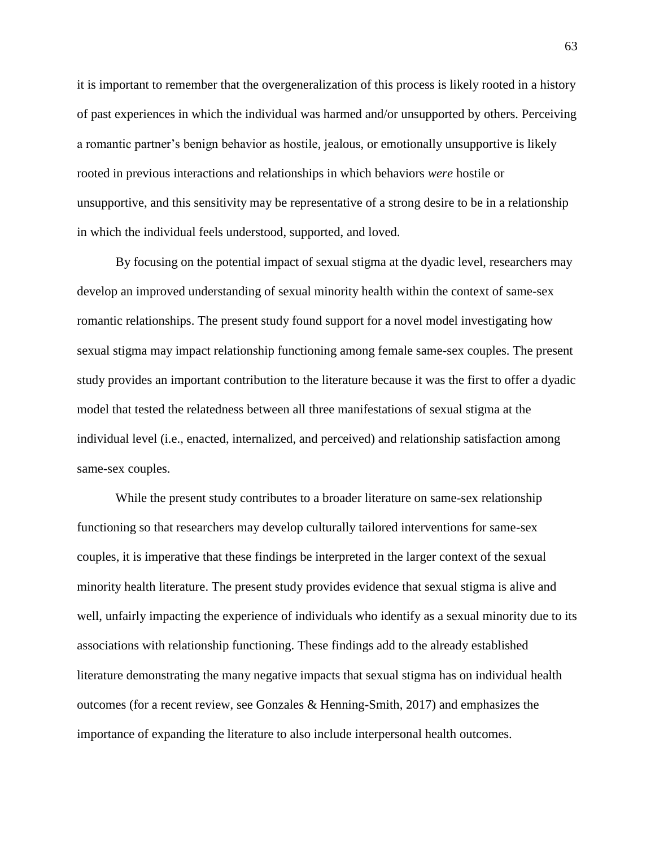it is important to remember that the overgeneralization of this process is likely rooted in a history of past experiences in which the individual was harmed and/or unsupported by others. Perceiving a romantic partner's benign behavior as hostile, jealous, or emotionally unsupportive is likely rooted in previous interactions and relationships in which behaviors *were* hostile or unsupportive, and this sensitivity may be representative of a strong desire to be in a relationship in which the individual feels understood, supported, and loved.

By focusing on the potential impact of sexual stigma at the dyadic level, researchers may develop an improved understanding of sexual minority health within the context of same-sex romantic relationships. The present study found support for a novel model investigating how sexual stigma may impact relationship functioning among female same-sex couples. The present study provides an important contribution to the literature because it was the first to offer a dyadic model that tested the relatedness between all three manifestations of sexual stigma at the individual level (i.e., enacted, internalized, and perceived) and relationship satisfaction among same-sex couples.

While the present study contributes to a broader literature on same-sex relationship functioning so that researchers may develop culturally tailored interventions for same-sex couples, it is imperative that these findings be interpreted in the larger context of the sexual minority health literature. The present study provides evidence that sexual stigma is alive and well, unfairly impacting the experience of individuals who identify as a sexual minority due to its associations with relationship functioning. These findings add to the already established literature demonstrating the many negative impacts that sexual stigma has on individual health outcomes (for a recent review, see Gonzales & Henning-Smith, 2017) and emphasizes the importance of expanding the literature to also include interpersonal health outcomes.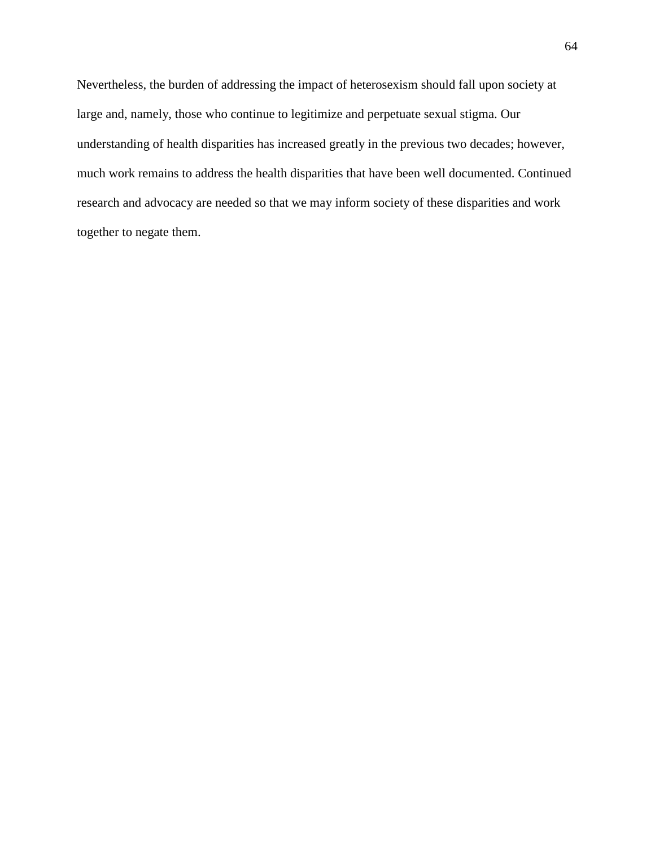Nevertheless, the burden of addressing the impact of heterosexism should fall upon society at large and, namely, those who continue to legitimize and perpetuate sexual stigma. Our understanding of health disparities has increased greatly in the previous two decades; however, much work remains to address the health disparities that have been well documented. Continued research and advocacy are needed so that we may inform society of these disparities and work together to negate them.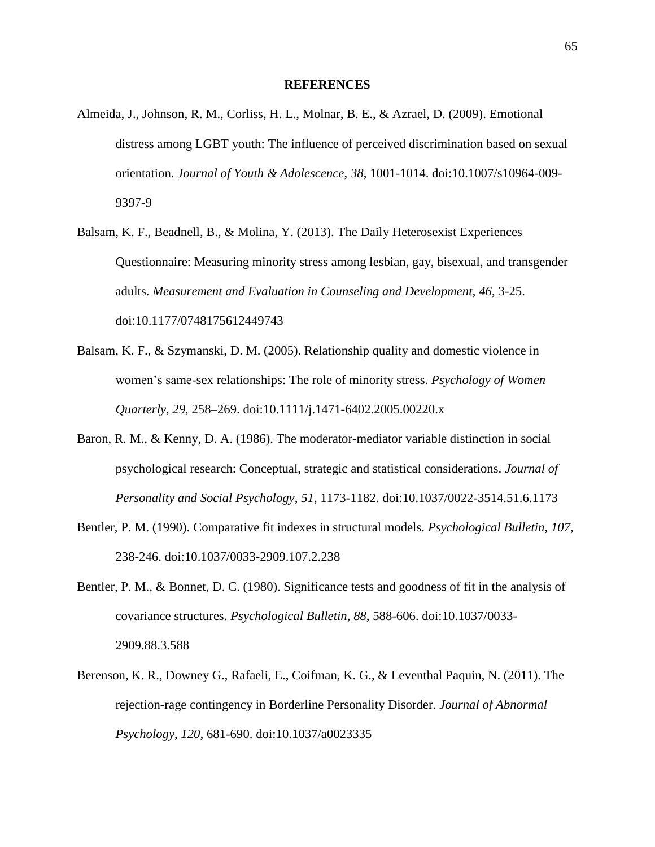#### **REFERENCES**

- Almeida, J., Johnson, R. M., Corliss, H. L., Molnar, B. E., & Azrael, D. (2009). Emotional distress among LGBT youth: The influence of perceived discrimination based on sexual orientation. *Journal of Youth & Adolescence*, *38*, 1001-1014. doi:10.1007/s10964-009- 9397-9
- Balsam, K. F., Beadnell, B., & Molina, Y. (2013). The Daily Heterosexist Experiences Questionnaire: Measuring minority stress among lesbian, gay, bisexual, and transgender adults. *Measurement and Evaluation in Counseling and Development*, *46*, 3-25. doi:10.1177/0748175612449743
- Balsam, K. F., & Szymanski, D. M. (2005). Relationship quality and domestic violence in women's same-sex relationships: The role of minority stress. *Psychology of Women Quarterly*, *29*, 258–269. doi:10.1111/j.1471-6402.2005.00220.x
- Baron, R. M., & Kenny, D. A. (1986). The moderator-mediator variable distinction in social psychological research: Conceptual, strategic and statistical considerations. *Journal of Personality and Social Psychology*, *51*, 1173-1182. doi:10.1037/0022-3514.51.6.1173
- Bentler, P. M. (1990). Comparative fit indexes in structural models. *Psychological Bulletin*, *107*, 238-246. doi:10.1037/0033-2909.107.2.238
- Bentler, P. M., & Bonnet, D. C. (1980). Significance tests and goodness of fit in the analysis of covariance structures. *Psychological Bulletin*, *88*, 588-606. doi:10.1037/0033- 2909.88.3.588
- Berenson, K. R., Downey G., Rafaeli, E., Coifman, K. G., & Leventhal Paquin, N. (2011). The rejection-rage contingency in Borderline Personality Disorder. *Journal of Abnormal Psychology*, *120*, 681-690. doi:10.1037/a0023335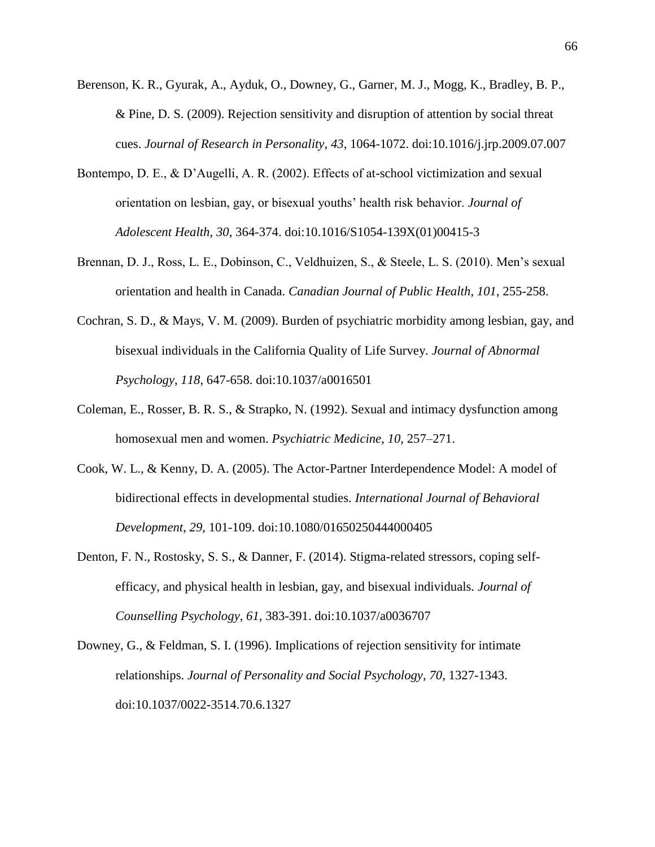- Berenson, K. R., Gyurak, A., Ayduk, O., Downey, G., Garner, M. J., Mogg, K., Bradley, B. P., & Pine, D. S. (2009). Rejection sensitivity and disruption of attention by social threat cues. *Journal of Research in Personality*, *43*, 1064-1072. doi:10.1016/j.jrp.2009.07.007
- Bontempo, D. E., & D'Augelli, A. R. (2002). Effects of at-school victimization and sexual orientation on lesbian, gay, or bisexual youths' health risk behavior. *Journal of Adolescent Health*, *30*, 364-374. doi:10.1016/S1054-139X(01)00415-3
- Brennan, D. J., Ross, L. E., Dobinson, C., Veldhuizen, S., & Steele, L. S. (2010). Men's sexual orientation and health in Canada. *Canadian Journal of Public Health*, *101*, 255-258.
- Cochran, S. D., & Mays, V. M. (2009). Burden of psychiatric morbidity among lesbian, gay, and bisexual individuals in the California Quality of Life Survey. *Journal of Abnormal Psychology*, *118*, 647-658. doi:10.1037/a0016501
- Coleman, E., Rosser, B. R. S., & Strapko, N. (1992). Sexual and intimacy dysfunction among homosexual men and women. *Psychiatric Medicine*, *10*, 257–271.
- Cook, W. L., & Kenny, D. A. (2005). The Actor-Partner Interdependence Model: A model of bidirectional effects in developmental studies. *International Journal of Behavioral Development*, *29*, 101-109. doi:10.1080/01650250444000405
- Denton, F. N., Rostosky, S. S., & Danner, F. (2014). Stigma-related stressors, coping selfefficacy, and physical health in lesbian, gay, and bisexual individuals. *Journal of Counselling Psychology*, *61*, 383-391. doi:10.1037/a0036707
- Downey, G., & Feldman, S. I. (1996). Implications of rejection sensitivity for intimate relationships. *Journal of Personality and Social Psychology*, *70*, 1327-1343. doi:10.1037/0022-3514.70.6.1327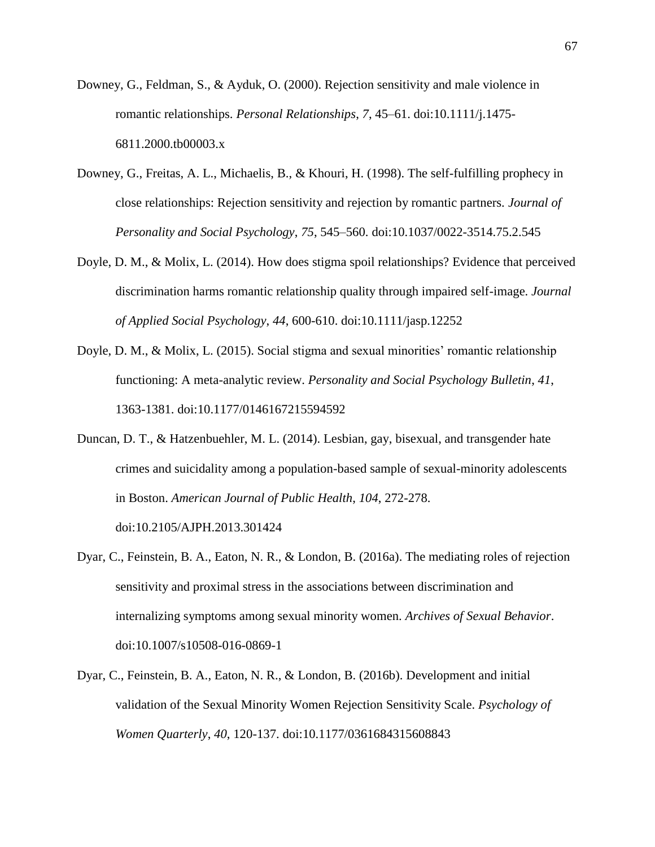- Downey, G., Feldman, S., & Ayduk, O. (2000). Rejection sensitivity and male violence in romantic relationships. *Personal Relationships*, *7*, 45–61. doi:10.1111/j.1475- 6811.2000.tb00003.x
- Downey, G., Freitas, A. L., Michaelis, B., & Khouri, H. (1998). The self-fulfilling prophecy in close relationships: Rejection sensitivity and rejection by romantic partners. *Journal of Personality and Social Psychology*, *75*, 545–560. doi:10.1037/0022-3514.75.2.545
- Doyle, D. M., & Molix, L. (2014). How does stigma spoil relationships? Evidence that perceived discrimination harms romantic relationship quality through impaired self-image. *Journal of Applied Social Psychology*, *44*, 600-610. doi:10.1111/jasp.12252
- Doyle, D. M., & Molix, L. (2015). Social stigma and sexual minorities' romantic relationship functioning: A meta-analytic review. *Personality and Social Psychology Bulletin*, *41*, 1363-1381. doi:10.1177/0146167215594592
- Duncan, D. T., & Hatzenbuehler, M. L. (2014). Lesbian, gay, bisexual, and transgender hate crimes and suicidality among a population-based sample of sexual-minority adolescents in Boston. *American Journal of Public Health*, *104*, 272-278. doi:10.2105/AJPH.2013.301424
- Dyar, C., Feinstein, B. A., Eaton, N. R., & London, B. (2016a). The mediating roles of rejection sensitivity and proximal stress in the associations between discrimination and internalizing symptoms among sexual minority women. *Archives of Sexual Behavior*. doi:10.1007/s10508-016-0869-1
- Dyar, C., Feinstein, B. A., Eaton, N. R., & London, B. (2016b). Development and initial validation of the Sexual Minority Women Rejection Sensitivity Scale. *Psychology of Women Quarterly*, *40*, 120-137. doi:10.1177/0361684315608843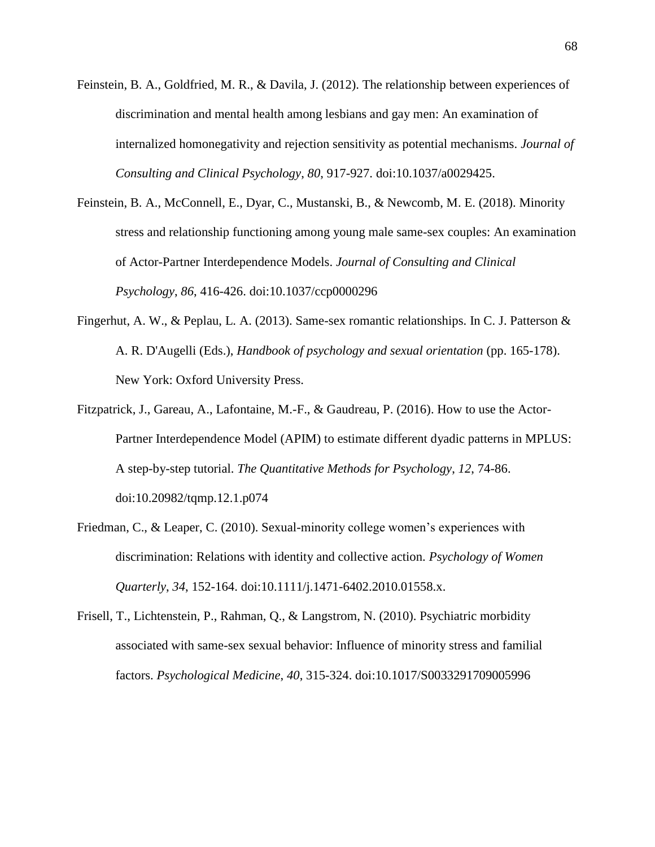- Feinstein, B. A., Goldfried, M. R., & Davila, J. (2012). The relationship between experiences of discrimination and mental health among lesbians and gay men: An examination of internalized homonegativity and rejection sensitivity as potential mechanisms. *Journal of Consulting and Clinical Psychology*, *80*, 917-927. doi:10.1037/a0029425.
- Feinstein, B. A., McConnell, E., Dyar, C., Mustanski, B., & Newcomb, M. E. (2018). Minority stress and relationship functioning among young male same-sex couples: An examination of Actor-Partner Interdependence Models. *Journal of Consulting and Clinical Psychology*, *86*, 416-426. doi:10.1037/ccp0000296
- Fingerhut, A. W., & Peplau, L. A. (2013). Same-sex romantic relationships. In C. J. Patterson & A. R. D'Augelli (Eds.), *Handbook of psychology and sexual orientation* (pp. 165-178). New York: Oxford University Press.
- Fitzpatrick, J., Gareau, A., Lafontaine, M.-F., & Gaudreau, P. (2016). How to use the Actor-Partner Interdependence Model (APIM) to estimate different dyadic patterns in MPLUS: A step-by-step tutorial. *The Quantitative Methods for Psychology*, *12*, 74-86. doi:10.20982/tqmp.12.1.p074
- Friedman, C., & Leaper, C. (2010). Sexual-minority college women's experiences with discrimination: Relations with identity and collective action. *Psychology of Women Quarterly*, *34*, 152-164. doi:10.1111/j.1471-6402.2010.01558.x.
- Frisell, T., Lichtenstein, P., Rahman, Q., & Langstrom, N. (2010). Psychiatric morbidity associated with same-sex sexual behavior: Influence of minority stress and familial factors. *Psychological Medicine*, *40*, 315-324. doi:10.1017/S0033291709005996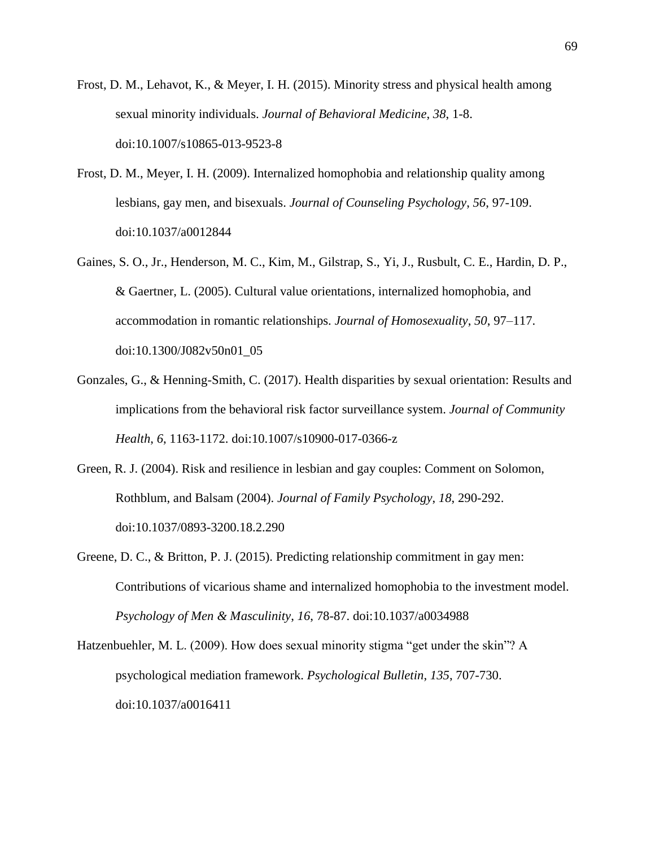- Frost, D. M., Lehavot, K., & Meyer, I. H. (2015). Minority stress and physical health among sexual minority individuals. *Journal of Behavioral Medicine*, *38*, 1-8. doi:10.1007/s10865-013-9523-8
- Frost, D. M., Meyer, I. H. (2009). Internalized homophobia and relationship quality among lesbians, gay men, and bisexuals. *Journal of Counseling Psychology*, *56*, 97-109. doi:10.1037/a0012844
- Gaines, S. O., Jr., Henderson, M. C., Kim, M., Gilstrap, S., Yi, J., Rusbult, C. E., Hardin, D. P., & Gaertner, L. (2005). Cultural value orientations, internalized homophobia, and accommodation in romantic relationships. *Journal of Homosexuality*, *50*, 97–117. doi:10.1300/J082v50n01\_05
- Gonzales, G., & Henning-Smith, C. (2017). Health disparities by sexual orientation: Results and implications from the behavioral risk factor surveillance system. *Journal of Community Health*, *6*, 1163-1172. doi:10.1007/s10900-017-0366-z
- Green, R. J. (2004). Risk and resilience in lesbian and gay couples: Comment on Solomon, Rothblum, and Balsam (2004). *Journal of Family Psychology*, *18*, 290-292. doi:10.1037/0893-3200.18.2.290
- Greene, D. C., & Britton, P. J. (2015). Predicting relationship commitment in gay men: Contributions of vicarious shame and internalized homophobia to the investment model. *Psychology of Men & Masculinity*, *16*, 78-87. doi:10.1037/a0034988
- Hatzenbuehler, M. L. (2009). How does sexual minority stigma "get under the skin"? A psychological mediation framework. *Psychological Bulletin*, *135*, 707-730. doi:10.1037/a0016411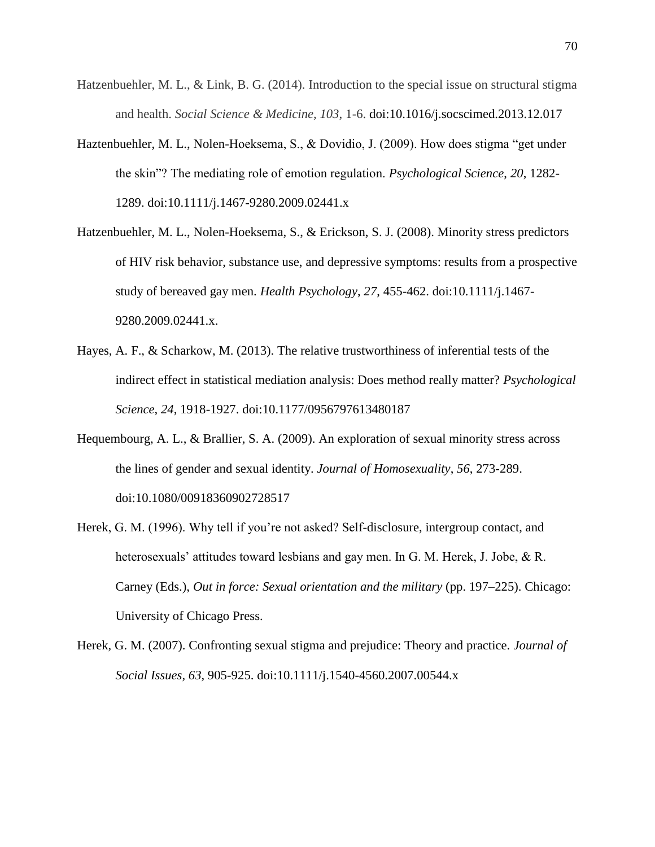- Hatzenbuehler, M. L., & Link, B. G. (2014). Introduction to the special issue on structural stigma and health. *Social Science & Medicine, 103,* 1-6. doi:10.1016/j.socscimed.2013.12.017
- Haztenbuehler, M. L., Nolen-Hoeksema, S., & Dovidio, J. (2009). How does stigma "get under the skin"? The mediating role of emotion regulation. *Psychological Science*, *20*, 1282- 1289. doi:10.1111/j.1467-9280.2009.02441.x
- Hatzenbuehler, M. L., Nolen-Hoeksema, S., & Erickson, S. J. (2008). Minority stress predictors of HIV risk behavior, substance use, and depressive symptoms: results from a prospective study of bereaved gay men. *Health Psychology*, *27*, 455-462. doi:10.1111/j.1467- 9280.2009.02441.x.
- Hayes, A. F., & Scharkow, M. (2013). The relative trustworthiness of inferential tests of the indirect effect in statistical mediation analysis: Does method really matter? *Psychological Science*, *24*, 1918-1927. doi:10.1177/0956797613480187
- Hequembourg, A. L., & Brallier, S. A. (2009). An exploration of sexual minority stress across the lines of gender and sexual identity. *Journal of Homosexuality*, *56*, 273-289. doi:10.1080/00918360902728517
- Herek, G. M. (1996). Why tell if you're not asked? Self-disclosure, intergroup contact, and heterosexuals' attitudes toward lesbians and gay men. In G. M. Herek, J. Jobe, & R. Carney (Eds.), *Out in force: Sexual orientation and the military* (pp. 197–225). Chicago: University of Chicago Press.
- Herek, G. M. (2007). Confronting sexual stigma and prejudice: Theory and practice. *Journal of Social Issues*, *63*, 905-925. doi:10.1111/j.1540-4560.2007.00544.x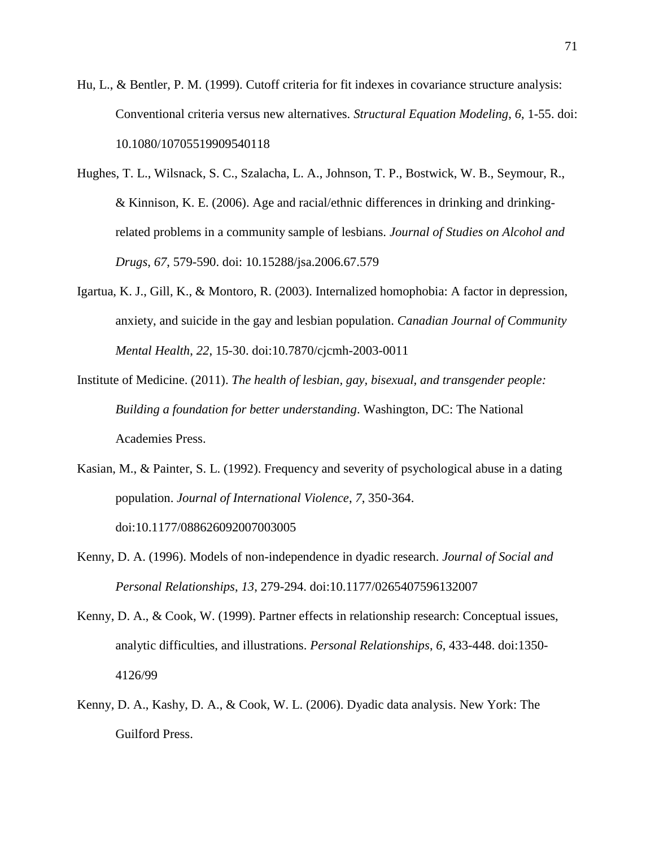- Hu, L., & Bentler, P. M. (1999). Cutoff criteria for fit indexes in covariance structure analysis: Conventional criteria versus new alternatives. *Structural Equation Modeling*, *6*, 1-55. doi: 10.1080/10705519909540118
- Hughes, T. L., Wilsnack, S. C., Szalacha, L. A., Johnson, T. P., Bostwick, W. B., Seymour, R., & Kinnison, K. E. (2006). Age and racial/ethnic differences in drinking and drinkingrelated problems in a community sample of lesbians. *Journal of Studies on Alcohol and Drugs*, *67*, 579-590. doi: 10.15288/jsa.2006.67.579
- Igartua, K. J., Gill, K., & Montoro, R. (2003). Internalized homophobia: A factor in depression, anxiety, and suicide in the gay and lesbian population. *Canadian Journal of Community Mental Health*, *22*, 15-30. doi:10.7870/cjcmh-2003-0011
- Institute of Medicine. (2011). *The health of lesbian, gay, bisexual, and transgender people: Building a foundation for better understanding*. Washington, DC: The National Academies Press.
- Kasian, M., & Painter, S. L. (1992). Frequency and severity of psychological abuse in a dating population. *Journal of International Violence*, *7*, 350-364. doi:10.1177/088626092007003005
- Kenny, D. A. (1996). Models of non-independence in dyadic research. *Journal of Social and Personal Relationships*, *13*, 279-294. doi:10.1177/0265407596132007
- Kenny, D. A., & Cook, W. (1999). Partner effects in relationship research: Conceptual issues, analytic difficulties, and illustrations. *Personal Relationships*, *6*, 433-448. doi:1350- 4126/99
- Kenny, D. A., Kashy, D. A., & Cook, W. L. (2006). Dyadic data analysis. New York: The Guilford Press.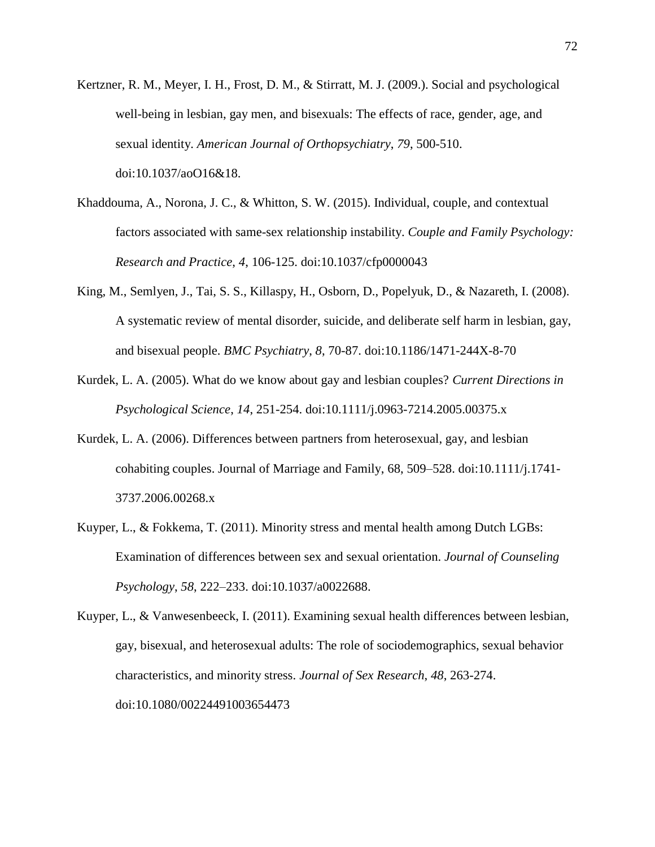- Kertzner, R. M., Meyer, I. H., Frost, D. M., & Stirratt, M. J. (2009.). Social and psychological well-being in lesbian, gay men, and bisexuals: The effects of race, gender, age, and sexual identity. *American Journal of Orthopsychiatry*, *79*, 500-510. doi:10.1037/aoO16&18.
- Khaddouma, A., Norona, J. C., & Whitton, S. W. (2015). Individual, couple, and contextual factors associated with same-sex relationship instability. *Couple and Family Psychology: Research and Practice*, *4*, 106-125. doi:10.1037/cfp0000043
- King, M., Semlyen, J., Tai, S. S., Killaspy, H., Osborn, D., Popelyuk, D., & Nazareth, I. (2008). A systematic review of mental disorder, suicide, and deliberate self harm in lesbian, gay, and bisexual people. *BMC Psychiatry*, *8*, 70-87. doi:10.1186/1471-244X-8-70
- Kurdek, L. A. (2005). What do we know about gay and lesbian couples? *Current Directions in Psychological Science*, *14*, 251-254. doi:10.1111/j.0963-7214.2005.00375.x
- Kurdek, L. A. (2006). Differences between partners from heterosexual, gay, and lesbian cohabiting couples. Journal of Marriage and Family, 68, 509–528. doi:10.1111/j.1741- 3737.2006.00268.x
- Kuyper, L., & Fokkema, T. (2011). Minority stress and mental health among Dutch LGBs: Examination of differences between sex and sexual orientation. *Journal of Counseling Psychology*, *58*, 222–233. doi:10.1037/a0022688.

Kuyper, L., & Vanwesenbeeck, I. (2011). Examining sexual health differences between lesbian, gay, bisexual, and heterosexual adults: The role of sociodemographics, sexual behavior characteristics, and minority stress. *Journal of Sex Research*, *48*, 263-274. doi:10.1080/00224491003654473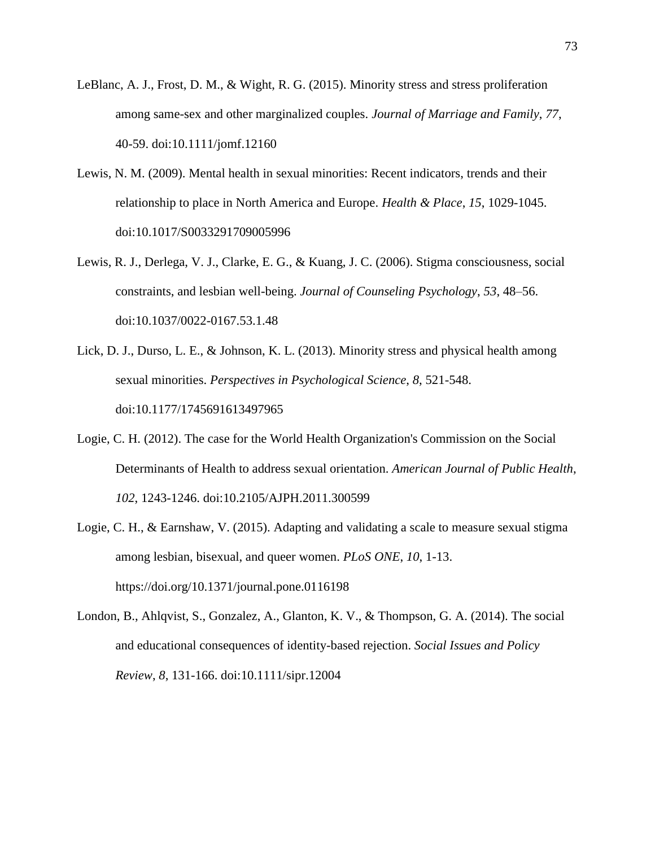- LeBlanc, A. J., Frost, D. M., & Wight, R. G. (2015). Minority stress and stress proliferation among same-sex and other marginalized couples. *Journal of Marriage and Family*, *77*, 40-59. doi:10.1111/jomf.12160
- Lewis, N. M. (2009). Mental health in sexual minorities: Recent indicators, trends and their relationship to place in North America and Europe. *Health & Place*, *15*, 1029-1045. doi:10.1017/S0033291709005996
- Lewis, R. J., Derlega, V. J., Clarke, E. G., & Kuang, J. C. (2006). Stigma consciousness, social constraints, and lesbian well-being. *Journal of Counseling Psychology*, *53*, 48–56. doi:10.1037/0022-0167.53.1.48
- Lick, D. J., Durso, L. E., & Johnson, K. L. (2013). Minority stress and physical health among sexual minorities. *Perspectives in Psychological Science*, *8*, 521-548. doi:10.1177/1745691613497965
- Logie, C. H. (2012). The case for the World Health Organization's Commission on the Social Determinants of Health to address sexual orientation. *American Journal of Public Health*, *102*, 1243-1246. doi:10.2105/AJPH.2011.300599
- Logie, C. H., & Earnshaw, V. (2015). Adapting and validating a scale to measure sexual stigma among lesbian, bisexual, and queer women. *PLoS ONE*, *10*, 1-13. https://doi.org/10.1371/journal.pone.0116198
- London, B., Ahlqvist, S., Gonzalez, A., Glanton, K. V., & Thompson, G. A. (2014). The social and educational consequences of identity-based rejection. *Social Issues and Policy Review*, *8*, 131-166. doi:10.1111/sipr.12004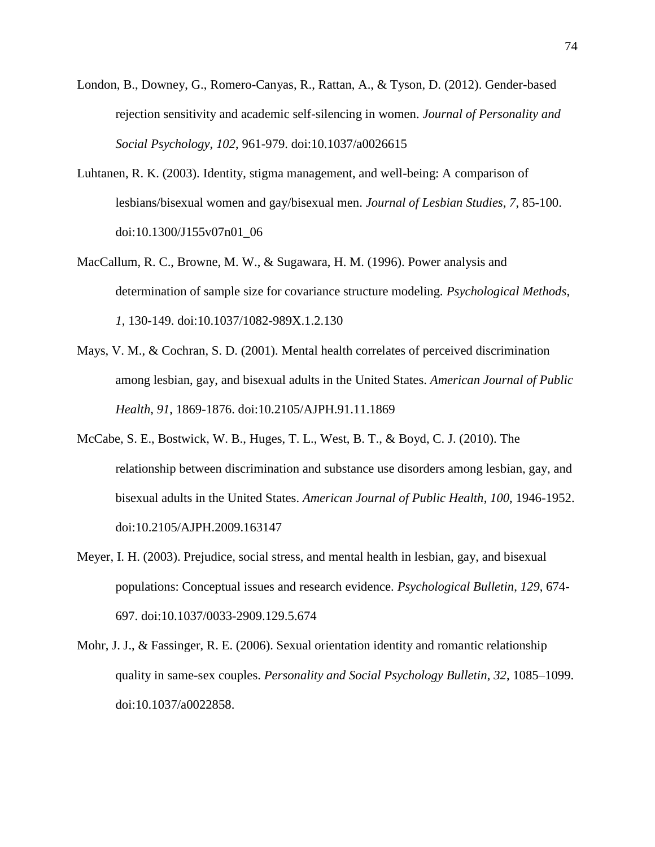- London, B., Downey, G., Romero-Canyas, R., Rattan, A., & Tyson, D. (2012). Gender-based rejection sensitivity and academic self-silencing in women. *Journal of Personality and Social Psychology*, *102*, 961-979. doi:10.1037/a0026615
- Luhtanen, R. K. (2003). Identity, stigma management, and well-being: A comparison of lesbians/bisexual women and gay/bisexual men. *Journal of Lesbian Studies*, *7*, 85-100. doi:10.1300/J155v07n01\_06
- MacCallum, R. C., Browne, M. W., & Sugawara, H. M. (1996). Power analysis and determination of sample size for covariance structure modeling. *Psychological Methods*, *1*, 130-149. doi:10.1037/1082-989X.1.2.130
- Mays, V. M., & Cochran, S. D. (2001). Mental health correlates of perceived discrimination among lesbian, gay, and bisexual adults in the United States. *American Journal of Public Health*, *91*, 1869-1876. doi:10.2105/AJPH.91.11.1869
- McCabe, S. E., Bostwick, W. B., Huges, T. L., West, B. T., & Boyd, C. J. (2010). The relationship between discrimination and substance use disorders among lesbian, gay, and bisexual adults in the United States. *American Journal of Public Health*, *100*, 1946-1952. doi:10.2105/AJPH.2009.163147
- Meyer, I. H. (2003). Prejudice, social stress, and mental health in lesbian, gay, and bisexual populations: Conceptual issues and research evidence. *Psychological Bulletin*, *129*, 674- 697. doi:10.1037/0033-2909.129.5.674
- Mohr, J. J., & Fassinger, R. E. (2006). Sexual orientation identity and romantic relationship quality in same-sex couples. *Personality and Social Psychology Bulletin*, *32*, 1085–1099. doi:10.1037/a0022858.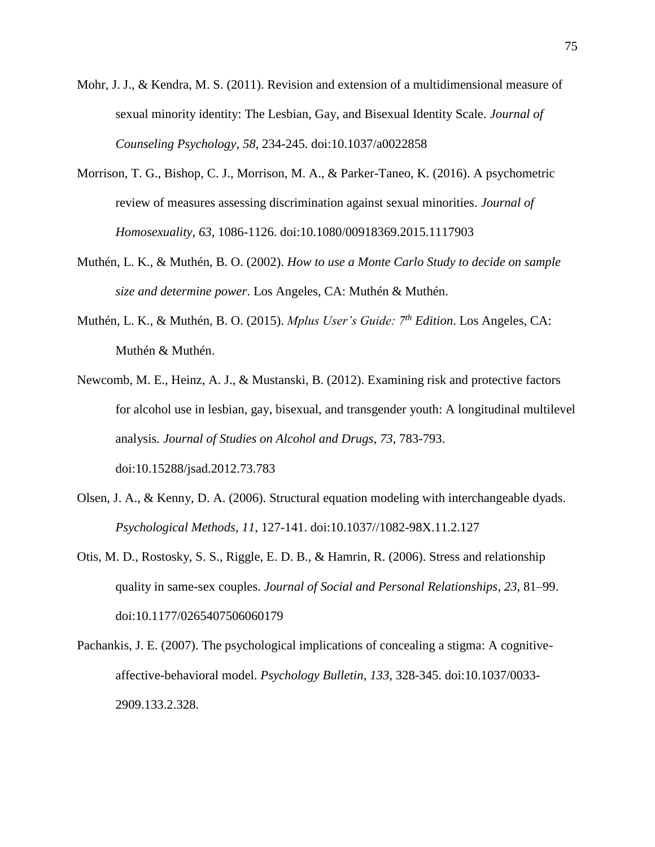- Mohr, J. J., & Kendra, M. S. (2011). Revision and extension of a multidimensional measure of sexual minority identity: The Lesbian, Gay, and Bisexual Identity Scale. *Journal of Counseling Psychology*, *58*, 234-245. doi:10.1037/a0022858
- Morrison, T. G., Bishop, C. J., Morrison, M. A., & Parker-Taneo, K. (2016). A psychometric review of measures assessing discrimination against sexual minorities. *Journal of Homosexuality*, *63*, 1086-1126. doi:10.1080/00918369.2015.1117903
- Muthén, L. K., & Muthén, B. O. (2002). *How to use a Monte Carlo Study to decide on sample size and determine power*. Los Angeles, CA: Muthén & Muthén.
- Muthén, L. K., & Muthén, B. O. (2015). *Mplus User's Guide: 7th Edition*. Los Angeles, CA: Muthén & Muthén.
- Newcomb, M. E., Heinz, A. J., & Mustanski, B. (2012). Examining risk and protective factors for alcohol use in lesbian, gay, bisexual, and transgender youth: A longitudinal multilevel analysis. *Journal of Studies on Alcohol and Drugs*, *73*, 783-793. doi:10.15288/jsad.2012.73.783
- Olsen, J. A., & Kenny, D. A. (2006). Structural equation modeling with interchangeable dyads. *Psychological Methods*, *11*, 127-141. doi:10.1037//1082-98X.11.2.127
- Otis, M. D., Rostosky, S. S., Riggle, E. D. B., & Hamrin, R. (2006). Stress and relationship quality in same-sex couples. *Journal of Social and Personal Relationships*, *23*, 81–99. doi:10.1177/0265407506060179
- Pachankis, J. E. (2007). The psychological implications of concealing a stigma: A cognitiveaffective-behavioral model. *Psychology Bulletin*, *133*, 328-345. doi:10.1037/0033- 2909.133.2.328.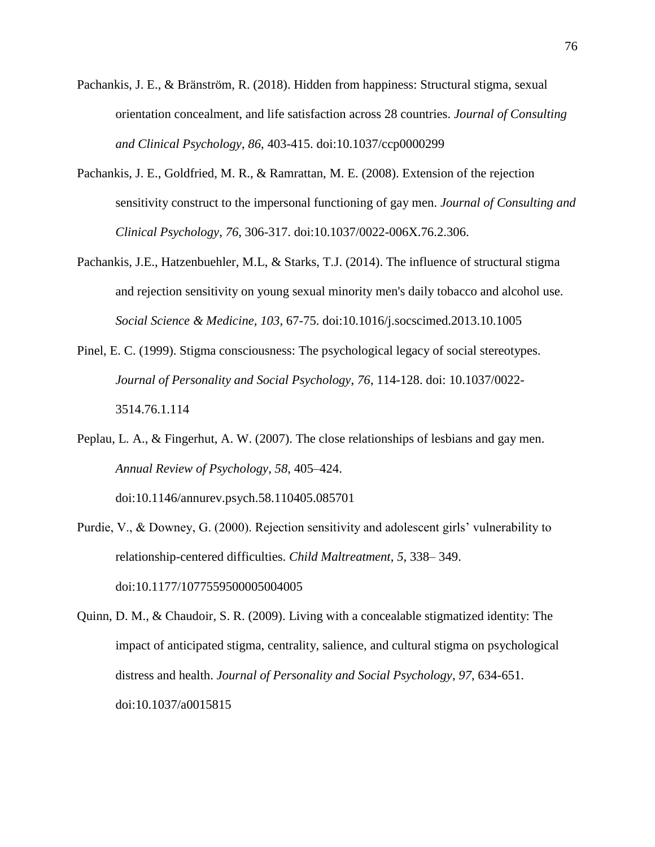- Pachankis, J. E., & Bränström, R. (2018). Hidden from happiness: Structural stigma, sexual orientation concealment, and life satisfaction across 28 countries. *Journal of Consulting and Clinical Psychology*, *86*, 403-415. doi:10.1037/ccp0000299
- Pachankis, J. E., Goldfried, M. R., & Ramrattan, M. E. (2008). Extension of the rejection sensitivity construct to the impersonal functioning of gay men. *Journal of Consulting and Clinical Psychology*, *76*, 306-317. doi:10.1037/0022-006X.76.2.306.
- Pachankis, J.E., Hatzenbuehler, M.L, & Starks, T.J. (2014). The influence of structural stigma and rejection sensitivity on young sexual minority men's daily tobacco and alcohol use. *Social Science & Medicine, 103*, 67-75. doi:10.1016/j.socscimed.2013.10.1005
- Pinel, E. C. (1999). Stigma consciousness: The psychological legacy of social stereotypes. *Journal of Personality and Social Psychology*, *76*, 114-128. doi: 10.1037/0022- 3514.76.1.114
- Peplau, L. A., & Fingerhut, A. W. (2007). The close relationships of lesbians and gay men. *Annual Review of Psychology*, *58*, 405–424.

doi:10.1146/annurev.psych.58.110405.085701

Purdie, V., & Downey, G. (2000). Rejection sensitivity and adolescent girls' vulnerability to relationship-centered difficulties. *Child Maltreatment*, *5*, 338– 349. doi:10.1177/1077559500005004005

Quinn, D. M., & Chaudoir, S. R. (2009). Living with a concealable stigmatized identity: The impact of anticipated stigma, centrality, salience, and cultural stigma on psychological distress and health. *Journal of Personality and Social Psychology*, *97*, 634-651. doi:10.1037/a0015815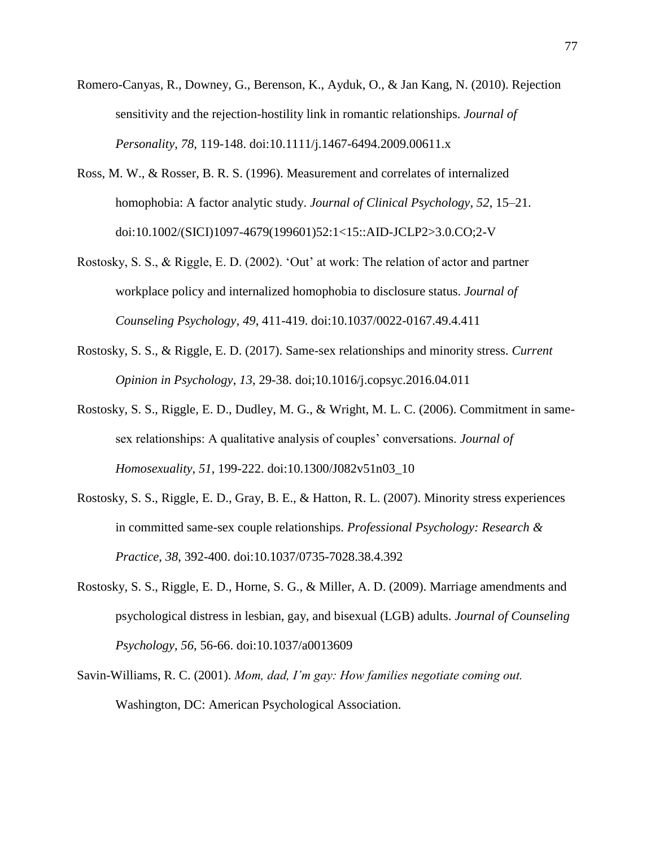- Romero-Canyas, R., Downey, G., Berenson, K., Ayduk, O., & Jan Kang, N. (2010). Rejection sensitivity and the rejection-hostility link in romantic relationships. *Journal of Personality*, *78*, 119-148. doi:10.1111/j.1467-6494.2009.00611.x
- Ross, M. W., & Rosser, B. R. S. (1996). Measurement and correlates of internalized homophobia: A factor analytic study. *Journal of Clinical Psychology*, *52*, 15–21. doi:10.1002/(SICI)1097-4679(199601)52:1<15::AID-JCLP2>3.0.CO;2-V
- Rostosky, S. S., & Riggle, E. D. (2002). 'Out' at work: The relation of actor and partner workplace policy and internalized homophobia to disclosure status. *Journal of Counseling Psychology*, *49*, 411-419. doi:10.1037/0022-0167.49.4.411
- Rostosky, S. S., & Riggle, E. D. (2017). Same-sex relationships and minority stress. *Current Opinion in Psychology*, *13*, 29-38. doi;10.1016/j.copsyc.2016.04.011
- Rostosky, S. S., Riggle, E. D., Dudley, M. G., & Wright, M. L. C. (2006). Commitment in samesex relationships: A qualitative analysis of couples' conversations. *Journal of Homosexuality*, *51*, 199-222. doi:10.1300/J082v51n03\_10
- Rostosky, S. S., Riggle, E. D., Gray, B. E., & Hatton, R. L. (2007). Minority stress experiences in committed same-sex couple relationships. *Professional Psychology: Research & Practice*, *38*, 392-400. doi:10.1037/0735-7028.38.4.392
- Rostosky, S. S., Riggle, E. D., Horne, S. G., & Miller, A. D. (2009). Marriage amendments and psychological distress in lesbian, gay, and bisexual (LGB) adults. *Journal of Counseling Psychology*, *56*, 56-66. doi:10.1037/a0013609
- Savin-Williams, R. C. (2001). *Mom, dad, I'm gay: How families negotiate coming out.* Washington, DC: American Psychological Association.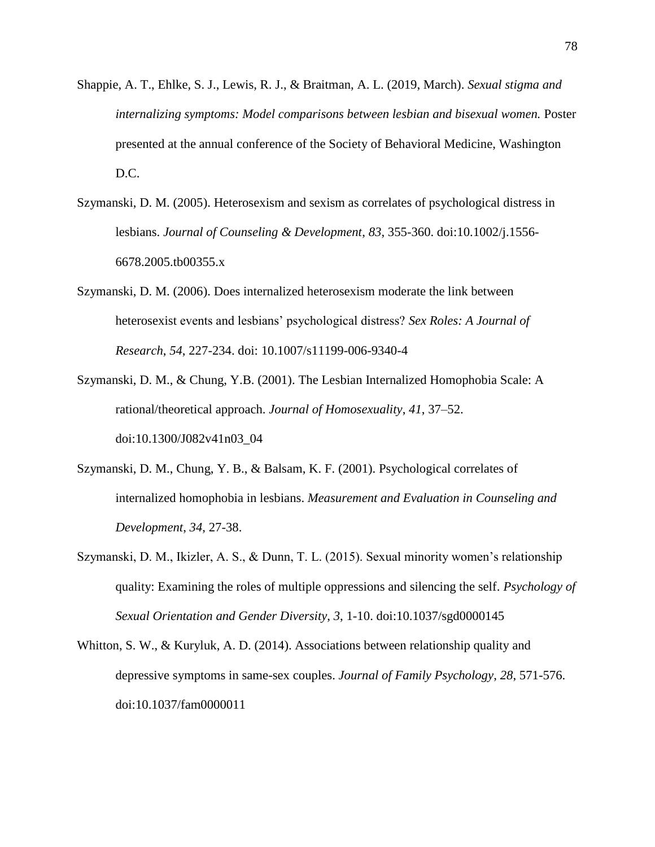- Shappie, A. T., Ehlke, S. J., Lewis, R. J., & Braitman, A. L. (2019, March). *Sexual stigma and internalizing symptoms: Model comparisons between lesbian and bisexual women.* Poster presented at the annual conference of the Society of Behavioral Medicine, Washington D.C.
- Szymanski, D. M. (2005). Heterosexism and sexism as correlates of psychological distress in lesbians. *Journal of Counseling & Development*, *83*, 355-360. doi:10.1002/j.1556- 6678.2005.tb00355.x
- Szymanski, D. M. (2006). Does internalized heterosexism moderate the link between heterosexist events and lesbians' psychological distress? *Sex Roles: A Journal of Research*, *54*, 227-234. doi: 10.1007/s11199-006-9340-4
- Szymanski, D. M., & Chung, Y.B. (2001). The Lesbian Internalized Homophobia Scale: A rational/theoretical approach. *Journal of Homosexuality*, *41*, 37–52. doi:10.1300/J082v41n03\_04
- Szymanski, D. M., Chung, Y. B., & Balsam, K. F. (2001). Psychological correlates of internalized homophobia in lesbians. *Measurement and Evaluation in Counseling and Development*, *34*, 27-38.
- Szymanski, D. M., Ikizler, A. S., & Dunn, T. L. (2015). Sexual minority women's relationship quality: Examining the roles of multiple oppressions and silencing the self. *Psychology of Sexual Orientation and Gender Diversity*, *3*, 1-10. doi:10.1037/sgd0000145
- Whitton, S. W., & Kuryluk, A. D. (2014). Associations between relationship quality and depressive symptoms in same-sex couples. *Journal of Family Psychology*, *28*, 571-576. doi:10.1037/fam0000011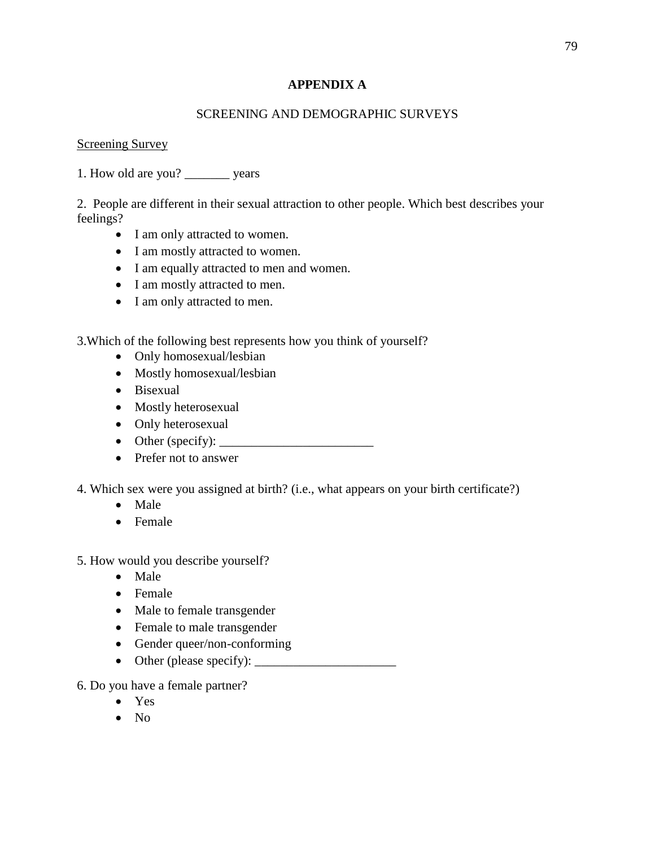# **APPENDIX A**

# SCREENING AND DEMOGRAPHIC SURVEYS

# **Screening Survey**

1. How old are you? \_\_\_\_\_\_\_ years

2. People are different in their sexual attraction to other people. Which best describes your feelings?

- I am only attracted to women.
- I am mostly attracted to women.
- I am equally attracted to men and women.
- I am mostly attracted to men.
- I am only attracted to men.

3.Which of the following best represents how you think of yourself?

- Only homosexual/lesbian
- Mostly homosexual/lesbian
- Bisexual
- Mostly heterosexual
- Only heterosexual
- Other (specify):  $\_\_$
- Prefer not to answer
- 4. Which sex were you assigned at birth? (i.e., what appears on your birth certificate?)
	- Male
	- Female
- 5. How would you describe yourself?
	- Male
	- Female
	- Male to female transgender
	- Female to male transgender
	- Gender queer/non-conforming
	- Other (please specify):  $\Box$
- 6. Do you have a female partner?
	- Yes
	- $\bullet$  No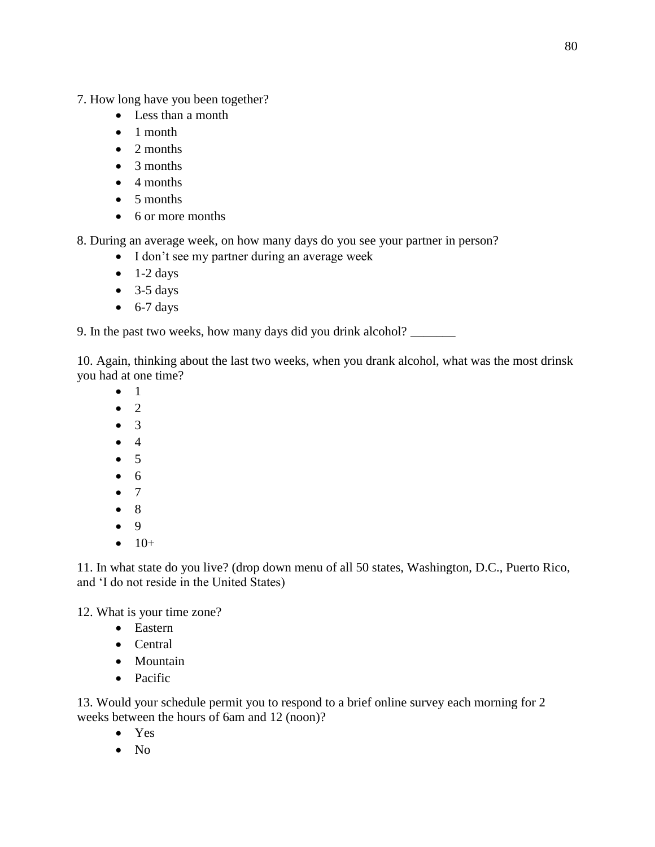7. How long have you been together?

- Less than a month
- 1 month
- 2 months
- 3 months
- 4 months
- 5 months
- 6 or more months

8. During an average week, on how many days do you see your partner in person?

- I don't see my partner during an average week
- $\bullet$  1-2 days
- $\bullet$  3-5 days
- $\bullet$  6-7 days

9. In the past two weeks, how many days did you drink alcohol? \_\_\_\_\_\_\_

10. Again, thinking about the last two weeks, when you drank alcohol, what was the most drinsk you had at one time?

- 1
- $\bullet$  2
- 3
- $\bullet$  4
- $5$
- 6
- 7
- 8
- 9
- $\bullet$  10+

11. In what state do you live? (drop down menu of all 50 states, Washington, D.C., Puerto Rico, and 'I do not reside in the United States)

12. What is your time zone?

- Eastern
- Central
- Mountain
- Pacific

13. Would your schedule permit you to respond to a brief online survey each morning for 2 weeks between the hours of 6am and 12 (noon)?

- Yes
- No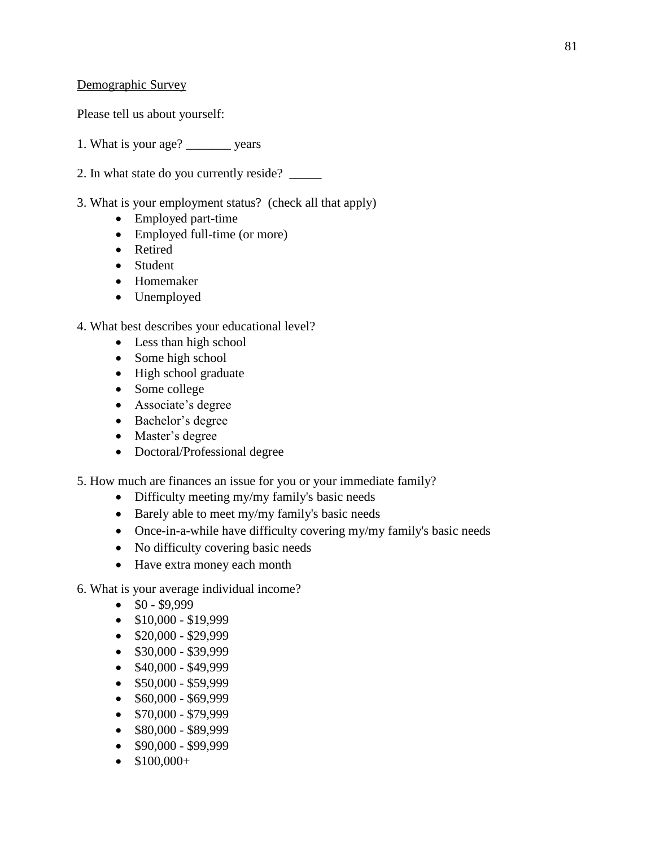### Demographic Survey

Please tell us about yourself:

1. What is your age? \_\_\_\_\_\_\_ years

- 2. In what state do you currently reside? \_\_\_\_\_
- 3. What is your employment status? (check all that apply)
	- Employed part-time
	- Employed full-time (or more)
	- Retired
	- Student
	- Homemaker
	- Unemployed

### 4. What best describes your educational level?

- Less than high school
- Some high school
- High school graduate
- Some college
- Associate's degree
- Bachelor's degree
- Master's degree
- Doctoral/Professional degree

5. How much are finances an issue for you or your immediate family?

- Difficulty meeting my/my family's basic needs
- Barely able to meet my/my family's basic needs
- Once-in-a-while have difficulty covering my/my family's basic needs
- No difficulty covering basic needs
- Have extra money each month

6. What is your average individual income?

- $\bullet$  \$0 \$9,999
- $$10,000 $19,999$
- $\bullet$  \$20,000 \$29,999
- \$30,000 \$39,999
- $\bullet$  \$40,000 \$49,999
- $\bullet$  \$50,000 \$59,999
- $\bullet$  \$60,000 \$69,999
- $\bullet$  \$70,000 \$79,999
- $\bullet$  \$80,000 \$89,999
- \$90,000 \$99,999
- $$100,000+$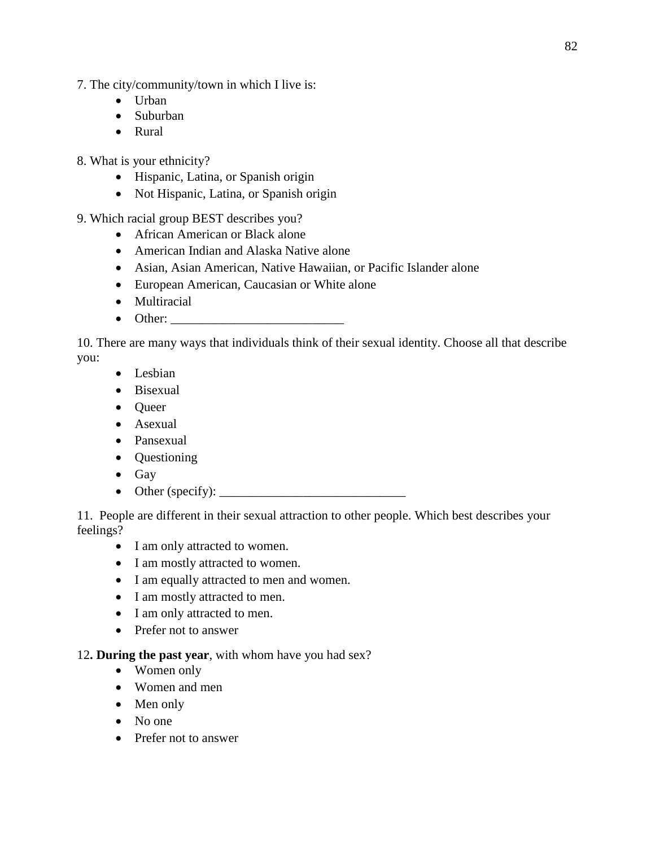- 7. The city/community/town in which I live is:
	- Urban
	- Suburban
	- Rural

8. What is your ethnicity?

- Hispanic, Latina, or Spanish origin
- Not Hispanic, Latina, or Spanish origin
- 9. Which racial group BEST describes you?
	- African American or Black alone
	- American Indian and Alaska Native alone
	- Asian, Asian American, Native Hawaiian, or Pacific Islander alone
	- European American, Caucasian or White alone
	- Multiracial
	- Other:  $\blacksquare$

10. There are many ways that individuals think of their sexual identity. Choose all that describe you:

- Lesbian
- Bisexual
- Queer
- Asexual
- Pansexual
- Questioning
- Gay
- Other (specify): \_\_\_\_\_\_\_\_\_\_\_\_\_\_\_\_\_\_\_\_\_\_\_\_\_\_\_\_\_

11. People are different in their sexual attraction to other people. Which best describes your feelings?

- I am only attracted to women.
- I am mostly attracted to women.
- I am equally attracted to men and women.
- I am mostly attracted to men.
- I am only attracted to men.
- Prefer not to answer

### 12**. During the past year**, with whom have you had sex?

- Women only
- Women and men
- Men only
- No one
- Prefer not to answer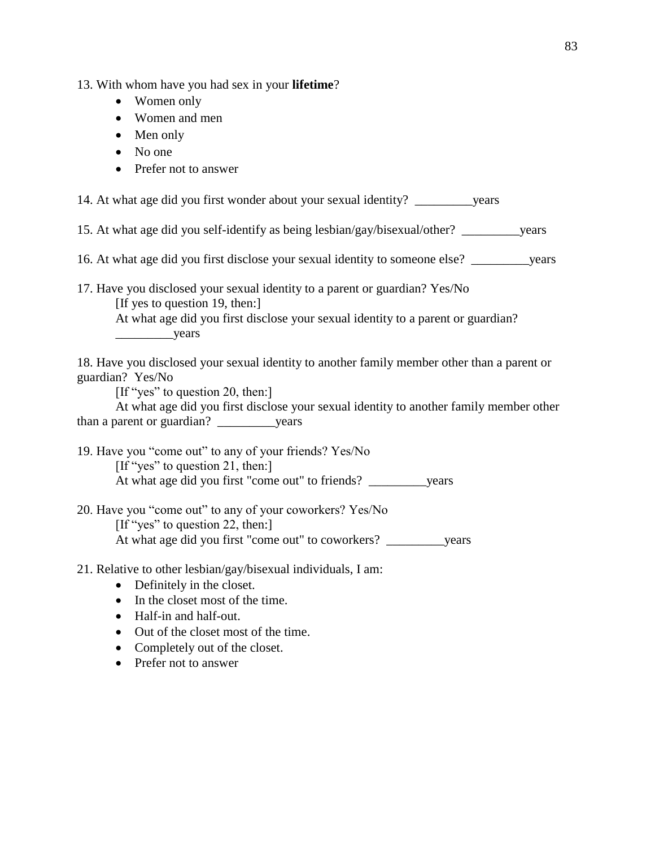13. With whom have you had sex in your **lifetime**?

- Women only
- Women and men
- Men only
- No one
- Prefer not to answer

14. At what age did you first wonder about your sexual identity? \_\_\_\_\_\_\_\_\_years

15. At what age did you self-identify as being lesbian/gay/bisexual/other? \_\_\_\_\_\_\_\_\_years

- 16. At what age did you first disclose your sexual identity to someone else? \_\_\_\_\_\_\_\_\_years
- 17. Have you disclosed your sexual identity to a parent or guardian? Yes/No [If yes to question 19, then:]

At what age did you first disclose your sexual identity to a parent or guardian? \_\_\_\_\_\_\_\_\_years

18. Have you disclosed your sexual identity to another family member other than a parent or guardian? Yes/No

[If "yes" to question 20, then:]

At what age did you first disclose your sexual identity to another family member other than a parent or guardian? \_\_\_\_\_\_\_\_\_years

19. Have you "come out" to any of your friends? Yes/No [If "yes" to question 21, then:] At what age did you first "come out" to friends? \_\_\_\_\_\_\_\_\_years

20. Have you "come out" to any of your coworkers? Yes/No

[If "yes" to question 22, then:] At what age did you first "come out" to coworkers? \_\_\_\_\_\_\_\_\_years

21. Relative to other lesbian/gay/bisexual individuals, I am:

- Definitely in the closet.
- In the closet most of the time.
- Half-in and half-out.
- Out of the closet most of the time.
- Completely out of the closet.
- Prefer not to answer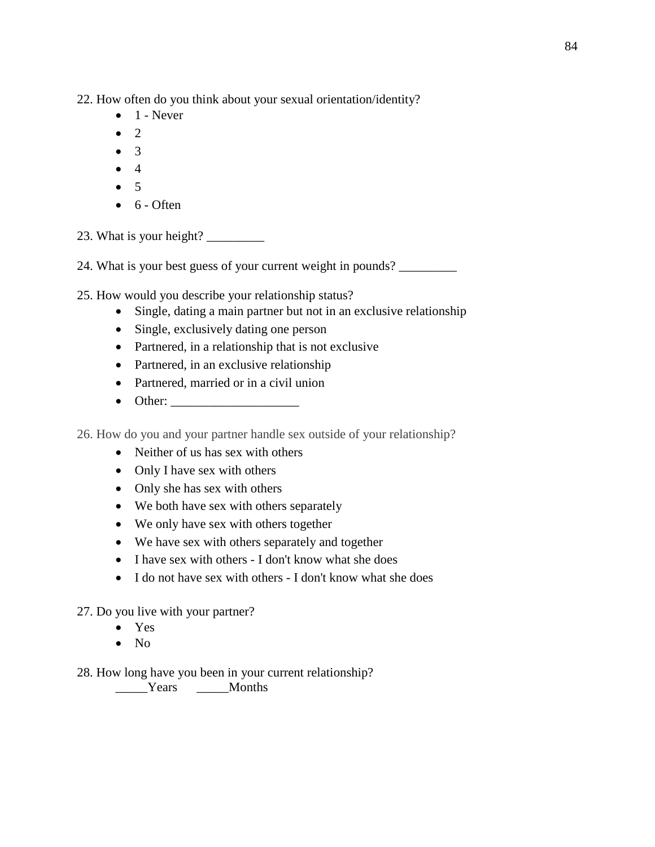22. How often do you think about your sexual orientation/identity?

- $\bullet$  1 Never
- $\bullet$  2
- 3
- $\bullet$  4
- $5$
- $\bullet$  6 Often

23. What is your height?  $\frac{23}{2}$ 

24. What is your best guess of your current weight in pounds? \_\_\_\_\_\_\_\_\_\_\_\_\_\_\_\_\_\_\_

25. How would you describe your relationship status?

- Single, dating a main partner but not in an exclusive relationship
- Single, exclusively dating one person
- Partnered, in a relationship that is not exclusive
- Partnered, in an exclusive relationship
- Partnered, married or in a civil union
- Other:

26. How do you and your partner handle sex outside of your relationship?

- Neither of us has sex with others
- Only I have sex with others
- Only she has sex with others
- We both have sex with others separately
- We only have sex with others together
- We have sex with others separately and together
- I have sex with others I don't know what she does
- I do not have sex with others I don't know what she does

# 27. Do you live with your partner?

- Yes
- No

28. How long have you been in your current relationship?

\_\_\_\_\_Years \_\_\_\_\_Months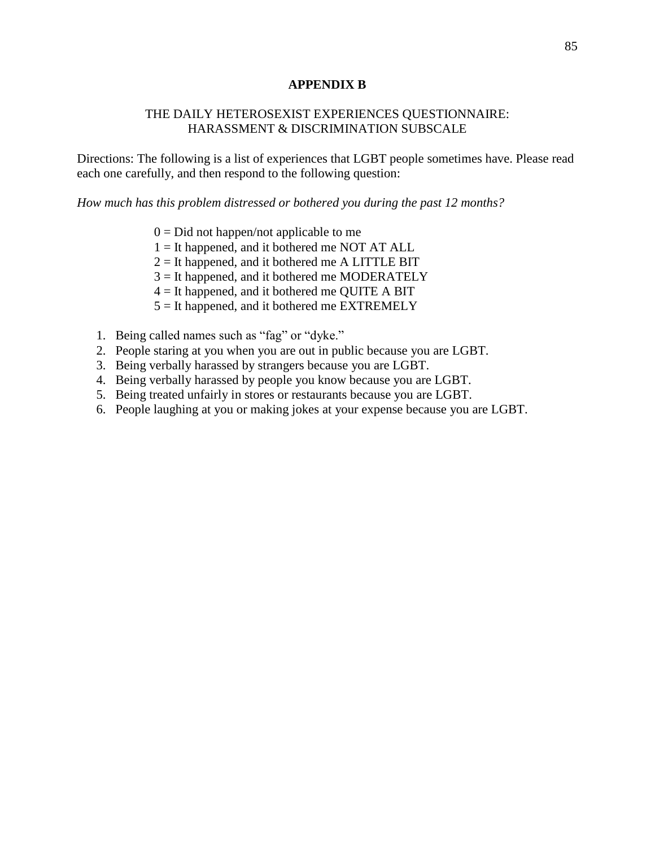### **APPENDIX B**

### THE DAILY HETEROSEXIST EXPERIENCES QUESTIONNAIRE: HARASSMENT & DISCRIMINATION SUBSCALE

Directions: The following is a list of experiences that LGBT people sometimes have. Please read each one carefully, and then respond to the following question:

*How much has this problem distressed or bothered you during the past 12 months?* 

- $0 = Did$  not happen/not applicable to me
- 1 = It happened, and it bothered me NOT AT ALL
- $2 =$  It happened, and it bothered me A LITTLE BIT
- 3 = It happened, and it bothered me MODERATELY
- $4 =$  It happened, and it bothered me QUITE A BIT
- $5 =$  It happened, and it bothered me EXTREMELY
- 1. Being called names such as "fag" or "dyke."
- 2. People staring at you when you are out in public because you are LGBT.
- 3. Being verbally harassed by strangers because you are LGBT.
- 4. Being verbally harassed by people you know because you are LGBT.
- 5. Being treated unfairly in stores or restaurants because you are LGBT.
- 6. People laughing at you or making jokes at your expense because you are LGBT.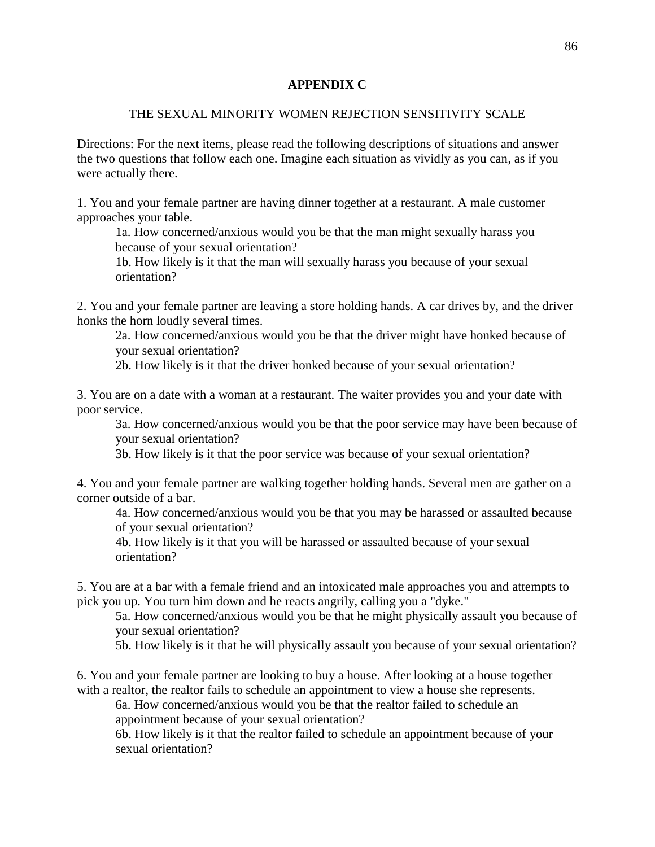### **APPENDIX C**

### THE SEXUAL MINORITY WOMEN REJECTION SENSITIVITY SCALE

Directions: For the next items, please read the following descriptions of situations and answer the two questions that follow each one. Imagine each situation as vividly as you can, as if you were actually there.

1. You and your female partner are having dinner together at a restaurant. A male customer approaches your table.

1a. How concerned/anxious would you be that the man might sexually harass you because of your sexual orientation?

1b. How likely is it that the man will sexually harass you because of your sexual orientation?

2. You and your female partner are leaving a store holding hands. A car drives by, and the driver honks the horn loudly several times.

2a. How concerned/anxious would you be that the driver might have honked because of your sexual orientation?

2b. How likely is it that the driver honked because of your sexual orientation?

3. You are on a date with a woman at a restaurant. The waiter provides you and your date with poor service.

3a. How concerned/anxious would you be that the poor service may have been because of your sexual orientation?

3b. How likely is it that the poor service was because of your sexual orientation?

4. You and your female partner are walking together holding hands. Several men are gather on a corner outside of a bar.

4a. How concerned/anxious would you be that you may be harassed or assaulted because of your sexual orientation?

4b. How likely is it that you will be harassed or assaulted because of your sexual orientation?

5. You are at a bar with a female friend and an intoxicated male approaches you and attempts to pick you up. You turn him down and he reacts angrily, calling you a "dyke."

5a. How concerned/anxious would you be that he might physically assault you because of your sexual orientation?

5b. How likely is it that he will physically assault you because of your sexual orientation?

6. You and your female partner are looking to buy a house. After looking at a house together with a realtor, the realtor fails to schedule an appointment to view a house she represents.

6a. How concerned/anxious would you be that the realtor failed to schedule an appointment because of your sexual orientation?

6b. How likely is it that the realtor failed to schedule an appointment because of your sexual orientation?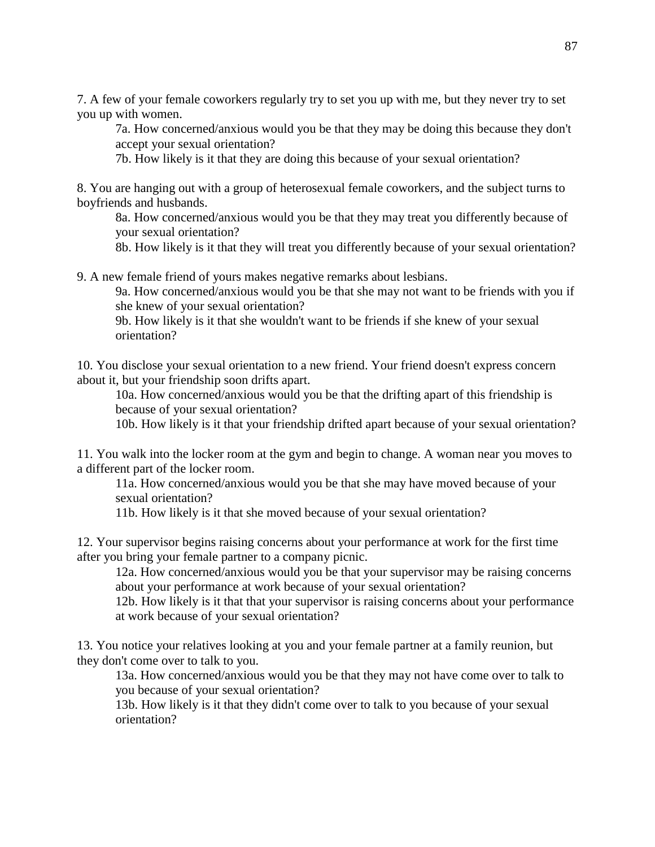7. A few of your female coworkers regularly try to set you up with me, but they never try to set you up with women.

7a. How concerned/anxious would you be that they may be doing this because they don't accept your sexual orientation?

7b. How likely is it that they are doing this because of your sexual orientation?

8. You are hanging out with a group of heterosexual female coworkers, and the subject turns to boyfriends and husbands.

8a. How concerned/anxious would you be that they may treat you differently because of your sexual orientation?

8b. How likely is it that they will treat you differently because of your sexual orientation?

9. A new female friend of yours makes negative remarks about lesbians.

9a. How concerned/anxious would you be that she may not want to be friends with you if she knew of your sexual orientation?

9b. How likely is it that she wouldn't want to be friends if she knew of your sexual orientation?

10. You disclose your sexual orientation to a new friend. Your friend doesn't express concern about it, but your friendship soon drifts apart.

10a. How concerned/anxious would you be that the drifting apart of this friendship is because of your sexual orientation?

10b. How likely is it that your friendship drifted apart because of your sexual orientation?

11. You walk into the locker room at the gym and begin to change. A woman near you moves to a different part of the locker room.

11a. How concerned/anxious would you be that she may have moved because of your sexual orientation?

11b. How likely is it that she moved because of your sexual orientation?

12. Your supervisor begins raising concerns about your performance at work for the first time after you bring your female partner to a company picnic.

12a. How concerned/anxious would you be that your supervisor may be raising concerns about your performance at work because of your sexual orientation?

12b. How likely is it that that your supervisor is raising concerns about your performance at work because of your sexual orientation?

13. You notice your relatives looking at you and your female partner at a family reunion, but they don't come over to talk to you.

13a. How concerned/anxious would you be that they may not have come over to talk to you because of your sexual orientation?

13b. How likely is it that they didn't come over to talk to you because of your sexual orientation?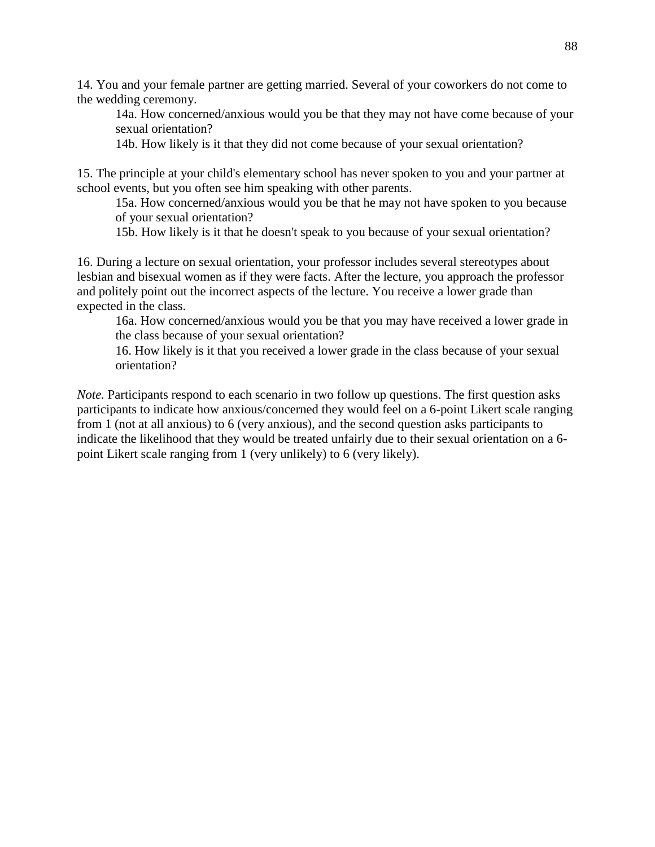14. You and your female partner are getting married. Several of your coworkers do not come to the wedding ceremony.

14a. How concerned/anxious would you be that they may not have come because of your sexual orientation?

14b. How likely is it that they did not come because of your sexual orientation?

15. The principle at your child's elementary school has never spoken to you and your partner at school events, but you often see him speaking with other parents.

15a. How concerned/anxious would you be that he may not have spoken to you because of your sexual orientation?

15b. How likely is it that he doesn't speak to you because of your sexual orientation?

16. During a lecture on sexual orientation, your professor includes several stereotypes about lesbian and bisexual women as if they were facts. After the lecture, you approach the professor and politely point out the incorrect aspects of the lecture. You receive a lower grade than expected in the class.

16a. How concerned/anxious would you be that you may have received a lower grade in the class because of your sexual orientation?

16. How likely is it that you received a lower grade in the class because of your sexual orientation?

*Note.* Participants respond to each scenario in two follow up questions. The first question asks participants to indicate how anxious/concerned they would feel on a 6-point Likert scale ranging from 1 (not at all anxious) to 6 (very anxious), and the second question asks participants to indicate the likelihood that they would be treated unfairly due to their sexual orientation on a 6 point Likert scale ranging from 1 (very unlikely) to 6 (very likely).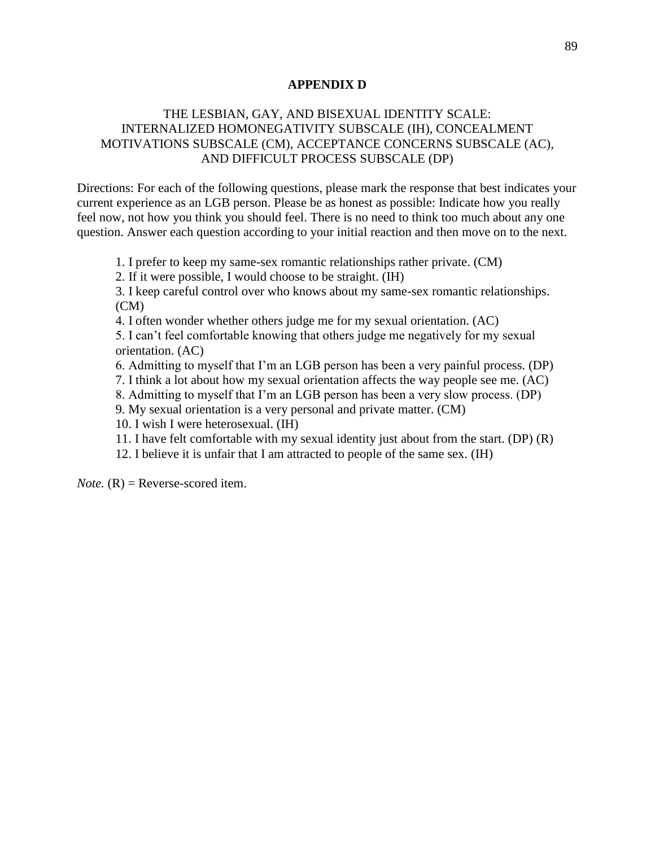#### **APPENDIX D**

## THE LESBIAN, GAY, AND BISEXUAL IDENTITY SCALE: INTERNALIZED HOMONEGATIVITY SUBSCALE (IH), CONCEALMENT MOTIVATIONS SUBSCALE (CM), ACCEPTANCE CONCERNS SUBSCALE (AC), AND DIFFICULT PROCESS SUBSCALE (DP)

Directions: For each of the following questions, please mark the response that best indicates your current experience as an LGB person. Please be as honest as possible: Indicate how you really feel now, not how you think you should feel. There is no need to think too much about any one question. Answer each question according to your initial reaction and then move on to the next.

1. I prefer to keep my same-sex romantic relationships rather private. (CM)

2. If it were possible, I would choose to be straight. (IH)

3. I keep careful control over who knows about my same-sex romantic relationships. (CM)

4. I often wonder whether others judge me for my sexual orientation. (AC)

5. I can't feel comfortable knowing that others judge me negatively for my sexual orientation. (AC)

6. Admitting to myself that I'm an LGB person has been a very painful process. (DP)

7. I think a lot about how my sexual orientation affects the way people see me. (AC)

8. Admitting to myself that I'm an LGB person has been a very slow process. (DP)

9. My sexual orientation is a very personal and private matter. (CM)

10. I wish I were heterosexual. (IH)

- 11. I have felt comfortable with my sexual identity just about from the start. (DP) (R)
- 12. I believe it is unfair that I am attracted to people of the same sex. (IH)

 $Note. (R) = Reverse-scored item.$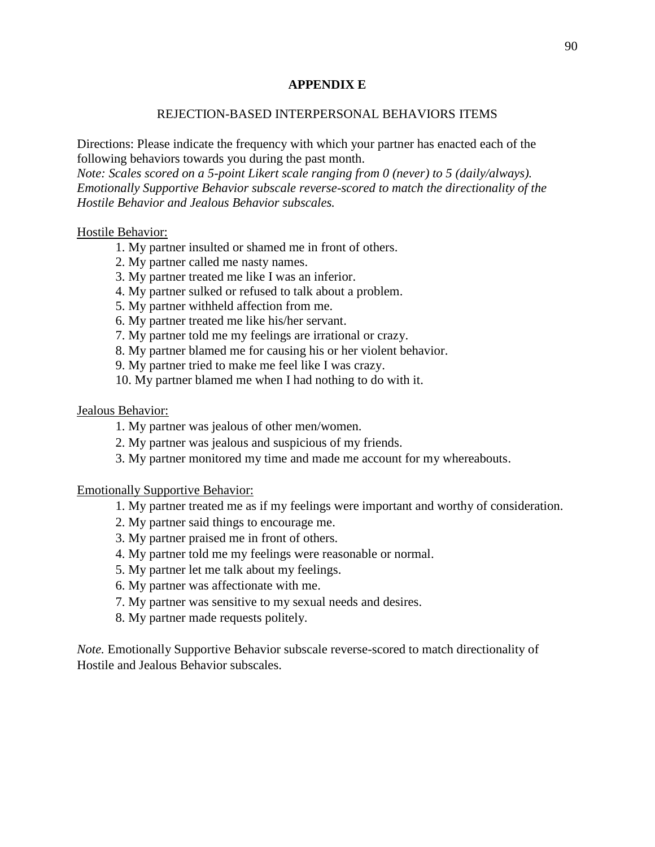### **APPENDIX E**

### REJECTION-BASED INTERPERSONAL BEHAVIORS ITEMS

Directions: Please indicate the frequency with which your partner has enacted each of the following behaviors towards you during the past month.

*Note: Scales scored on a 5-point Likert scale ranging from 0 (never) to 5 (daily/always). Emotionally Supportive Behavior subscale reverse-scored to match the directionality of the Hostile Behavior and Jealous Behavior subscales.*

#### Hostile Behavior:

- 1. My partner insulted or shamed me in front of others.
- 2. My partner called me nasty names.
- 3. My partner treated me like I was an inferior.
- 4. My partner sulked or refused to talk about a problem.
- 5. My partner withheld affection from me.
- 6. My partner treated me like his/her servant.
- 7. My partner told me my feelings are irrational or crazy.
- 8. My partner blamed me for causing his or her violent behavior.
- 9. My partner tried to make me feel like I was crazy.
- 10. My partner blamed me when I had nothing to do with it.

#### Jealous Behavior:

- 1. My partner was jealous of other men/women.
- 2. My partner was jealous and suspicious of my friends.
- 3. My partner monitored my time and made me account for my whereabouts.

#### Emotionally Supportive Behavior:

- 1. My partner treated me as if my feelings were important and worthy of consideration.
- 2. My partner said things to encourage me.
- 3. My partner praised me in front of others.
- 4. My partner told me my feelings were reasonable or normal.
- 5. My partner let me talk about my feelings.
- 6. My partner was affectionate with me.
- 7. My partner was sensitive to my sexual needs and desires.
- 8. My partner made requests politely.

*Note.* Emotionally Supportive Behavior subscale reverse-scored to match directionality of Hostile and Jealous Behavior subscales.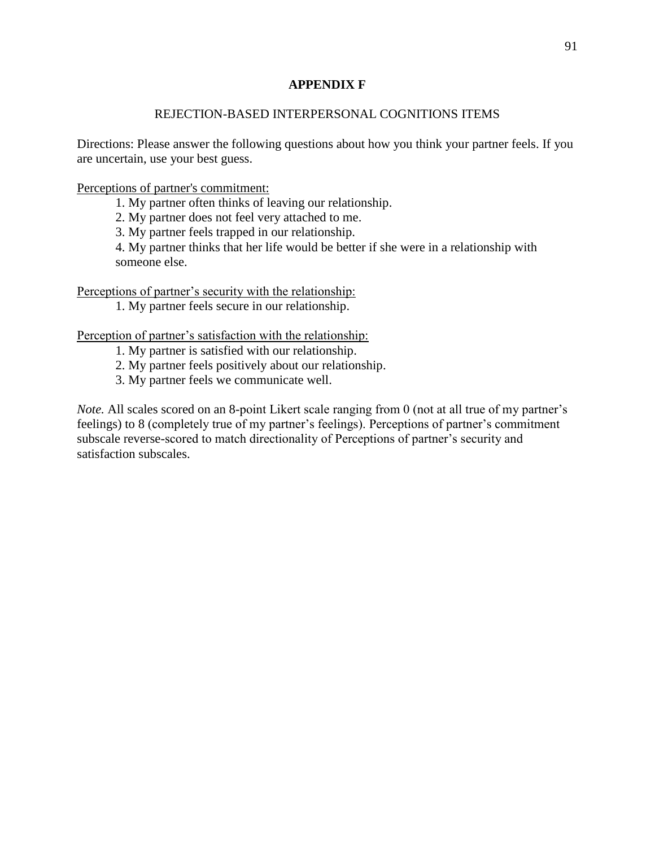## **APPENDIX F**

## REJECTION-BASED INTERPERSONAL COGNITIONS ITEMS

Directions: Please answer the following questions about how you think your partner feels. If you are uncertain, use your best guess.

Perceptions of partner's commitment:

1. My partner often thinks of leaving our relationship.

2. My partner does not feel very attached to me.

3. My partner feels trapped in our relationship.

4. My partner thinks that her life would be better if she were in a relationship with someone else.

Perceptions of partner's security with the relationship:

1. My partner feels secure in our relationship.

Perception of partner's satisfaction with the relationship:

1. My partner is satisfied with our relationship.

- 2. My partner feels positively about our relationship.
- 3. My partner feels we communicate well.

*Note.* All scales scored on an 8-point Likert scale ranging from 0 (not at all true of my partner's feelings) to 8 (completely true of my partner's feelings). Perceptions of partner's commitment subscale reverse-scored to match directionality of Perceptions of partner's security and satisfaction subscales.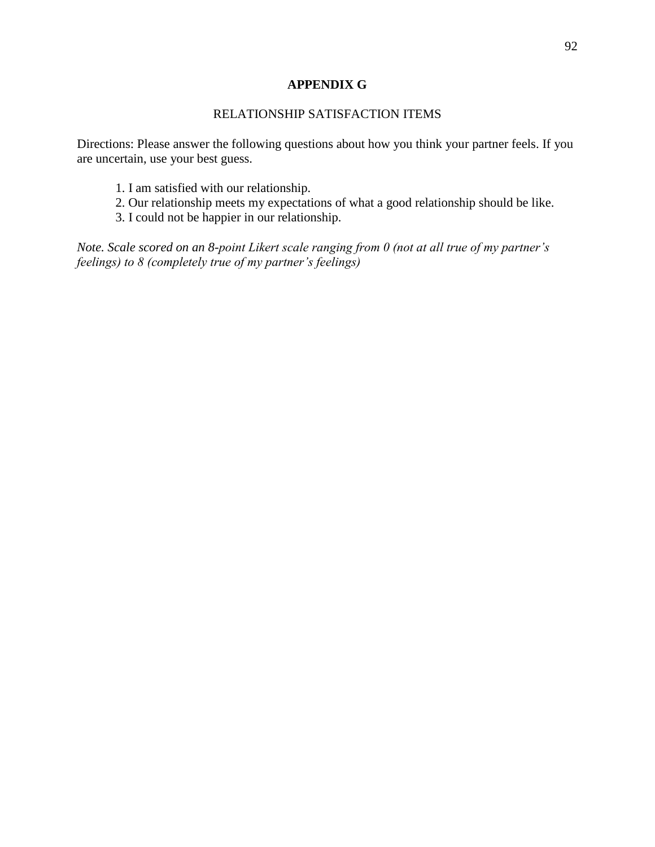### **APPENDIX G**

## RELATIONSHIP SATISFACTION ITEMS

Directions: Please answer the following questions about how you think your partner feels. If you are uncertain, use your best guess.

- 1. I am satisfied with our relationship.
- 2. Our relationship meets my expectations of what a good relationship should be like.
- 3. I could not be happier in our relationship.

*Note. Scale scored on an 8-point Likert scale ranging from 0 (not at all true of my partner's feelings) to 8 (completely true of my partner's feelings)*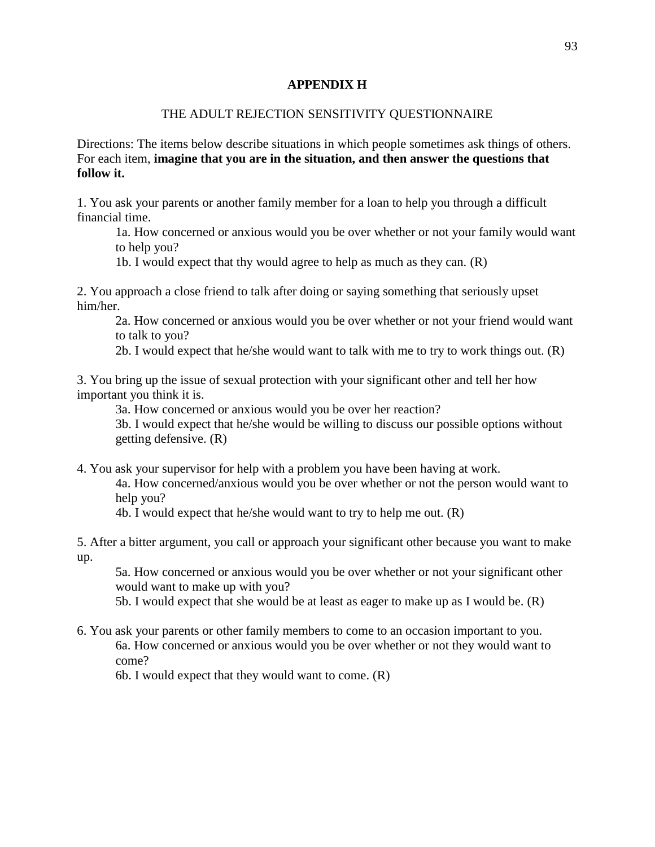### **APPENDIX H**

### THE ADULT REJECTION SENSITIVITY QUESTIONNAIRE

Directions: The items below describe situations in which people sometimes ask things of others. For each item, **imagine that you are in the situation, and then answer the questions that follow it.**

1. You ask your parents or another family member for a loan to help you through a difficult financial time.

1a. How concerned or anxious would you be over whether or not your family would want to help you?

1b. I would expect that thy would agree to help as much as they can. (R)

2. You approach a close friend to talk after doing or saying something that seriously upset him/her.

2a. How concerned or anxious would you be over whether or not your friend would want to talk to you?

2b. I would expect that he/she would want to talk with me to try to work things out. (R)

3. You bring up the issue of sexual protection with your significant other and tell her how important you think it is.

3a. How concerned or anxious would you be over her reaction?

3b. I would expect that he/she would be willing to discuss our possible options without getting defensive. (R)

4. You ask your supervisor for help with a problem you have been having at work.

4a. How concerned/anxious would you be over whether or not the person would want to help you?

4b. I would expect that he/she would want to try to help me out. (R)

5. After a bitter argument, you call or approach your significant other because you want to make up.

5a. How concerned or anxious would you be over whether or not your significant other would want to make up with you?

5b. I would expect that she would be at least as eager to make up as I would be. (R)

6. You ask your parents or other family members to come to an occasion important to you. 6a. How concerned or anxious would you be over whether or not they would want to come?

6b. I would expect that they would want to come. (R)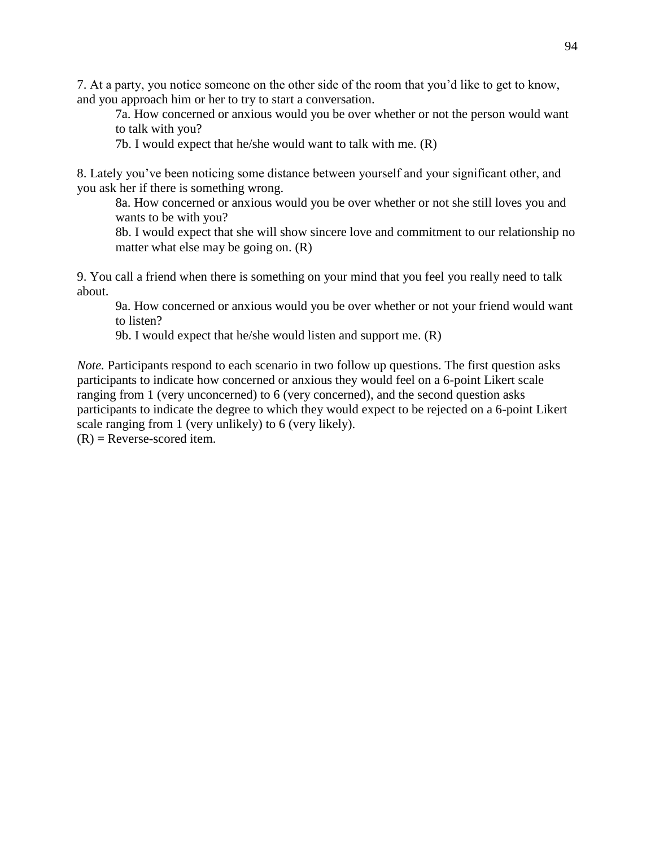7. At a party, you notice someone on the other side of the room that you'd like to get to know, and you approach him or her to try to start a conversation.

7a. How concerned or anxious would you be over whether or not the person would want to talk with you?

7b. I would expect that he/she would want to talk with me. (R)

8. Lately you've been noticing some distance between yourself and your significant other, and you ask her if there is something wrong.

8a. How concerned or anxious would you be over whether or not she still loves you and wants to be with you?

8b. I would expect that she will show sincere love and commitment to our relationship no matter what else may be going on. (R)

9. You call a friend when there is something on your mind that you feel you really need to talk about.

9a. How concerned or anxious would you be over whether or not your friend would want to listen?

9b. I would expect that he/she would listen and support me. (R)

*Note.* Participants respond to each scenario in two follow up questions. The first question asks participants to indicate how concerned or anxious they would feel on a 6-point Likert scale ranging from 1 (very unconcerned) to 6 (very concerned), and the second question asks participants to indicate the degree to which they would expect to be rejected on a 6-point Likert scale ranging from 1 (very unlikely) to 6 (very likely).

 $(R)$  = Reverse-scored item.